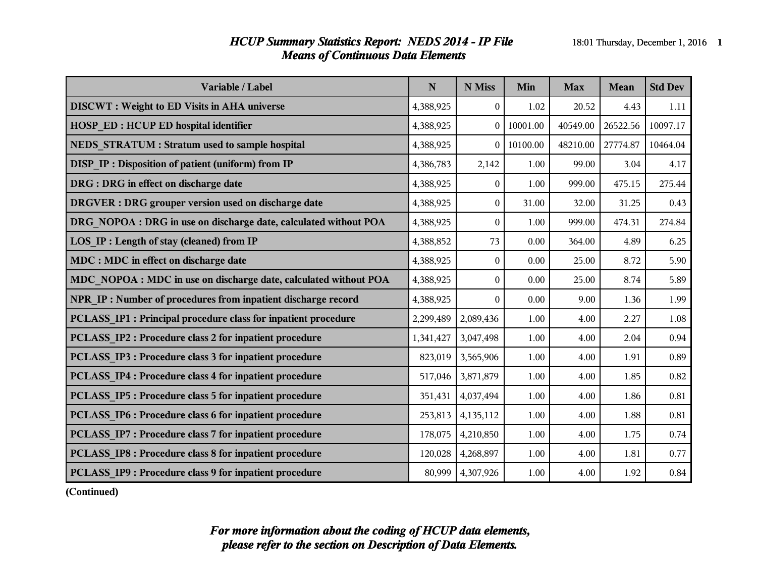#### *HCUP Summary Statistics Report: NEDS 2014 - IP File* 18:01 Thursday, December 1, 2016 1 *Means of Continuous Data Elements*

| Variable / Label                                                 | $\mathbf N$ | N Miss       | Min      | <b>Max</b> | <b>Mean</b> | <b>Std Dev</b> |
|------------------------------------------------------------------|-------------|--------------|----------|------------|-------------|----------------|
| <b>DISCWT</b> : Weight to ED Visits in AHA universe              | 4,388,925   | $\theta$     | 1.02     | 20.52      | 4.43        | 1.11           |
| <b>HOSP ED: HCUP ED hospital identifier</b>                      | 4,388,925   | $\theta$     | 10001.00 | 40549.00   | 26522.56    | 10097.17       |
| NEDS STRATUM : Stratum used to sample hospital                   | 4,388,925   | $\theta$     | 10100.00 | 48210.00   | 27774.87    | 10464.04       |
| DISP_IP : Disposition of patient (uniform) from IP               | 4,386,783   | 2,142        | 1.00     | 99.00      | 3.04        | 4.17           |
| DRG : DRG in effect on discharge date                            | 4,388,925   | $\theta$     | 1.00     | 999.00     | 475.15      | 275.44         |
| <b>DRGVER</b> : DRG grouper version used on discharge date       | 4,388,925   | $\mathbf{0}$ | 31.00    | 32.00      | 31.25       | 0.43           |
| DRG NOPOA : DRG in use on discharge date, calculated without POA | 4,388,925   | $\mathbf{0}$ | 1.00     | 999.00     | 474.31      | 274.84         |
| LOS IP : Length of stay (cleaned) from IP                        | 4,388,852   | 73           | 0.00     | 364.00     | 4.89        | 6.25           |
| <b>MDC</b> : MDC in effect on discharge date                     | 4,388,925   | $\mathbf{0}$ | 0.00     | 25.00      | 8.72        | 5.90           |
| MDC NOPOA : MDC in use on discharge date, calculated without POA | 4,388,925   | $\theta$     | 0.00     | 25.00      | 8.74        | 5.89           |
| NPR IP: Number of procedures from inpatient discharge record     | 4,388,925   | $\theta$     | 0.00     | 9.00       | 1.36        | 1.99           |
| PCLASS IP1 : Principal procedure class for inpatient procedure   | 2,299,489   | 2,089,436    | 1.00     | 4.00       | 2.27        | 1.08           |
| PCLASS IP2 : Procedure class 2 for inpatient procedure           | 1,341,427   | 3,047,498    | 1.00     | 4.00       | 2.04        | 0.94           |
| PCLASS IP3 : Procedure class 3 for inpatient procedure           | 823,019     | 3,565,906    | 1.00     | 4.00       | 1.91        | 0.89           |
| PCLASS IP4 : Procedure class 4 for inpatient procedure           | 517,046     | 3,871,879    | 1.00     | 4.00       | 1.85        | 0.82           |
| PCLASS IP5 : Procedure class 5 for inpatient procedure           | 351,431     | 4,037,494    | 1.00     | 4.00       | 1.86        | 0.81           |
| PCLASS IP6 : Procedure class 6 for inpatient procedure           | 253,813     | 4,135,112    | 1.00     | 4.00       | 1.88        | 0.81           |
| PCLASS IP7 : Procedure class 7 for inpatient procedure           | 178,075     | 4,210,850    | 1.00     | 4.00       | 1.75        | 0.74           |
| PCLASS IP8 : Procedure class 8 for inpatient procedure           | 120,028     | 4,268,897    | 1.00     | 4.00       | 1.81        | 0.77           |
| PCLASS IP9 : Procedure class 9 for inpatient procedure           | 80,999      | 4,307,926    | 1.00     | 4.00       | 1.92        | 0.84           |

**(Continued)**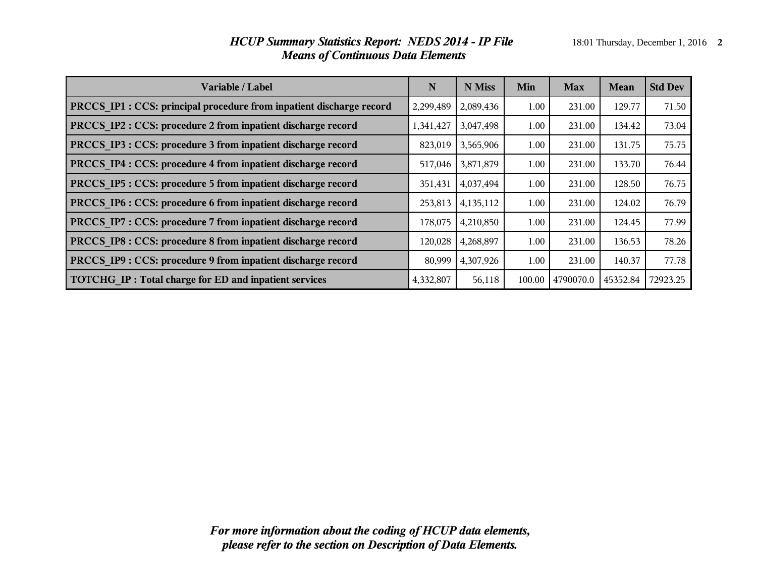| Variable / Label                                                     | N         | N Miss    | Min    | <b>Max</b> | Mean     | <b>Std Dev</b> |
|----------------------------------------------------------------------|-----------|-----------|--------|------------|----------|----------------|
| PRCCS IP1 : CCS: principal procedure from inpatient discharge record | 2,299,489 | 2,089,436 | 1.00   | 231.00     | 129.77   | 71.50          |
| PRCCS IP2 : CCS: procedure 2 from inpatient discharge record         | 1,341,427 | 3,047,498 | 1.00   | 231.00     | 134.42   | 73.04          |
| PRCCS IP3 : CCS: procedure 3 from inpatient discharge record         | 823,019   | 3,565,906 | 1.00   | 231.00     | 131.75   | 75.75          |
| PRCCS IP4 : CCS: procedure 4 from inpatient discharge record         | 517,046   | 3,871,879 | 1.00   | 231.00     | 133.70   | 76.44          |
| PRCCS IP5 : CCS: procedure 5 from inpatient discharge record         | 351,431   | 4,037,494 | 1.00   | 231.00     | 128.50   | 76.75          |
| PRCCS IP6 : CCS: procedure 6 from inpatient discharge record         | 253,813   | 4,135,112 | 1.00   | 231.00     | 124.02   | 76.79          |
| PRCCS IP7 : CCS: procedure 7 from inpatient discharge record         | 178,075   | 4,210,850 | 1.00   | 231.00     | 124.45   | 77.99          |
| PRCCS IP8 : CCS: procedure 8 from inpatient discharge record         | 120,028   | 4,268,897 | 1.00   | 231.00     | 136.53   | 78.26          |
| PRCCS IP9 : CCS: procedure 9 from inpatient discharge record         | 80,999    | 4,307,926 | 1.00   | 231.00     | 140.37   | 77.78          |
| TOTCHG IP: Total charge for ED and inpatient services                | 4,332,807 | 56,118    | 100.00 | 4790070.0  | 45352.84 | 72923.25       |

# *HCUP Summary Statistics Report: NEDS 2014 - IP File* 18:01 Thursday, December 1, 2016 2 *Means of Continuous Data Elements*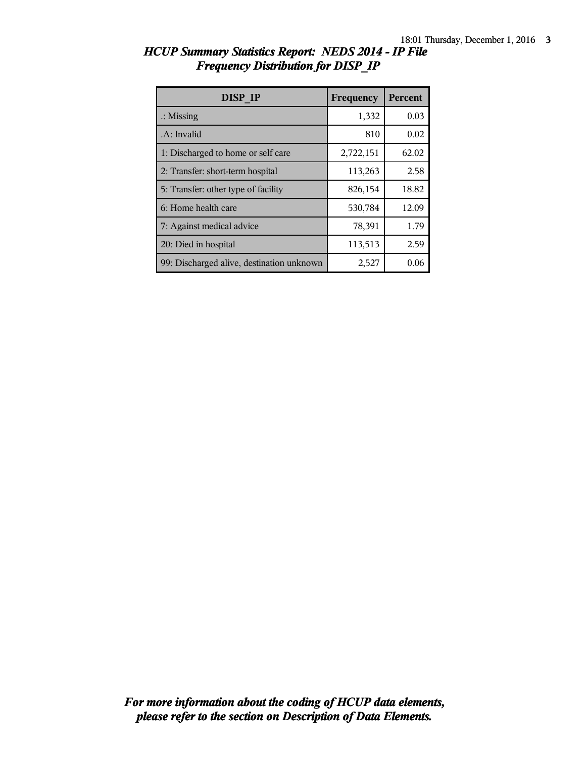| DISP IP                                   | Frequency | <b>Percent</b> |
|-------------------------------------------|-----------|----------------|
| $\therefore$ Missing                      | 1,332     | 0.03           |
| .A: Invalid                               | 810       | 0.02           |
| 1: Discharged to home or self care        | 2,722,151 | 62.02          |
| 2: Transfer: short-term hospital          | 113,263   | 2.58           |
| 5: Transfer: other type of facility       | 826,154   | 18.82          |
| 6: Home health care                       | 530,784   | 12.09          |
| 7: Against medical advice                 | 78,391    | 1.79           |
| 20: Died in hospital                      | 113,513   | 2.59           |
| 99: Discharged alive, destination unknown | 2,527     | 0.06           |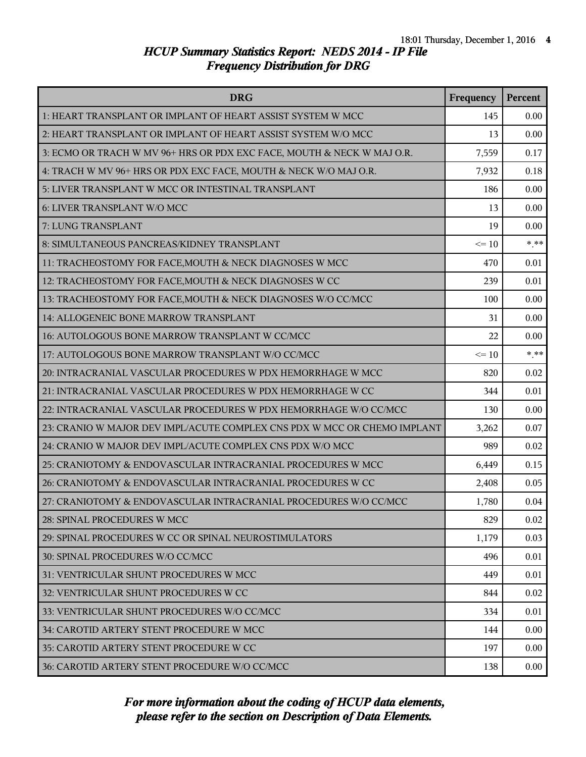| <b>DRG</b>                                                               | Frequency | Percent |
|--------------------------------------------------------------------------|-----------|---------|
| 1: HEART TRANSPLANT OR IMPLANT OF HEART ASSIST SYSTEM W MCC              | 145       | 0.00    |
| 2: HEART TRANSPLANT OR IMPLANT OF HEART ASSIST SYSTEM W/O MCC            | 13        | 0.00    |
| 3: ECMO OR TRACH W MV 96+ HRS OR PDX EXC FACE, MOUTH & NECK W MAJ O.R.   | 7,559     | 0.17    |
| 4: TRACH W MV 96+ HRS OR PDX EXC FACE, MOUTH & NECK W/O MAJ O.R.         | 7,932     | 0.18    |
| 5: LIVER TRANSPLANT W MCC OR INTESTINAL TRANSPLANT                       | 186       | 0.00    |
| 6: LIVER TRANSPLANT W/O MCC                                              | 13        | 0.00    |
| 7: LUNG TRANSPLANT                                                       | 19        | 0.00    |
| 8: SIMULTANEOUS PANCREAS/KIDNEY TRANSPLANT                               | $\leq 10$ | $***$   |
| 11: TRACHEOSTOMY FOR FACE, MOUTH & NECK DIAGNOSES W MCC                  | 470       | 0.01    |
| 12: TRACHEOSTOMY FOR FACE, MOUTH & NECK DIAGNOSES W CC                   | 239       | 0.01    |
| 13: TRACHEOSTOMY FOR FACE, MOUTH & NECK DIAGNOSES W/O CC/MCC             | 100       | 0.00    |
| 14: ALLOGENEIC BONE MARROW TRANSPLANT                                    | 31        | 0.00    |
| 16: AUTOLOGOUS BONE MARROW TRANSPLANT W CC/MCC                           | 22        | 0.00    |
| 17: AUTOLOGOUS BONE MARROW TRANSPLANT W/O CC/MCC                         | $\leq 10$ | $***$   |
| 20: INTRACRANIAL VASCULAR PROCEDURES W PDX HEMORRHAGE W MCC              | 820       | 0.02    |
| 21: INTRACRANIAL VASCULAR PROCEDURES W PDX HEMORRHAGE W CC               | 344       | 0.01    |
| 22: INTRACRANIAL VASCULAR PROCEDURES W PDX HEMORRHAGE W/O CC/MCC         | 130       | 0.00    |
| 23: CRANIO W MAJOR DEV IMPL/ACUTE COMPLEX CNS PDX W MCC OR CHEMO IMPLANT | 3,262     | 0.07    |
| 24: CRANIO W MAJOR DEV IMPL/ACUTE COMPLEX CNS PDX W/O MCC                | 989       | 0.02    |
| 25: CRANIOTOMY & ENDOVASCULAR INTRACRANIAL PROCEDURES W MCC              | 6,449     | 0.15    |
| 26: CRANIOTOMY & ENDOVASCULAR INTRACRANIAL PROCEDURES W CC               | 2,408     | 0.05    |
| 27: CRANIOTOMY & ENDOVASCULAR INTRACRANIAL PROCEDURES W/O CC/MCC         | 1,780     | 0.04    |
| 28: SPINAL PROCEDURES W MCC                                              | 829       | 0.02    |
| 29: SPINAL PROCEDURES W CC OR SPINAL NEUROSTIMULATORS                    | 1,179     | 0.03    |
| 30: SPINAL PROCEDURES W/O CC/MCC                                         | 496       | 0.01    |
| 31: VENTRICULAR SHUNT PROCEDURES W MCC                                   | 449       | 0.01    |
| 32: VENTRICULAR SHUNT PROCEDURES W CC                                    | 844       | 0.02    |
| 33: VENTRICULAR SHUNT PROCEDURES W/O CC/MCC                              | 334       | 0.01    |
| 34: CAROTID ARTERY STENT PROCEDURE W MCC                                 | 144       | 0.00    |
| 35: CAROTID ARTERY STENT PROCEDURE W CC                                  | 197       | 0.00    |
| 36: CAROTID ARTERY STENT PROCEDURE W/O CC/MCC                            | 138       | 0.00    |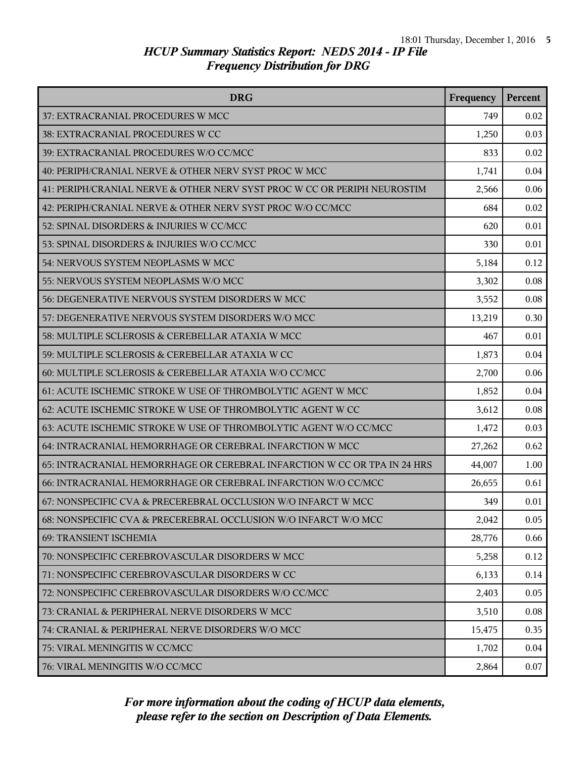| <b>DRG</b>                                                               | Frequency | Percent |
|--------------------------------------------------------------------------|-----------|---------|
| 37: EXTRACRANIAL PROCEDURES W MCC                                        | 749       | 0.02    |
| 38: EXTRACRANIAL PROCEDURES W CC                                         | 1,250     | 0.03    |
| 39: EXTRACRANIAL PROCEDURES W/O CC/MCC                                   | 833       | 0.02    |
| 40: PERIPH/CRANIAL NERVE & OTHER NERV SYST PROC W MCC                    | 1,741     | 0.04    |
| 41: PERIPH/CRANIAL NERVE & OTHER NERV SYST PROC W CC OR PERIPH NEUROSTIM | 2,566     | 0.06    |
| 42: PERIPH/CRANIAL NERVE & OTHER NERV SYST PROC W/O CC/MCC               | 684       | 0.02    |
| 52: SPINAL DISORDERS & INJURIES W CC/MCC                                 | 620       | 0.01    |
| 53: SPINAL DISORDERS & INJURIES W/O CC/MCC                               | 330       | 0.01    |
| 54: NERVOUS SYSTEM NEOPLASMS W MCC                                       | 5,184     | 0.12    |
| 55: NERVOUS SYSTEM NEOPLASMS W/O MCC                                     | 3,302     | 0.08    |
| 56: DEGENERATIVE NERVOUS SYSTEM DISORDERS W MCC                          | 3,552     | 0.08    |
| 57: DEGENERATIVE NERVOUS SYSTEM DISORDERS W/O MCC                        | 13,219    | 0.30    |
| 58: MULTIPLE SCLEROSIS & CEREBELLAR ATAXIA W MCC                         | 467       | 0.01    |
| 59: MULTIPLE SCLEROSIS & CEREBELLAR ATAXIA W CC                          | 1,873     | 0.04    |
| 60: MULTIPLE SCLEROSIS & CEREBELLAR ATAXIA W/O CC/MCC                    | 2,700     | 0.06    |
| 61: ACUTE ISCHEMIC STROKE W USE OF THROMBOLYTIC AGENT W MCC              | 1,852     | 0.04    |
| 62: ACUTE ISCHEMIC STROKE W USE OF THROMBOLYTIC AGENT W CC               | 3,612     | 0.08    |
| 63: ACUTE ISCHEMIC STROKE W USE OF THROMBOLYTIC AGENT W/O CC/MCC         | 1,472     | 0.03    |
| 64: INTRACRANIAL HEMORRHAGE OR CEREBRAL INFARCTION W MCC                 | 27,262    | 0.62    |
| 65: INTRACRANIAL HEMORRHAGE OR CEREBRAL INFARCTION W CC OR TPA IN 24 HRS | 44,007    | 1.00    |
| 66: INTRACRANIAL HEMORRHAGE OR CEREBRAL INFARCTION W/O CC/MCC            | 26,655    | 0.61    |
| 67: NONSPECIFIC CVA & PRECEREBRAL OCCLUSION W/O INFARCT W MCC            | 349       | 0.01    |
| 68: NONSPECIFIC CVA & PRECEREBRAL OCCLUSION W/O INFARCT W/O MCC          | 2,042     | 0.05    |
| <b>69: TRANSIENT ISCHEMIA</b>                                            | 28,776    | 0.66    |
| 70: NONSPECIFIC CEREBROVASCULAR DISORDERS W MCC                          | 5,258     | 0.12    |
| 71: NONSPECIFIC CEREBROVASCULAR DISORDERS W CC                           | 6,133     | 0.14    |
| 72: NONSPECIFIC CEREBROVASCULAR DISORDERS W/O CC/MCC                     | 2,403     | 0.05    |
| 73: CRANIAL & PERIPHERAL NERVE DISORDERS W MCC                           | 3,510     | 0.08    |
| 74: CRANIAL & PERIPHERAL NERVE DISORDERS W/O MCC                         | 15,475    | 0.35    |
| 75: VIRAL MENINGITIS W CC/MCC                                            | 1,702     | 0.04    |
| 76: VIRAL MENINGITIS W/O CC/MCC                                          | 2,864     | 0.07    |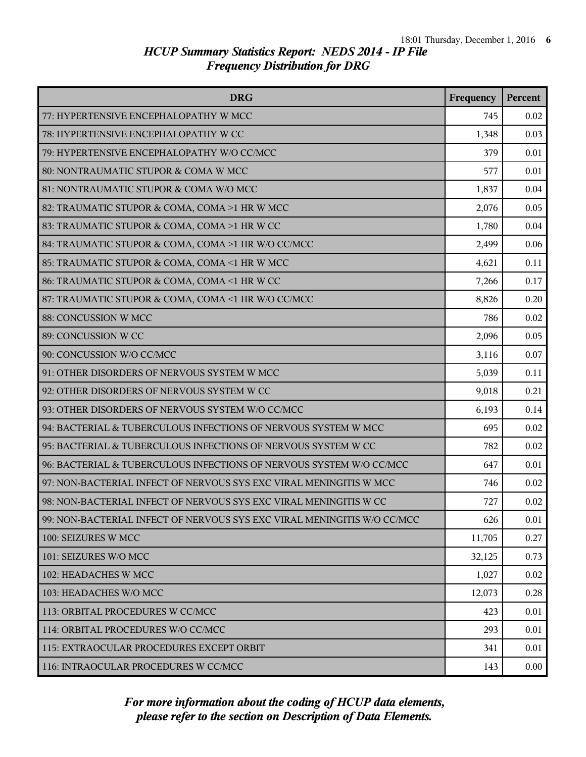| <b>DRG</b>                                                              | Frequency | Percent |
|-------------------------------------------------------------------------|-----------|---------|
| 77: HYPERTENSIVE ENCEPHALOPATHY W MCC                                   | 745       | 0.02    |
| 78: HYPERTENSIVE ENCEPHALOPATHY W CC                                    | 1,348     | 0.03    |
| 79: HYPERTENSIVE ENCEPHALOPATHY W/O CC/MCC                              | 379       | 0.01    |
| 80: NONTRAUMATIC STUPOR & COMA W MCC                                    | 577       | 0.01    |
| 81: NONTRAUMATIC STUPOR & COMA W/O MCC                                  | 1,837     | 0.04    |
| 82: TRAUMATIC STUPOR & COMA, COMA >1 HR W MCC                           | 2,076     | 0.05    |
| 83: TRAUMATIC STUPOR & COMA, COMA >1 HR W CC                            | 1,780     | 0.04    |
| 84: TRAUMATIC STUPOR & COMA, COMA >1 HR W/O CC/MCC                      | 2,499     | 0.06    |
| 85: TRAUMATIC STUPOR & COMA, COMA <1 HR W MCC                           | 4,621     | 0.11    |
| 86: TRAUMATIC STUPOR & COMA, COMA <1 HR W CC                            | 7,266     | 0.17    |
| 87: TRAUMATIC STUPOR & COMA, COMA <1 HR W/O CC/MCC                      | 8,826     | 0.20    |
| 88: CONCUSSION W MCC                                                    | 786       | 0.02    |
| 89: CONCUSSION W CC                                                     | 2,096     | 0.05    |
| 90: CONCUSSION W/O CC/MCC                                               | 3,116     | 0.07    |
| 91: OTHER DISORDERS OF NERVOUS SYSTEM W MCC                             | 5,039     | 0.11    |
| 92: OTHER DISORDERS OF NERVOUS SYSTEM W CC                              | 9,018     | 0.21    |
| 93: OTHER DISORDERS OF NERVOUS SYSTEM W/O CC/MCC                        | 6,193     | 0.14    |
| 94: BACTERIAL & TUBERCULOUS INFECTIONS OF NERVOUS SYSTEM W MCC          | 695       | 0.02    |
| 95: BACTERIAL & TUBERCULOUS INFECTIONS OF NERVOUS SYSTEM W CC           | 782       | 0.02    |
| 96: BACTERIAL & TUBERCULOUS INFECTIONS OF NERVOUS SYSTEM W/O CC/MCC     | 647       | 0.01    |
| 97: NON-BACTERIAL INFECT OF NERVOUS SYS EXC VIRAL MENINGITIS W MCC      | 746       | 0.02    |
| 98: NON-BACTERIAL INFECT OF NERVOUS SYS EXC VIRAL MENINGITIS W CC       | 727       | 0.02    |
| 99: NON-BACTERIAL INFECT OF NERVOUS SYS EXC VIRAL MENINGITIS W/O CC/MCC | 626       | 0.01    |
| 100: SEIZURES W MCC                                                     | 11,705    | 0.27    |
| 101: SEIZURES W/O MCC                                                   | 32,125    | 0.73    |
| 102: HEADACHES W MCC                                                    | 1,027     | 0.02    |
| 103: HEADACHES W/O MCC                                                  | 12,073    | 0.28    |
| 113: ORBITAL PROCEDURES W CC/MCC                                        | 423       | 0.01    |
| 114: ORBITAL PROCEDURES W/O CC/MCC                                      | 293       | 0.01    |
| 115: EXTRAOCULAR PROCEDURES EXCEPT ORBIT                                | 341       | 0.01    |
| 116: INTRAOCULAR PROCEDURES W CC/MCC                                    | 143       | 0.00    |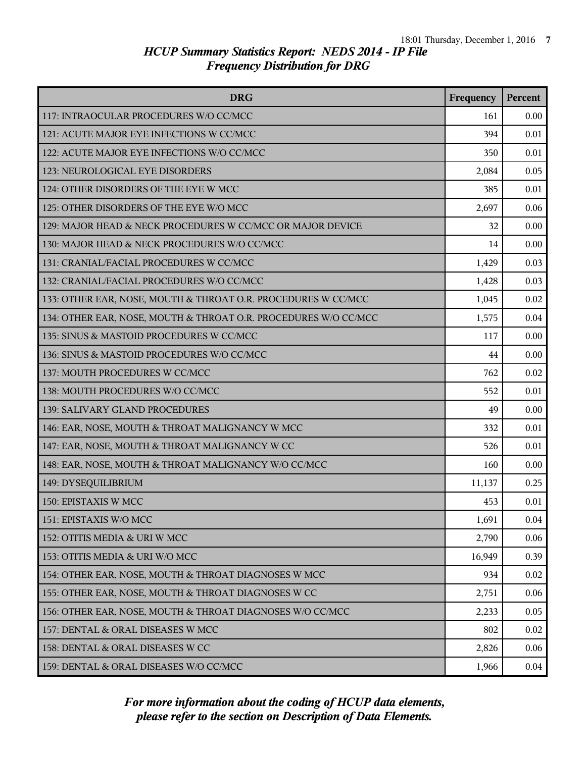| <b>DRG</b>                                                      | Frequency | Percent |
|-----------------------------------------------------------------|-----------|---------|
| 117: INTRAOCULAR PROCEDURES W/O CC/MCC                          | 161       | 0.00    |
| 121: ACUTE MAJOR EYE INFECTIONS W CC/MCC                        | 394       | 0.01    |
| 122: ACUTE MAJOR EYE INFECTIONS W/O CC/MCC                      | 350       | 0.01    |
| 123: NEUROLOGICAL EYE DISORDERS                                 | 2,084     | 0.05    |
| 124: OTHER DISORDERS OF THE EYE W MCC                           | 385       | 0.01    |
| 125: OTHER DISORDERS OF THE EYE W/O MCC                         | 2,697     | 0.06    |
| 129: MAJOR HEAD & NECK PROCEDURES W CC/MCC OR MAJOR DEVICE      | 32        | 0.00    |
| 130: MAJOR HEAD & NECK PROCEDURES W/O CC/MCC                    | 14        | 0.00    |
| 131: CRANIAL/FACIAL PROCEDURES W CC/MCC                         | 1,429     | 0.03    |
| 132: CRANIAL/FACIAL PROCEDURES W/O CC/MCC                       | 1,428     | 0.03    |
| 133: OTHER EAR, NOSE, MOUTH & THROAT O.R. PROCEDURES W CC/MCC   | 1,045     | 0.02    |
| 134: OTHER EAR, NOSE, MOUTH & THROAT O.R. PROCEDURES W/O CC/MCC | 1,575     | 0.04    |
| 135: SINUS & MASTOID PROCEDURES W CC/MCC                        | 117       | 0.00    |
| 136: SINUS & MASTOID PROCEDURES W/O CC/MCC                      | 44        | 0.00    |
| 137: MOUTH PROCEDURES W CC/MCC                                  | 762       | 0.02    |
| 138: MOUTH PROCEDURES W/O CC/MCC                                | 552       | 0.01    |
| 139: SALIVARY GLAND PROCEDURES                                  | 49        | 0.00    |
| 146: EAR, NOSE, MOUTH & THROAT MALIGNANCY W MCC                 | 332       | 0.01    |
| 147: EAR, NOSE, MOUTH & THROAT MALIGNANCY W CC                  | 526       | 0.01    |
| 148: EAR, NOSE, MOUTH & THROAT MALIGNANCY W/O CC/MCC            | 160       | 0.00    |
| 149: DYSEQUILIBRIUM                                             | 11,137    | 0.25    |
| 150: EPISTAXIS W MCC                                            | 453       | 0.01    |
| 151: EPISTAXIS W/O MCC                                          | 1,691     | 0.04    |
| 152: OTITIS MEDIA & URI W MCC                                   | 2,790     | 0.06    |
| 153: OTITIS MEDIA & URI W/O MCC                                 | 16,949    | 0.39    |
| 154: OTHER EAR, NOSE, MOUTH & THROAT DIAGNOSES W MCC            | 934       | 0.02    |
| 155: OTHER EAR, NOSE, MOUTH & THROAT DIAGNOSES W CC             | 2,751     | 0.06    |
| 156: OTHER EAR, NOSE, MOUTH & THROAT DIAGNOSES W/O CC/MCC       | 2,233     | 0.05    |
| 157: DENTAL & ORAL DISEASES W MCC                               | 802       | 0.02    |
| 158: DENTAL & ORAL DISEASES W CC                                | 2,826     | 0.06    |
| 159: DENTAL & ORAL DISEASES W/O CC/MCC                          | 1,966     | 0.04    |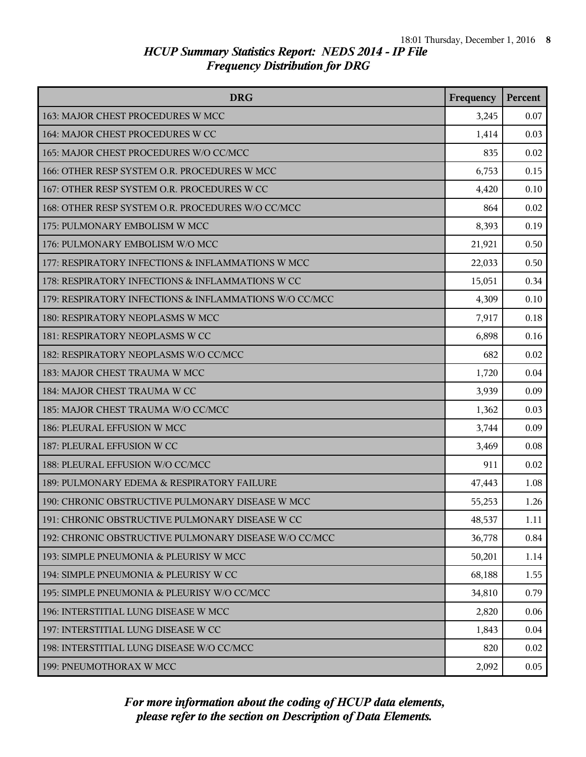| <b>DRG</b>                                             | Frequency | <b>Percent</b> |
|--------------------------------------------------------|-----------|----------------|
| 163: MAJOR CHEST PROCEDURES W MCC                      | 3,245     | 0.07           |
| 164: MAJOR CHEST PROCEDURES W CC                       | 1,414     | 0.03           |
| 165: MAJOR CHEST PROCEDURES W/O CC/MCC                 | 835       | 0.02           |
| 166: OTHER RESP SYSTEM O.R. PROCEDURES W MCC           | 6,753     | 0.15           |
| 167: OTHER RESP SYSTEM O.R. PROCEDURES W CC            | 4,420     | 0.10           |
| 168: OTHER RESP SYSTEM O.R. PROCEDURES W/O CC/MCC      | 864       | 0.02           |
| 175: PULMONARY EMBOLISM W MCC                          | 8,393     | 0.19           |
| 176: PULMONARY EMBOLISM W/O MCC                        | 21,921    | 0.50           |
| 177: RESPIRATORY INFECTIONS & INFLAMMATIONS W MCC      | 22,033    | 0.50           |
| 178: RESPIRATORY INFECTIONS & INFLAMMATIONS W CC       | 15,051    | 0.34           |
| 179: RESPIRATORY INFECTIONS & INFLAMMATIONS W/O CC/MCC | 4,309     | 0.10           |
| 180: RESPIRATORY NEOPLASMS W MCC                       | 7,917     | 0.18           |
| 181: RESPIRATORY NEOPLASMS W CC                        | 6,898     | 0.16           |
| 182: RESPIRATORY NEOPLASMS W/O CC/MCC                  | 682       | 0.02           |
| 183: MAJOR CHEST TRAUMA W MCC                          | 1,720     | 0.04           |
| 184: MAJOR CHEST TRAUMA W CC                           | 3,939     | 0.09           |
| 185: MAJOR CHEST TRAUMA W/O CC/MCC                     | 1,362     | 0.03           |
| 186: PLEURAL EFFUSION W MCC                            | 3,744     | 0.09           |
| 187: PLEURAL EFFUSION W CC                             | 3,469     | 0.08           |
| 188: PLEURAL EFFUSION W/O CC/MCC                       | 911       | 0.02           |
| 189: PULMONARY EDEMA & RESPIRATORY FAILURE             | 47,443    | 1.08           |
| 190: CHRONIC OBSTRUCTIVE PULMONARY DISEASE W MCC       | 55,253    | 1.26           |
| 191: CHRONIC OBSTRUCTIVE PULMONARY DISEASE W CC        | 48,537    | 1.11           |
| 192: CHRONIC OBSTRUCTIVE PULMONARY DISEASE W/O CC/MCC  | 36,778    | 0.84           |
| 193: SIMPLE PNEUMONIA & PLEURISY W MCC                 | 50,201    | 1.14           |
| 194: SIMPLE PNEUMONIA & PLEURISY W CC                  | 68,188    | 1.55           |
| 195: SIMPLE PNEUMONIA & PLEURISY W/O CC/MCC            | 34,810    | 0.79           |
| 196: INTERSTITIAL LUNG DISEASE W MCC                   | 2,820     | 0.06           |
| 197: INTERSTITIAL LUNG DISEASE W CC                    | 1,843     | 0.04           |
| 198: INTERSTITIAL LUNG DISEASE W/O CC/MCC              | 820       | 0.02           |
| 199: PNEUMOTHORAX W MCC                                | 2,092     | 0.05           |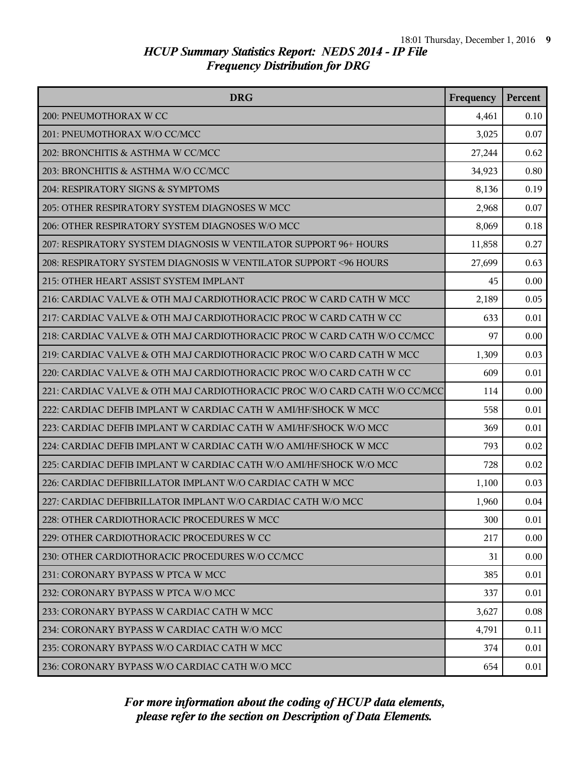| <b>DRG</b>                                                                | Frequency | <b>Percent</b> |
|---------------------------------------------------------------------------|-----------|----------------|
| 200: PNEUMOTHORAX W CC                                                    | 4,461     | 0.10           |
| 201: PNEUMOTHORAX W/O CC/MCC                                              | 3,025     | 0.07           |
| 202: BRONCHITIS & ASTHMA W CC/MCC                                         | 27,244    | 0.62           |
| 203: BRONCHITIS & ASTHMA W/O CC/MCC                                       | 34,923    | 0.80           |
| 204: RESPIRATORY SIGNS & SYMPTOMS                                         | 8,136     | 0.19           |
| 205: OTHER RESPIRATORY SYSTEM DIAGNOSES W MCC                             | 2,968     | 0.07           |
| 206: OTHER RESPIRATORY SYSTEM DIAGNOSES W/O MCC                           | 8,069     | 0.18           |
| 207: RESPIRATORY SYSTEM DIAGNOSIS W VENTILATOR SUPPORT 96+ HOURS          | 11,858    | 0.27           |
| 208: RESPIRATORY SYSTEM DIAGNOSIS W VENTILATOR SUPPORT < 96 HOURS         | 27,699    | 0.63           |
| 215: OTHER HEART ASSIST SYSTEM IMPLANT                                    | 45        | 0.00           |
| 216: CARDIAC VALVE & OTH MAJ CARDIOTHORACIC PROC W CARD CATH W MCC        | 2,189     | 0.05           |
| 217: CARDIAC VALVE & OTH MAJ CARDIOTHORACIC PROC W CARD CATH W CC         | 633       | 0.01           |
| 218: CARDIAC VALVE & OTH MAJ CARDIOTHORACIC PROC W CARD CATH W/O CC/MCC   | 97        | 0.00           |
| 219: CARDIAC VALVE & OTH MAJ CARDIOTHORACIC PROC W/O CARD CATH W MCC      | 1,309     | 0.03           |
| 220: CARDIAC VALVE & OTH MAJ CARDIOTHORACIC PROC W/O CARD CATH W CC       | 609       | 0.01           |
| 221: CARDIAC VALVE & OTH MAJ CARDIOTHORACIC PROC W/O CARD CATH W/O CC/MCC | 114       | 0.00           |
| 222: CARDIAC DEFIB IMPLANT W CARDIAC CATH W AMI/HF/SHOCK W MCC            | 558       | 0.01           |
| 223: CARDIAC DEFIB IMPLANT W CARDIAC CATH W AMI/HF/SHOCK W/O MCC          | 369       | 0.01           |
| 224: CARDIAC DEFIB IMPLANT W CARDIAC CATH W/O AMI/HF/SHOCK W MCC          | 793       | 0.02           |
| 225: CARDIAC DEFIB IMPLANT W CARDIAC CATH W/O AMI/HF/SHOCK W/O MCC        | 728       | 0.02           |
| 226: CARDIAC DEFIBRILLATOR IMPLANT W/O CARDIAC CATH W MCC                 | 1,100     | 0.03           |
| 227: CARDIAC DEFIBRILLATOR IMPLANT W/O CARDIAC CATH W/O MCC               | 1,960     | 0.04           |
| 228: OTHER CARDIOTHORACIC PROCEDURES W MCC                                | 300       | 0.01           |
| 229: OTHER CARDIOTHORACIC PROCEDURES W CC                                 | 217       | 0.00           |
| 230: OTHER CARDIOTHORACIC PROCEDURES W/O CC/MCC                           | 31        | 0.00           |
| 231: CORONARY BYPASS W PTCA W MCC                                         | 385       | 0.01           |
| 232: CORONARY BYPASS W PTCA W/O MCC                                       | 337       | 0.01           |
| 233: CORONARY BYPASS W CARDIAC CATH W MCC                                 | 3,627     | 0.08           |
| 234: CORONARY BYPASS W CARDIAC CATH W/O MCC                               | 4,791     | 0.11           |
| 235: CORONARY BYPASS W/O CARDIAC CATH W MCC                               | 374       | 0.01           |
| 236: CORONARY BYPASS W/O CARDIAC CATH W/O MCC                             | 654       | 0.01           |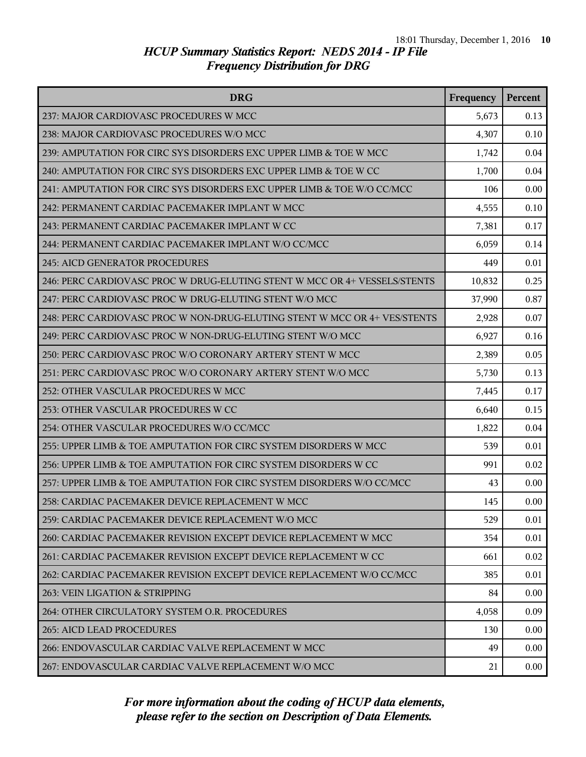| <b>DRG</b>                                                                | Frequency | Percent |
|---------------------------------------------------------------------------|-----------|---------|
| 237: MAJOR CARDIOVASC PROCEDURES W MCC                                    | 5,673     | 0.13    |
| 238: MAJOR CARDIOVASC PROCEDURES W/O MCC                                  | 4,307     | 0.10    |
| 239: AMPUTATION FOR CIRC SYS DISORDERS EXC UPPER LIMB & TOE W MCC         | 1,742     | 0.04    |
| 240: AMPUTATION FOR CIRC SYS DISORDERS EXC UPPER LIMB & TOE W CC          | 1,700     | 0.04    |
| 241: AMPUTATION FOR CIRC SYS DISORDERS EXC UPPER LIMB & TOE W/O CC/MCC    | 106       | 0.00    |
| 242: PERMANENT CARDIAC PACEMAKER IMPLANT W MCC                            | 4,555     | 0.10    |
| 243: PERMANENT CARDIAC PACEMAKER IMPLANT W CC                             | 7,381     | 0.17    |
| 244: PERMANENT CARDIAC PACEMAKER IMPLANT W/O CC/MCC                       | 6,059     | 0.14    |
| 245: AICD GENERATOR PROCEDURES                                            | 449       | 0.01    |
| 246: PERC CARDIOVASC PROC W DRUG-ELUTING STENT W MCC OR 4+ VESSELS/STENTS | 10,832    | 0.25    |
| 247: PERC CARDIOVASC PROC W DRUG-ELUTING STENT W/O MCC                    | 37,990    | 0.87    |
| 248: PERC CARDIOVASC PROC W NON-DRUG-ELUTING STENT W MCC OR 4+ VES/STENTS | 2,928     | 0.07    |
| 249: PERC CARDIOVASC PROC W NON-DRUG-ELUTING STENT W/O MCC                | 6,927     | 0.16    |
| 250: PERC CARDIOVASC PROC W/O CORONARY ARTERY STENT W MCC                 | 2,389     | 0.05    |
| 251: PERC CARDIOVASC PROC W/O CORONARY ARTERY STENT W/O MCC               | 5,730     | 0.13    |
| 252: OTHER VASCULAR PROCEDURES W MCC                                      | 7,445     | 0.17    |
| 253: OTHER VASCULAR PROCEDURES W CC                                       | 6,640     | 0.15    |
| 254: OTHER VASCULAR PROCEDURES W/O CC/MCC                                 | 1,822     | 0.04    |
| 255: UPPER LIMB & TOE AMPUTATION FOR CIRC SYSTEM DISORDERS W MCC          | 539       | 0.01    |
| 256: UPPER LIMB & TOE AMPUTATION FOR CIRC SYSTEM DISORDERS W CC           | 991       | 0.02    |
| 257: UPPER LIMB & TOE AMPUTATION FOR CIRC SYSTEM DISORDERS W/O CC/MCC     | 43        | 0.00    |
| 258: CARDIAC PACEMAKER DEVICE REPLACEMENT W MCC                           | 145       | 0.00    |
| 259: CARDIAC PACEMAKER DEVICE REPLACEMENT W/O MCC                         | 529       | 0.01    |
| 260: CARDIAC PACEMAKER REVISION EXCEPT DEVICE REPLACEMENT W MCC           | 354       | 0.01    |
| 261: CARDIAC PACEMAKER REVISION EXCEPT DEVICE REPLACEMENT W CC            | 661       | 0.02    |
| 262: CARDIAC PACEMAKER REVISION EXCEPT DEVICE REPLACEMENT W/O CC/MCC      | 385       | 0.01    |
| 263: VEIN LIGATION & STRIPPING                                            | 84        | 0.00    |
| 264: OTHER CIRCULATORY SYSTEM O.R. PROCEDURES                             | 4,058     | 0.09    |
| <b>265: AICD LEAD PROCEDURES</b>                                          | 130       | 0.00    |
| 266: ENDOVASCULAR CARDIAC VALVE REPLACEMENT W MCC                         | 49        | 0.00    |
| 267: ENDOVASCULAR CARDIAC VALVE REPLACEMENT W/O MCC                       | 21        | 0.00    |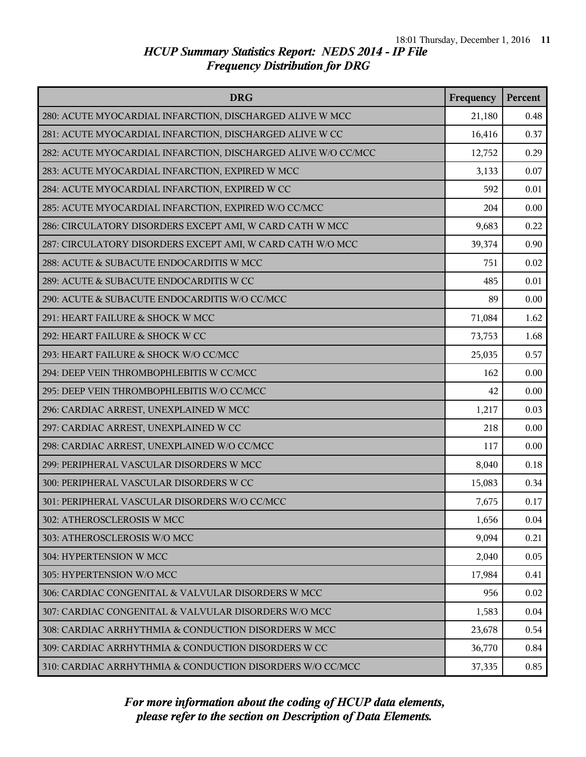| <b>DRG</b>                                                    | Frequency | Percent |
|---------------------------------------------------------------|-----------|---------|
| 280: ACUTE MYOCARDIAL INFARCTION, DISCHARGED ALIVE W MCC      | 21,180    | 0.48    |
| 281: ACUTE MYOCARDIAL INFARCTION, DISCHARGED ALIVE W CC       | 16,416    | 0.37    |
| 282: ACUTE MYOCARDIAL INFARCTION, DISCHARGED ALIVE W/O CC/MCC | 12,752    | 0.29    |
| 283: ACUTE MYOCARDIAL INFARCTION, EXPIRED W MCC               | 3,133     | 0.07    |
| 284: ACUTE MYOCARDIAL INFARCTION, EXPIRED W CC                | 592       | 0.01    |
| 285: ACUTE MYOCARDIAL INFARCTION, EXPIRED W/O CC/MCC          | 204       | 0.00    |
| 286: CIRCULATORY DISORDERS EXCEPT AMI, W CARD CATH W MCC      | 9,683     | 0.22    |
| 287: CIRCULATORY DISORDERS EXCEPT AMI, W CARD CATH W/O MCC    | 39,374    | 0.90    |
| 288: ACUTE & SUBACUTE ENDOCARDITIS W MCC                      | 751       | 0.02    |
| 289: ACUTE & SUBACUTE ENDOCARDITIS W CC                       | 485       | 0.01    |
| 290: ACUTE & SUBACUTE ENDOCARDITIS W/O CC/MCC                 | 89        | 0.00    |
| 291: HEART FAILURE & SHOCK W MCC                              | 71,084    | 1.62    |
| 292: HEART FAILURE & SHOCK W CC                               | 73,753    | 1.68    |
| 293: HEART FAILURE & SHOCK W/O CC/MCC                         | 25,035    | 0.57    |
| 294: DEEP VEIN THROMBOPHLEBITIS W CC/MCC                      | 162       | 0.00    |
| 295: DEEP VEIN THROMBOPHLEBITIS W/O CC/MCC                    | 42        | 0.00    |
| 296: CARDIAC ARREST, UNEXPLAINED W MCC                        | 1,217     | 0.03    |
| 297: CARDIAC ARREST, UNEXPLAINED W CC                         | 218       | 0.00    |
| 298: CARDIAC ARREST, UNEXPLAINED W/O CC/MCC                   | 117       | 0.00    |
| 299: PERIPHERAL VASCULAR DISORDERS W MCC                      | 8,040     | 0.18    |
| 300: PERIPHERAL VASCULAR DISORDERS W CC                       | 15,083    | 0.34    |
| 301: PERIPHERAL VASCULAR DISORDERS W/O CC/MCC                 | 7,675     | 0.17    |
| 302: ATHEROSCLEROSIS W MCC                                    | 1,656     | 0.04    |
| 303: ATHEROSCLEROSIS W/O MCC                                  | 9,094     | 0.21    |
| 304: HYPERTENSION W MCC                                       | 2,040     | 0.05    |
| 305: HYPERTENSION W/O MCC                                     | 17,984    | 0.41    |
| 306: CARDIAC CONGENITAL & VALVULAR DISORDERS W MCC            | 956       | 0.02    |
| 307: CARDIAC CONGENITAL & VALVULAR DISORDERS W/O MCC          | 1,583     | 0.04    |
| 308: CARDIAC ARRHYTHMIA & CONDUCTION DISORDERS W MCC          | 23,678    | 0.54    |
| 309: CARDIAC ARRHYTHMIA & CONDUCTION DISORDERS W CC           | 36,770    | 0.84    |
| 310: CARDIAC ARRHYTHMIA & CONDUCTION DISORDERS W/O CC/MCC     | 37,335    | 0.85    |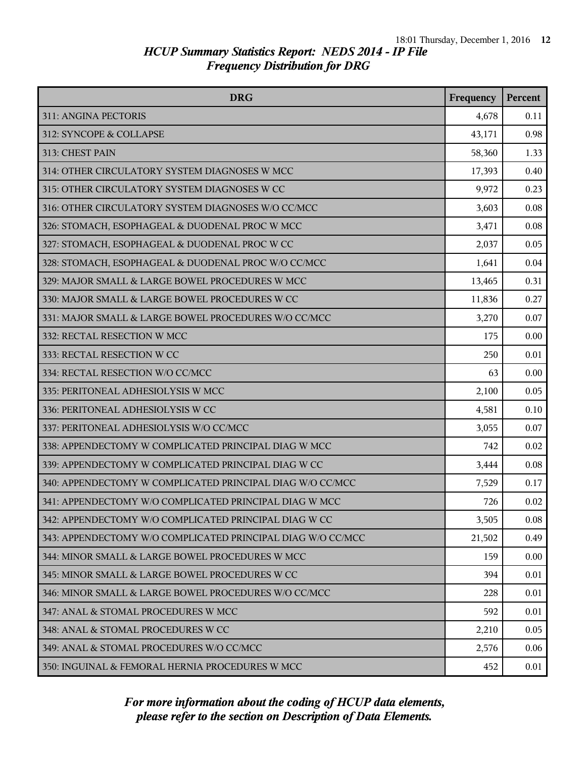| <b>DRG</b>                                                  | Frequency | Percent |
|-------------------------------------------------------------|-----------|---------|
| 311: ANGINA PECTORIS                                        | 4,678     | 0.11    |
| 312: SYNCOPE & COLLAPSE                                     | 43,171    | 0.98    |
| 313: CHEST PAIN                                             | 58,360    | 1.33    |
| 314: OTHER CIRCULATORY SYSTEM DIAGNOSES W MCC               | 17,393    | 0.40    |
| 315: OTHER CIRCULATORY SYSTEM DIAGNOSES W CC                | 9,972     | 0.23    |
| 316: OTHER CIRCULATORY SYSTEM DIAGNOSES W/O CC/MCC          | 3,603     | 0.08    |
| 326: STOMACH, ESOPHAGEAL & DUODENAL PROC W MCC              | 3,471     | 0.08    |
| 327: STOMACH, ESOPHAGEAL & DUODENAL PROC W CC               | 2,037     | 0.05    |
| 328: STOMACH, ESOPHAGEAL & DUODENAL PROC W/O CC/MCC         | 1,641     | 0.04    |
| 329: MAJOR SMALL & LARGE BOWEL PROCEDURES W MCC             | 13,465    | 0.31    |
| 330: MAJOR SMALL & LARGE BOWEL PROCEDURES W CC              | 11,836    | 0.27    |
| 331: MAJOR SMALL & LARGE BOWEL PROCEDURES W/O CC/MCC        | 3,270     | 0.07    |
| 332: RECTAL RESECTION W MCC                                 | 175       | 0.00    |
| 333: RECTAL RESECTION W CC                                  | 250       | 0.01    |
| 334: RECTAL RESECTION W/O CC/MCC                            | 63        | 0.00    |
| 335: PERITONEAL ADHESIOLYSIS W MCC                          | 2,100     | 0.05    |
| 336: PERITONEAL ADHESIOLYSIS W CC                           | 4,581     | 0.10    |
| 337: PERITONEAL ADHESIOLYSIS W/O CC/MCC                     | 3,055     | 0.07    |
| 338: APPENDECTOMY W COMPLICATED PRINCIPAL DIAG W MCC        | 742       | 0.02    |
| 339: APPENDECTOMY W COMPLICATED PRINCIPAL DIAG W CC         | 3,444     | 0.08    |
| 340: APPENDECTOMY W COMPLICATED PRINCIPAL DIAG W/O CC/MCC   | 7,529     | 0.17    |
| 341: APPENDECTOMY W/O COMPLICATED PRINCIPAL DIAG W MCC      | 726       | 0.02    |
| 342: APPENDECTOMY W/O COMPLICATED PRINCIPAL DIAG W CC       | 3,505     | 0.08    |
| 343: APPENDECTOMY W/O COMPLICATED PRINCIPAL DIAG W/O CC/MCC | 21,502    | 0.49    |
| 344: MINOR SMALL & LARGE BOWEL PROCEDURES W MCC             | 159       | 0.00    |
| 345: MINOR SMALL & LARGE BOWEL PROCEDURES W CC              | 394       | 0.01    |
| 346: MINOR SMALL & LARGE BOWEL PROCEDURES W/O CC/MCC        | 228       | 0.01    |
| 347: ANAL & STOMAL PROCEDURES W MCC                         | 592       | 0.01    |
| 348: ANAL & STOMAL PROCEDURES W CC                          | 2,210     | 0.05    |
| 349: ANAL & STOMAL PROCEDURES W/O CC/MCC                    | 2,576     | 0.06    |
| 350: INGUINAL & FEMORAL HERNIA PROCEDURES W MCC             | 452       | 0.01    |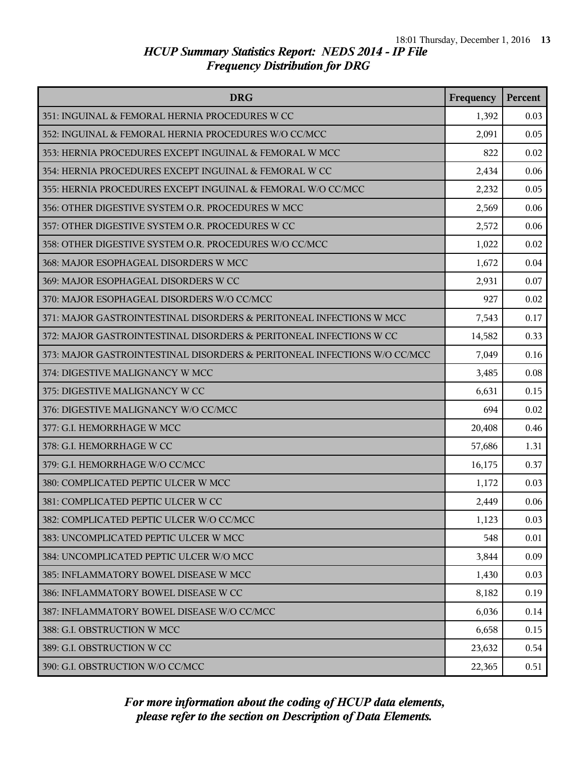| <b>DRG</b>                                                               | Frequency | Percent |
|--------------------------------------------------------------------------|-----------|---------|
| 351: INGUINAL & FEMORAL HERNIA PROCEDURES W CC                           | 1,392     | 0.03    |
| 352: INGUINAL & FEMORAL HERNIA PROCEDURES W/O CC/MCC                     | 2,091     | 0.05    |
| 353: HERNIA PROCEDURES EXCEPT INGUINAL & FEMORAL W MCC                   | 822       | 0.02    |
| 354: HERNIA PROCEDURES EXCEPT INGUINAL & FEMORAL W CC                    | 2,434     | 0.06    |
| 355: HERNIA PROCEDURES EXCEPT INGUINAL & FEMORAL W/O CC/MCC              | 2,232     | 0.05    |
| 356: OTHER DIGESTIVE SYSTEM O.R. PROCEDURES W MCC                        | 2,569     | 0.06    |
| 357: OTHER DIGESTIVE SYSTEM O.R. PROCEDURES W CC                         | 2,572     | 0.06    |
| 358: OTHER DIGESTIVE SYSTEM O.R. PROCEDURES W/O CC/MCC                   | 1,022     | 0.02    |
| 368: MAJOR ESOPHAGEAL DISORDERS W MCC                                    | 1,672     | 0.04    |
| 369: MAJOR ESOPHAGEAL DISORDERS W CC                                     | 2,931     | 0.07    |
| 370: MAJOR ESOPHAGEAL DISORDERS W/O CC/MCC                               | 927       | 0.02    |
| 371: MAJOR GASTROINTESTINAL DISORDERS & PERITONEAL INFECTIONS W MCC      | 7,543     | 0.17    |
| 372: MAJOR GASTROINTESTINAL DISORDERS & PERITONEAL INFECTIONS W CC       | 14,582    | 0.33    |
| 373: MAJOR GASTROINTESTINAL DISORDERS & PERITONEAL INFECTIONS W/O CC/MCC | 7,049     | 0.16    |
| 374: DIGESTIVE MALIGNANCY W MCC                                          | 3,485     | 0.08    |
| 375: DIGESTIVE MALIGNANCY W CC                                           | 6,631     | 0.15    |
| 376: DIGESTIVE MALIGNANCY W/O CC/MCC                                     | 694       | 0.02    |
| 377: G.I. HEMORRHAGE W MCC                                               | 20,408    | 0.46    |
| 378: G.I. HEMORRHAGE W CC                                                | 57,686    | 1.31    |
| 379: G.I. HEMORRHAGE W/O CC/MCC                                          | 16,175    | 0.37    |
| 380: COMPLICATED PEPTIC ULCER W MCC                                      | 1,172     | 0.03    |
| 381: COMPLICATED PEPTIC ULCER W CC                                       | 2,449     | 0.06    |
| 382: COMPLICATED PEPTIC ULCER W/O CC/MCC                                 | 1,123     | 0.03    |
| 383: UNCOMPLICATED PEPTIC ULCER W MCC                                    | 548       | 0.01    |
| 384: UNCOMPLICATED PEPTIC ULCER W/O MCC                                  | 3,844     | 0.09    |
| 385: INFLAMMATORY BOWEL DISEASE W MCC                                    | 1,430     | 0.03    |
| 386: INFLAMMATORY BOWEL DISEASE W CC                                     | 8,182     | 0.19    |
| 387: INFLAMMATORY BOWEL DISEASE W/O CC/MCC                               | 6,036     | 0.14    |
| 388: G.I. OBSTRUCTION W MCC                                              | 6,658     | 0.15    |
| 389: G.I. OBSTRUCTION W CC                                               | 23,632    | 0.54    |
| 390: G.I. OBSTRUCTION W/O CC/MCC                                         | 22,365    | 0.51    |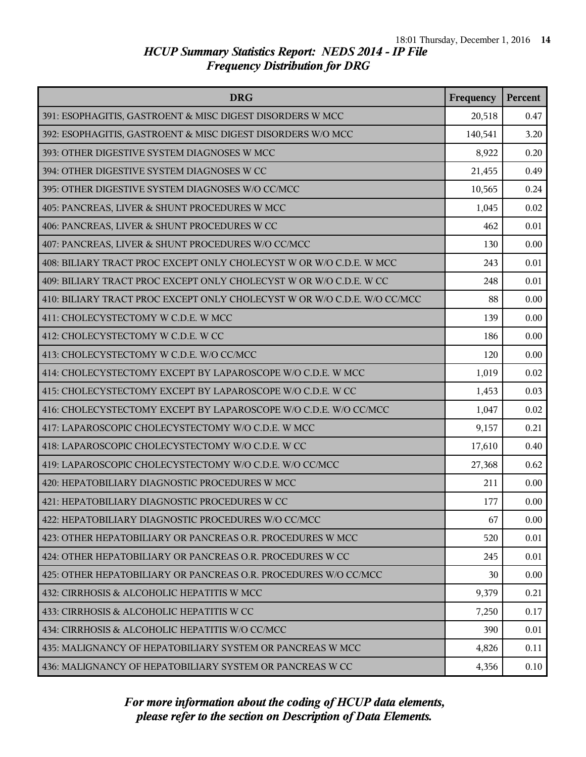| <b>DRG</b>                                                               | Frequency | Percent |
|--------------------------------------------------------------------------|-----------|---------|
| 391: ESOPHAGITIS, GASTROENT & MISC DIGEST DISORDERS W MCC                | 20,518    | 0.47    |
| 392: ESOPHAGITIS, GASTROENT & MISC DIGEST DISORDERS W/O MCC              | 140,541   | 3.20    |
| 393: OTHER DIGESTIVE SYSTEM DIAGNOSES W MCC                              | 8,922     | 0.20    |
| 394: OTHER DIGESTIVE SYSTEM DIAGNOSES W CC                               | 21,455    | 0.49    |
| 395: OTHER DIGESTIVE SYSTEM DIAGNOSES W/O CC/MCC                         | 10,565    | 0.24    |
| 405: PANCREAS, LIVER & SHUNT PROCEDURES W MCC                            | 1,045     | 0.02    |
| 406: PANCREAS, LIVER & SHUNT PROCEDURES W CC                             | 462       | 0.01    |
| 407: PANCREAS, LIVER & SHUNT PROCEDURES W/O CC/MCC                       | 130       | 0.00    |
| 408: BILIARY TRACT PROC EXCEPT ONLY CHOLECYST W OR W/O C.D.E. W MCC      | 243       | 0.01    |
| 409: BILIARY TRACT PROC EXCEPT ONLY CHOLECYST W OR W/O C.D.E. W CC       | 248       | 0.01    |
| 410: BILIARY TRACT PROC EXCEPT ONLY CHOLECYST W OR W/O C.D.E. W/O CC/MCC | 88        | 0.00    |
| 411: CHOLECYSTECTOMY W C.D.E. W MCC                                      | 139       | 0.00    |
| 412: CHOLECYSTECTOMY W C.D.E. W CC                                       | 186       | 0.00    |
| 413: CHOLECYSTECTOMY W C.D.E. W/O CC/MCC                                 | 120       | 0.00    |
| 414: CHOLECYSTECTOMY EXCEPT BY LAPAROSCOPE W/O C.D.E. W MCC              | 1,019     | 0.02    |
| 415: CHOLECYSTECTOMY EXCEPT BY LAPAROSCOPE W/O C.D.E. W CC               | 1,453     | 0.03    |
| 416: CHOLECYSTECTOMY EXCEPT BY LAPAROSCOPE W/O C.D.E. W/O CC/MCC         | 1,047     | 0.02    |
| 417: LAPAROSCOPIC CHOLECYSTECTOMY W/O C.D.E. W MCC                       | 9,157     | 0.21    |
| 418: LAPAROSCOPIC CHOLECYSTECTOMY W/O C.D.E. W CC                        | 17,610    | 0.40    |
| 419: LAPAROSCOPIC CHOLECYSTECTOMY W/O C.D.E. W/O CC/MCC                  | 27,368    | 0.62    |
| 420: HEPATOBILIARY DIAGNOSTIC PROCEDURES W MCC                           | 211       | 0.00    |
| 421: HEPATOBILIARY DIAGNOSTIC PROCEDURES W CC                            | 177       | 0.00    |
| 422: HEPATOBILIARY DIAGNOSTIC PROCEDURES W/O CC/MCC                      | 67        | 0.00    |
| 423: OTHER HEPATOBILIARY OR PANCREAS O.R. PROCEDURES W MCC               | 520       | 0.01    |
| 424: OTHER HEPATOBILIARY OR PANCREAS O.R. PROCEDURES W CC                | 245       | 0.01    |
| 425: OTHER HEPATOBILIARY OR PANCREAS O.R. PROCEDURES W/O CC/MCC          | 30        | 0.00    |
| 432: CIRRHOSIS & ALCOHOLIC HEPATITIS W MCC                               | 9,379     | 0.21    |
| 433: CIRRHOSIS & ALCOHOLIC HEPATITIS W CC                                | 7,250     | 0.17    |
| 434: CIRRHOSIS & ALCOHOLIC HEPATITIS W/O CC/MCC                          | 390       | 0.01    |
| 435: MALIGNANCY OF HEPATOBILIARY SYSTEM OR PANCREAS W MCC                | 4,826     | 0.11    |
| 436: MALIGNANCY OF HEPATOBILIARY SYSTEM OR PANCREAS W CC                 | 4,356     | 0.10    |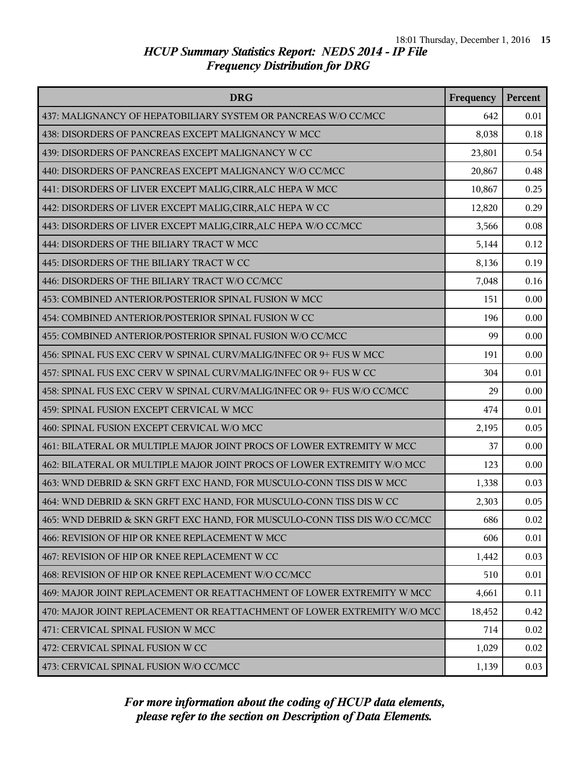| <b>DRG</b>                                                                | Frequency | Percent |
|---------------------------------------------------------------------------|-----------|---------|
| 437: MALIGNANCY OF HEPATOBILIARY SYSTEM OR PANCREAS W/O CC/MCC            | 642       | 0.01    |
| 438: DISORDERS OF PANCREAS EXCEPT MALIGNANCY W MCC                        | 8,038     | 0.18    |
| 439: DISORDERS OF PANCREAS EXCEPT MALIGNANCY W CC                         | 23,801    | 0.54    |
| 440: DISORDERS OF PANCREAS EXCEPT MALIGNANCY W/O CC/MCC                   | 20,867    | 0.48    |
| 441: DISORDERS OF LIVER EXCEPT MALIG, CIRR, ALC HEPA W MCC                | 10,867    | 0.25    |
| 442: DISORDERS OF LIVER EXCEPT MALIG, CIRR, ALC HEPA W CC                 | 12,820    | 0.29    |
| 443: DISORDERS OF LIVER EXCEPT MALIG, CIRR, ALC HEPA W/O CC/MCC           | 3,566     | 0.08    |
| 444: DISORDERS OF THE BILIARY TRACT W MCC                                 | 5,144     | 0.12    |
| 445: DISORDERS OF THE BILIARY TRACT W CC                                  | 8,136     | 0.19    |
| 446: DISORDERS OF THE BILIARY TRACT W/O CC/MCC                            | 7,048     | 0.16    |
| 453: COMBINED ANTERIOR/POSTERIOR SPINAL FUSION W MCC                      | 151       | 0.00    |
| 454: COMBINED ANTERIOR/POSTERIOR SPINAL FUSION W CC                       | 196       | 0.00    |
| 455: COMBINED ANTERIOR/POSTERIOR SPINAL FUSION W/O CC/MCC                 | 99        | 0.00    |
| 456: SPINAL FUS EXC CERV W SPINAL CURV/MALIG/INFEC OR 9+ FUS W MCC        | 191       | 0.00    |
| 457: SPINAL FUS EXC CERV W SPINAL CURV/MALIG/INFEC OR 9+ FUS W CC         | 304       | 0.01    |
| 458: SPINAL FUS EXC CERV W SPINAL CURV/MALIG/INFEC OR 9+ FUS W/O CC/MCC   | 29        | 0.00    |
| 459: SPINAL FUSION EXCEPT CERVICAL W MCC                                  | 474       | 0.01    |
| 460: SPINAL FUSION EXCEPT CERVICAL W/O MCC                                | 2,195     | 0.05    |
| 461: BILATERAL OR MULTIPLE MAJOR JOINT PROCS OF LOWER EXTREMITY W MCC     | 37        | 0.00    |
| 462: BILATERAL OR MULTIPLE MAJOR JOINT PROCS OF LOWER EXTREMITY W/O MCC   | 123       | 0.00    |
| 463: WND DEBRID & SKN GRFT EXC HAND, FOR MUSCULO-CONN TISS DIS W MCC      | 1,338     | 0.03    |
| 464: WND DEBRID & SKN GRFT EXC HAND, FOR MUSCULO-CONN TISS DIS W CC       | 2,303     | 0.05    |
| 465: WND DEBRID & SKN GRFT EXC HAND, FOR MUSCULO-CONN TISS DIS W/O CC/MCC | 686       | 0.02    |
| 466: REVISION OF HIP OR KNEE REPLACEMENT W MCC                            | 606       | 0.01    |
| 467: REVISION OF HIP OR KNEE REPLACEMENT W CC                             | 1,442     | 0.03    |
| 468: REVISION OF HIP OR KNEE REPLACEMENT W/O CC/MCC                       | 510       | 0.01    |
| 469: MAJOR JOINT REPLACEMENT OR REATTACHMENT OF LOWER EXTREMITY W MCC     | 4,661     | 0.11    |
| 470: MAJOR JOINT REPLACEMENT OR REATTACHMENT OF LOWER EXTREMITY W/O MCC   | 18,452    | 0.42    |
| 471: CERVICAL SPINAL FUSION W MCC                                         | 714       | 0.02    |
| 472: CERVICAL SPINAL FUSION W CC                                          | 1,029     | 0.02    |
| 473: CERVICAL SPINAL FUSION W/O CC/MCC                                    | 1,139     | 0.03    |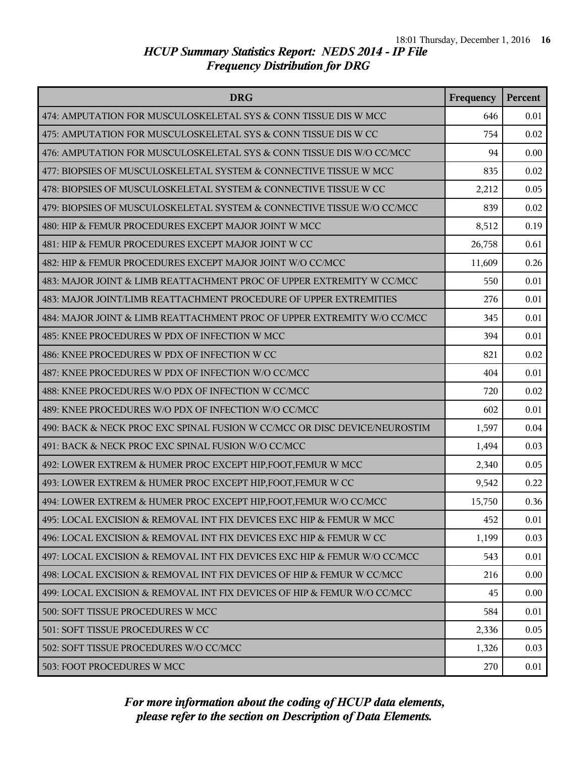| <b>DRG</b>                                                                | Frequency | <b>Percent</b> |
|---------------------------------------------------------------------------|-----------|----------------|
| 474: AMPUTATION FOR MUSCULOSKELETAL SYS & CONN TISSUE DIS W MCC           | 646       | 0.01           |
| 475: AMPUTATION FOR MUSCULOSKELETAL SYS & CONN TISSUE DIS W CC            | 754       | 0.02           |
| 476: AMPUTATION FOR MUSCULOSKELETAL SYS & CONN TISSUE DIS W/O CC/MCC      | 94        | 0.00           |
| 477: BIOPSIES OF MUSCULOSKELETAL SYSTEM & CONNECTIVE TISSUE W MCC         | 835       | 0.02           |
| 478: BIOPSIES OF MUSCULOSKELETAL SYSTEM & CONNECTIVE TISSUE W CC          | 2,212     | 0.05           |
| 479: BIOPSIES OF MUSCULOSKELETAL SYSTEM & CONNECTIVE TISSUE W/O CC/MCC    | 839       | 0.02           |
| 480: HIP & FEMUR PROCEDURES EXCEPT MAJOR JOINT W MCC                      | 8,512     | 0.19           |
| 481: HIP & FEMUR PROCEDURES EXCEPT MAJOR JOINT W CC                       | 26,758    | 0.61           |
| 482: HIP & FEMUR PROCEDURES EXCEPT MAJOR JOINT W/O CC/MCC                 | 11,609    | 0.26           |
| 483: MAJOR JOINT & LIMB REATTACHMENT PROC OF UPPER EXTREMITY W CC/MCC     | 550       | 0.01           |
| 483: MAJOR JOINT/LIMB REATTACHMENT PROCEDURE OF UPPER EXTREMITIES         | 276       | 0.01           |
| 484: MAJOR JOINT & LIMB REATTACHMENT PROC OF UPPER EXTREMITY W/O CC/MCC   | 345       | 0.01           |
| 485: KNEE PROCEDURES W PDX OF INFECTION W MCC                             | 394       | 0.01           |
| 486: KNEE PROCEDURES W PDX OF INFECTION W CC                              | 821       | 0.02           |
| 487: KNEE PROCEDURES W PDX OF INFECTION W/O CC/MCC                        | 404       | 0.01           |
| 488: KNEE PROCEDURES W/O PDX OF INFECTION W CC/MCC                        | 720       | 0.02           |
| 489: KNEE PROCEDURES W/O PDX OF INFECTION W/O CC/MCC                      | 602       | 0.01           |
| 490: BACK & NECK PROC EXC SPINAL FUSION W CC/MCC OR DISC DEVICE/NEUROSTIM | 1,597     | 0.04           |
| 491: BACK & NECK PROC EXC SPINAL FUSION W/O CC/MCC                        | 1,494     | 0.03           |
| 492: LOWER EXTREM & HUMER PROC EXCEPT HIP, FOOT, FEMUR W MCC              | 2,340     | 0.05           |
| 493: LOWER EXTREM & HUMER PROC EXCEPT HIP, FOOT, FEMUR W CC               | 9,542     | 0.22           |
| 494: LOWER EXTREM & HUMER PROC EXCEPT HIP, FOOT, FEMUR W/O CC/MCC         | 15,750    | 0.36           |
| 495: LOCAL EXCISION & REMOVAL INT FIX DEVICES EXC HIP & FEMUR W MCC       | 452       | 0.01           |
| 496: LOCAL EXCISION & REMOVAL INT FIX DEVICES EXC HIP & FEMUR W CC        | 1,199     | 0.03           |
| 497: LOCAL EXCISION & REMOVAL INT FIX DEVICES EXC HIP & FEMUR W/O CC/MCC  | 543       | 0.01           |
| 498: LOCAL EXCISION & REMOVAL INT FIX DEVICES OF HIP & FEMUR W CC/MCC     | 216       | 0.00           |
| 499: LOCAL EXCISION & REMOVAL INT FIX DEVICES OF HIP & FEMUR W/O CC/MCC   | 45        | 0.00           |
| 500: SOFT TISSUE PROCEDURES W MCC                                         | 584       | 0.01           |
| 501: SOFT TISSUE PROCEDURES W CC                                          | 2,336     | 0.05           |
| 502: SOFT TISSUE PROCEDURES W/O CC/MCC                                    | 1,326     | 0.03           |
| 503: FOOT PROCEDURES W MCC                                                | 270       | 0.01           |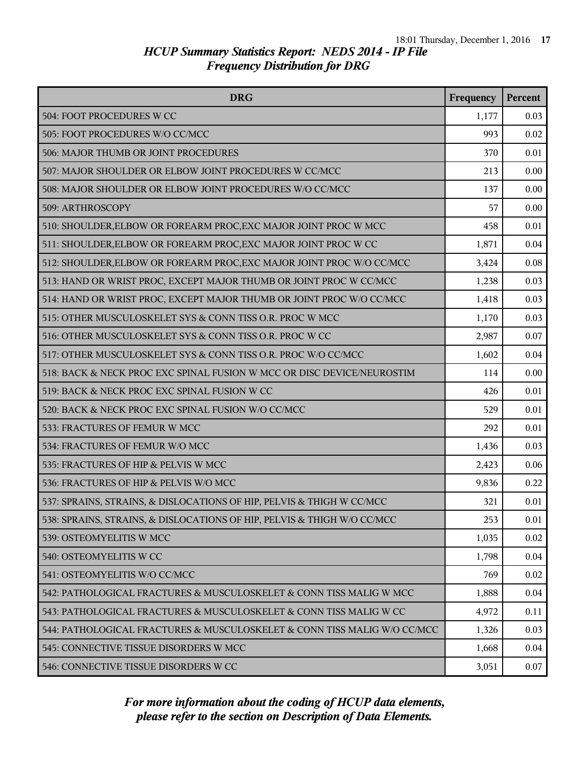| <b>DRG</b>                                                               | Frequency | Percent |
|--------------------------------------------------------------------------|-----------|---------|
| 504: FOOT PROCEDURES W CC                                                | 1,177     | 0.03    |
| 505: FOOT PROCEDURES W/O CC/MCC                                          | 993       | 0.02    |
| 506: MAJOR THUMB OR JOINT PROCEDURES                                     | 370       | 0.01    |
| 507: MAJOR SHOULDER OR ELBOW JOINT PROCEDURES W CC/MCC                   | 213       | 0.00    |
| 508: MAJOR SHOULDER OR ELBOW JOINT PROCEDURES W/O CC/MCC                 | 137       | 0.00    |
| 509: ARTHROSCOPY                                                         | 57        | 0.00    |
| 510: SHOULDER, ELBOW OR FOREARM PROC, EXC MAJOR JOINT PROC W MCC         | 458       | 0.01    |
| 511: SHOULDER, ELBOW OR FOREARM PROC, EXC MAJOR JOINT PROC W CC          | 1,871     | 0.04    |
| 512: SHOULDER, ELBOW OR FOREARM PROC, EXC MAJOR JOINT PROC W/O CC/MCC    | 3,424     | 0.08    |
| 513: HAND OR WRIST PROC, EXCEPT MAJOR THUMB OR JOINT PROC W CC/MCC       | 1,238     | 0.03    |
| 514: HAND OR WRIST PROC, EXCEPT MAJOR THUMB OR JOINT PROC W/O CC/MCC     | 1,418     | 0.03    |
| 515: OTHER MUSCULOSKELET SYS & CONN TISS O.R. PROC W MCC                 | 1,170     | 0.03    |
| 516: OTHER MUSCULOSKELET SYS & CONN TISS O.R. PROC W CC                  | 2,987     | 0.07    |
| 517: OTHER MUSCULOSKELET SYS & CONN TISS O.R. PROC W/O CC/MCC            | 1,602     | 0.04    |
| 518: BACK & NECK PROC EXC SPINAL FUSION W MCC OR DISC DEVICE/NEUROSTIM   | 114       | 0.00    |
| 519: BACK & NECK PROC EXC SPINAL FUSION W CC                             | 426       | 0.01    |
| 520: BACK & NECK PROC EXC SPINAL FUSION W/O CC/MCC                       | 529       | 0.01    |
| 533: FRACTURES OF FEMUR W MCC                                            | 292       | 0.01    |
| 534: FRACTURES OF FEMUR W/O MCC                                          | 1,436     | 0.03    |
| 535: FRACTURES OF HIP & PELVIS W MCC                                     | 2,423     | 0.06    |
| 536: FRACTURES OF HIP & PELVIS W/O MCC                                   | 9,836     | 0.22    |
| 537: SPRAINS, STRAINS, & DISLOCATIONS OF HIP, PELVIS & THIGH W CC/MCC    | 321       | 0.01    |
| 538: SPRAINS, STRAINS, & DISLOCATIONS OF HIP, PELVIS & THIGH W/O CC/MCC  | 253       | 0.01    |
| 539: OSTEOMYELITIS W MCC                                                 | 1,035     | 0.02    |
| 540: OSTEOMYELITIS W CC                                                  | 1,798     | 0.04    |
| 541: OSTEOMYELITIS W/O CC/MCC                                            | 769       | 0.02    |
| 542: PATHOLOGICAL FRACTURES & MUSCULOSKELET & CONN TISS MALIG W MCC      | 1,888     | 0.04    |
| 543: PATHOLOGICAL FRACTURES & MUSCULOSKELET & CONN TISS MALIG W CC       | 4,972     | 0.11    |
| 544: PATHOLOGICAL FRACTURES & MUSCULOSKELET & CONN TISS MALIG W/O CC/MCC | 1,326     | 0.03    |
| 545: CONNECTIVE TISSUE DISORDERS W MCC                                   | 1,668     | 0.04    |
| 546: CONNECTIVE TISSUE DISORDERS W CC                                    | 3,051     | 0.07    |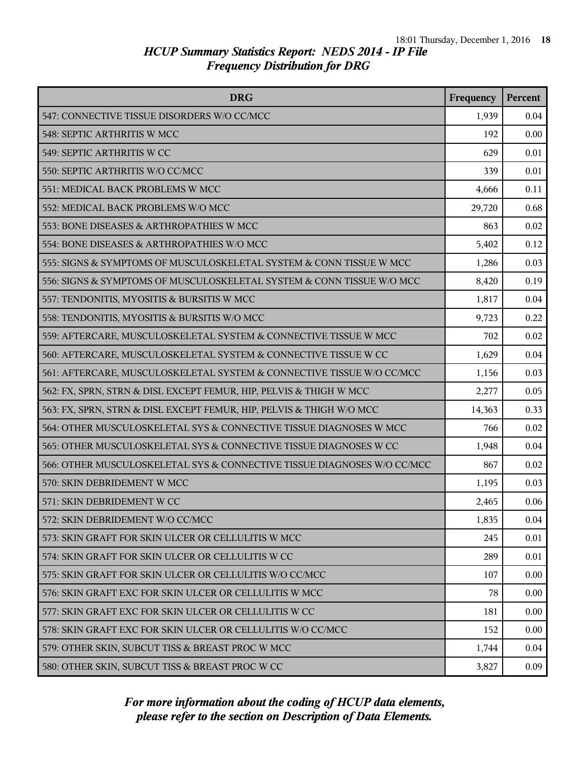| <b>DRG</b>                                                              | Frequency | Percent |
|-------------------------------------------------------------------------|-----------|---------|
| 547: CONNECTIVE TISSUE DISORDERS W/O CC/MCC                             | 1,939     | 0.04    |
| 548: SEPTIC ARTHRITIS W MCC                                             | 192       | 0.00    |
| 549: SEPTIC ARTHRITIS W CC                                              | 629       | 0.01    |
| 550: SEPTIC ARTHRITIS W/O CC/MCC                                        | 339       | 0.01    |
| 551: MEDICAL BACK PROBLEMS W MCC                                        | 4,666     | 0.11    |
| 552: MEDICAL BACK PROBLEMS W/O MCC                                      | 29,720    | 0.68    |
| 553: BONE DISEASES & ARTHROPATHIES W MCC                                | 863       | 0.02    |
| 554: BONE DISEASES & ARTHROPATHIES W/O MCC                              | 5,402     | 0.12    |
| 555: SIGNS & SYMPTOMS OF MUSCULOSKELETAL SYSTEM & CONN TISSUE W MCC     | 1,286     | 0.03    |
| 556: SIGNS & SYMPTOMS OF MUSCULOSKELETAL SYSTEM & CONN TISSUE W/O MCC   | 8,420     | 0.19    |
| 557: TENDONITIS, MYOSITIS & BURSITIS W MCC                              | 1,817     | 0.04    |
| 558: TENDONITIS, MYOSITIS & BURSITIS W/O MCC                            | 9,723     | 0.22    |
| 559: AFTERCARE, MUSCULOSKELETAL SYSTEM & CONNECTIVE TISSUE W MCC        | 702       | 0.02    |
| 560: AFTERCARE, MUSCULOSKELETAL SYSTEM & CONNECTIVE TISSUE W CC         | 1,629     | 0.04    |
| 561: AFTERCARE, MUSCULOSKELETAL SYSTEM & CONNECTIVE TISSUE W/O CC/MCC   | 1,156     | 0.03    |
| 562: FX, SPRN, STRN & DISL EXCEPT FEMUR, HIP, PELVIS & THIGH W MCC      | 2,277     | 0.05    |
| 563: FX, SPRN, STRN & DISL EXCEPT FEMUR, HIP, PELVIS & THIGH W/O MCC    | 14,363    | 0.33    |
| 564: OTHER MUSCULOSKELETAL SYS & CONNECTIVE TISSUE DIAGNOSES W MCC      | 766       | 0.02    |
| 565: OTHER MUSCULOSKELETAL SYS & CONNECTIVE TISSUE DIAGNOSES W CC       | 1,948     | 0.04    |
| 566: OTHER MUSCULOSKELETAL SYS & CONNECTIVE TISSUE DIAGNOSES W/O CC/MCC | 867       | 0.02    |
| 570: SKIN DEBRIDEMENT W MCC                                             | 1,195     | 0.03    |
| 571: SKIN DEBRIDEMENT W CC                                              | 2,465     | 0.06    |
| 572: SKIN DEBRIDEMENT W/O CC/MCC                                        | 1,835     | 0.04    |
| 573: SKIN GRAFT FOR SKIN ULCER OR CELLULITIS W MCC                      | 245       | 0.01    |
| 574: SKIN GRAFT FOR SKIN ULCER OR CELLULITIS W CC                       | 289       | 0.01    |
| 575: SKIN GRAFT FOR SKIN ULCER OR CELLULITIS W/O CC/MCC                 | 107       | 0.00    |
| 576: SKIN GRAFT EXC FOR SKIN ULCER OR CELLULITIS W MCC                  | 78        | 0.00    |
| 577: SKIN GRAFT EXC FOR SKIN ULCER OR CELLULITIS W CC                   | 181       | 0.00    |
| 578: SKIN GRAFT EXC FOR SKIN ULCER OR CELLULITIS W/O CC/MCC             | 152       | 0.00    |
| 579: OTHER SKIN, SUBCUT TISS & BREAST PROC W MCC                        | 1,744     | 0.04    |
| 580: OTHER SKIN, SUBCUT TISS & BREAST PROC W CC                         | 3,827     | 0.09    |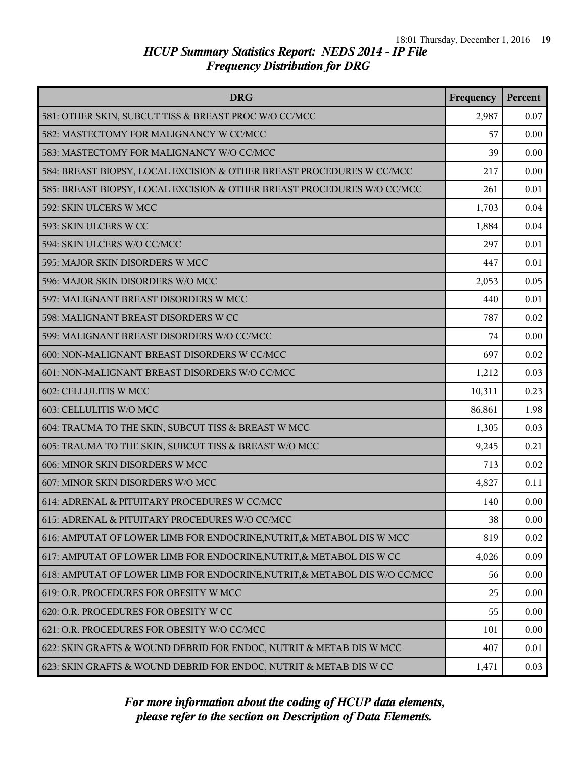| <b>DRG</b>                                                                 | Frequency | Percent |
|----------------------------------------------------------------------------|-----------|---------|
| 581: OTHER SKIN, SUBCUT TISS & BREAST PROC W/O CC/MCC                      | 2,987     | 0.07    |
| 582: MASTECTOMY FOR MALIGNANCY W CC/MCC                                    | 57        | 0.00    |
| 583: MASTECTOMY FOR MALIGNANCY W/O CC/MCC                                  | 39        | 0.00    |
| 584: BREAST BIOPSY, LOCAL EXCISION & OTHER BREAST PROCEDURES W CC/MCC      | 217       | 0.00    |
| 585: BREAST BIOPSY, LOCAL EXCISION & OTHER BREAST PROCEDURES W/O CC/MCC    | 261       | 0.01    |
| 592: SKIN ULCERS W MCC                                                     | 1,703     | 0.04    |
| 593: SKIN ULCERS W CC                                                      | 1,884     | 0.04    |
| 594: SKIN ULCERS W/O CC/MCC                                                | 297       | 0.01    |
| 595: MAJOR SKIN DISORDERS W MCC                                            | 447       | 0.01    |
| 596: MAJOR SKIN DISORDERS W/O MCC                                          | 2,053     | 0.05    |
| 597: MALIGNANT BREAST DISORDERS W MCC                                      | 440       | 0.01    |
| 598: MALIGNANT BREAST DISORDERS W CC                                       | 787       | 0.02    |
| 599: MALIGNANT BREAST DISORDERS W/O CC/MCC                                 | 74        | 0.00    |
| 600: NON-MALIGNANT BREAST DISORDERS W CC/MCC                               | 697       | 0.02    |
| 601: NON-MALIGNANT BREAST DISORDERS W/O CC/MCC                             | 1,212     | 0.03    |
| 602: CELLULITIS W MCC                                                      | 10,311    | 0.23    |
| 603: CELLULITIS W/O MCC                                                    | 86,861    | 1.98    |
| 604: TRAUMA TO THE SKIN, SUBCUT TISS & BREAST W MCC                        | 1,305     | 0.03    |
| 605: TRAUMA TO THE SKIN, SUBCUT TISS & BREAST W/O MCC                      | 9,245     | 0.21    |
| 606: MINOR SKIN DISORDERS W MCC                                            | 713       | 0.02    |
| 607: MINOR SKIN DISORDERS W/O MCC                                          | 4,827     | 0.11    |
| 614: ADRENAL & PITUITARY PROCEDURES W CC/MCC                               | 140       | 0.00    |
| 615: ADRENAL & PITUITARY PROCEDURES W/O CC/MCC                             | 38        | 0.00    |
| 616: AMPUTAT OF LOWER LIMB FOR ENDOCRINE, NUTRIT, & METABOL DIS W MCC      | 819       | 0.02    |
| 617: AMPUTAT OF LOWER LIMB FOR ENDOCRINE, NUTRIT, & METABOL DIS W CC       | 4,026     | 0.09    |
| 618: AMPUTAT OF LOWER LIMB FOR ENDOCRINE, NUTRIT, & METABOL DIS W/O CC/MCC | 56        | 0.00    |
| 619: O.R. PROCEDURES FOR OBESITY W MCC                                     | 25        | 0.00    |
| 620: O.R. PROCEDURES FOR OBESITY W CC                                      | 55        | 0.00    |
| 621: O.R. PROCEDURES FOR OBESITY W/O CC/MCC                                | 101       | 0.00    |
| 622: SKIN GRAFTS & WOUND DEBRID FOR ENDOC, NUTRIT & METAB DIS W MCC        | 407       | 0.01    |
| 623: SKIN GRAFTS & WOUND DEBRID FOR ENDOC, NUTRIT & METAB DIS W CC         | 1,471     | 0.03    |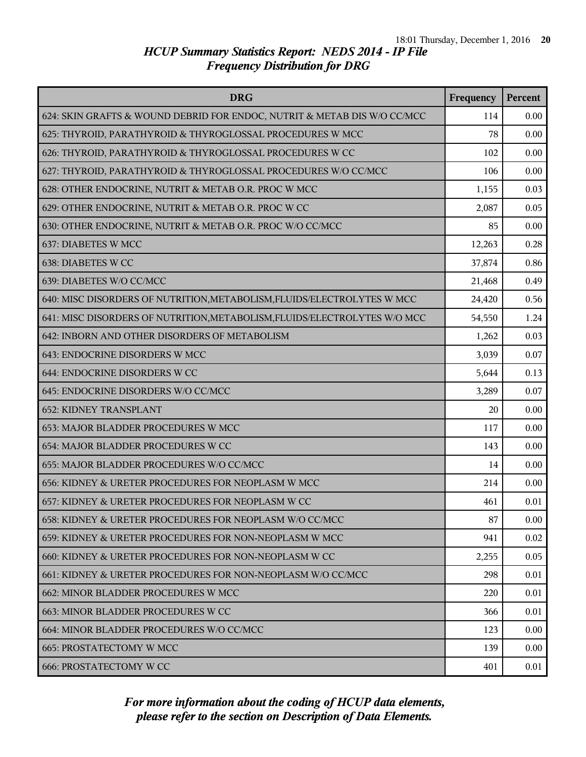| <b>DRG</b>                                                                | Frequency | Percent |
|---------------------------------------------------------------------------|-----------|---------|
| 624: SKIN GRAFTS & WOUND DEBRID FOR ENDOC, NUTRIT & METAB DIS W/O CC/MCC  | 114       | 0.00    |
| 625: THYROID, PARATHYROID & THYROGLOSSAL PROCEDURES W MCC                 | 78        | 0.00    |
| 626: THYROID, PARATHYROID & THYROGLOSSAL PROCEDURES W CC                  | 102       | 0.00    |
| 627: THYROID, PARATHYROID & THYROGLOSSAL PROCEDURES W/O CC/MCC            | 106       | 0.00    |
| 628: OTHER ENDOCRINE, NUTRIT & METAB O.R. PROC W MCC                      | 1,155     | 0.03    |
| 629: OTHER ENDOCRINE, NUTRIT & METAB O.R. PROC W CC                       | 2,087     | 0.05    |
| 630: OTHER ENDOCRINE, NUTRIT & METAB O.R. PROC W/O CC/MCC                 | 85        | 0.00    |
| 637: DIABETES W MCC                                                       | 12,263    | 0.28    |
| 638: DIABETES W CC                                                        | 37,874    | 0.86    |
| 639: DIABETES W/O CC/MCC                                                  | 21,468    | 0.49    |
| 640: MISC DISORDERS OF NUTRITION, METABOLISM, FLUIDS/ELECTROLYTES W MCC   | 24,420    | 0.56    |
| 641: MISC DISORDERS OF NUTRITION, METABOLISM, FLUIDS/ELECTROLYTES W/O MCC | 54,550    | 1.24    |
| 642: INBORN AND OTHER DISORDERS OF METABOLISM                             | 1,262     | 0.03    |
| 643: ENDOCRINE DISORDERS W MCC                                            | 3,039     | 0.07    |
| 644: ENDOCRINE DISORDERS W CC                                             | 5,644     | 0.13    |
| 645: ENDOCRINE DISORDERS W/O CC/MCC                                       | 3,289     | 0.07    |
| <b>652: KIDNEY TRANSPLANT</b>                                             | 20        | 0.00    |
| 653: MAJOR BLADDER PROCEDURES W MCC                                       | 117       | 0.00    |
| 654: MAJOR BLADDER PROCEDURES W CC                                        | 143       | 0.00    |
| 655: MAJOR BLADDER PROCEDURES W/O CC/MCC                                  | 14        | 0.00    |
| 656: KIDNEY & URETER PROCEDURES FOR NEOPLASM W MCC                        | 214       | 0.00    |
| 657: KIDNEY & URETER PROCEDURES FOR NEOPLASM W CC                         | 461       | 0.01    |
| 658: KIDNEY & URETER PROCEDURES FOR NEOPLASM W/O CC/MCC                   | 87        | 0.00    |
| 659: KIDNEY & URETER PROCEDURES FOR NON-NEOPLASM W MCC                    | 941       | 0.02    |
| 660: KIDNEY & URETER PROCEDURES FOR NON-NEOPLASM W CC                     | 2,255     | 0.05    |
| 661: KIDNEY & URETER PROCEDURES FOR NON-NEOPLASM W/O CC/MCC               | 298       | 0.01    |
| 662: MINOR BLADDER PROCEDURES W MCC                                       | 220       | 0.01    |
| 663: MINOR BLADDER PROCEDURES W CC                                        | 366       | 0.01    |
| 664: MINOR BLADDER PROCEDURES W/O CC/MCC                                  | 123       | 0.00    |
| <b>665: PROSTATECTOMY W MCC</b>                                           | 139       | 0.00    |
| <b>666: PROSTATECTOMY W CC</b>                                            | 401       | 0.01    |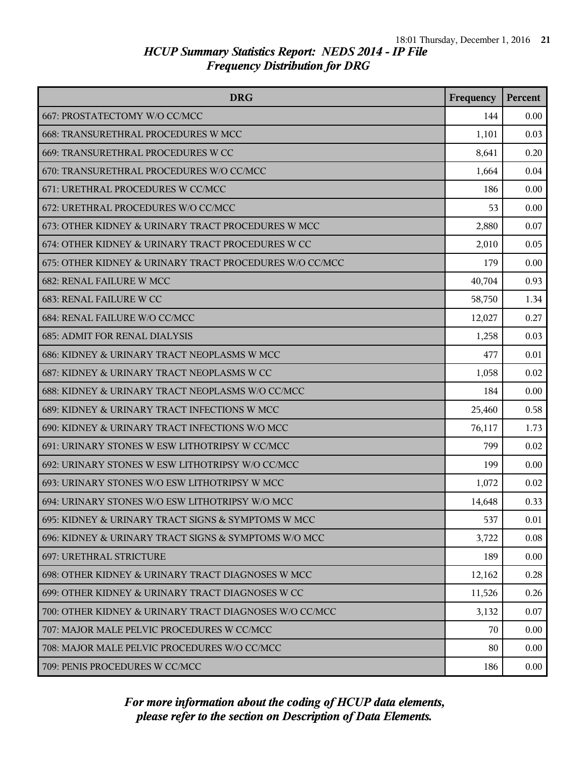| <b>DRG</b>                                              | Frequency | Percent |
|---------------------------------------------------------|-----------|---------|
| 667: PROSTATECTOMY W/O CC/MCC                           | 144       | 0.00    |
| 668: TRANSURETHRAL PROCEDURES W MCC                     | 1,101     | 0.03    |
| 669: TRANSURETHRAL PROCEDURES W CC                      | 8,641     | 0.20    |
| 670: TRANSURETHRAL PROCEDURES W/O CC/MCC                | 1,664     | 0.04    |
| 671: URETHRAL PROCEDURES W CC/MCC                       | 186       | 0.00    |
| 672: URETHRAL PROCEDURES W/O CC/MCC                     | 53        | 0.00    |
| 673: OTHER KIDNEY & URINARY TRACT PROCEDURES W MCC      | 2,880     | 0.07    |
| 674: OTHER KIDNEY & URINARY TRACT PROCEDURES W CC       | 2,010     | 0.05    |
| 675: OTHER KIDNEY & URINARY TRACT PROCEDURES W/O CC/MCC | 179       | 0.00    |
| <b>682: RENAL FAILURE W MCC</b>                         | 40,704    | 0.93    |
| <b>683: RENAL FAILURE W CC</b>                          | 58,750    | 1.34    |
| 684: RENAL FAILURE W/O CC/MCC                           | 12,027    | 0.27    |
| <b>685: ADMIT FOR RENAL DIALYSIS</b>                    | 1,258     | 0.03    |
| 686: KIDNEY & URINARY TRACT NEOPLASMS W MCC             | 477       | 0.01    |
| 687: KIDNEY & URINARY TRACT NEOPLASMS W CC              | 1,058     | 0.02    |
| 688: KIDNEY & URINARY TRACT NEOPLASMS W/O CC/MCC        | 184       | 0.00    |
| 689: KIDNEY & URINARY TRACT INFECTIONS W MCC            | 25,460    | 0.58    |
| 690: KIDNEY & URINARY TRACT INFECTIONS W/O MCC          | 76,117    | 1.73    |
| 691: URINARY STONES W ESW LITHOTRIPSY W CC/MCC          | 799       | 0.02    |
| 692: URINARY STONES W ESW LITHOTRIPSY W/O CC/MCC        | 199       | 0.00    |
| 693: URINARY STONES W/O ESW LITHOTRIPSY W MCC           | 1,072     | 0.02    |
| 694: URINARY STONES W/O ESW LITHOTRIPSY W/O MCC         | 14,648    | 0.33    |
| 695: KIDNEY & URINARY TRACT SIGNS & SYMPTOMS W MCC      | 537       | 0.01    |
| 696: KIDNEY & URINARY TRACT SIGNS & SYMPTOMS W/O MCC    | 3,722     | 0.08    |
| 697: URETHRAL STRICTURE                                 | 189       | 0.00    |
| 698: OTHER KIDNEY & URINARY TRACT DIAGNOSES W MCC       | 12,162    | 0.28    |
| 699: OTHER KIDNEY & URINARY TRACT DIAGNOSES W CC        | 11,526    | 0.26    |
| 700: OTHER KIDNEY & URINARY TRACT DIAGNOSES W/O CC/MCC  | 3,132     | 0.07    |
| 707: MAJOR MALE PELVIC PROCEDURES W CC/MCC              | 70        | 0.00    |
| 708: MAJOR MALE PELVIC PROCEDURES W/O CC/MCC            | 80        | 0.00    |
| 709: PENIS PROCEDURES W CC/MCC                          | 186       | 0.00    |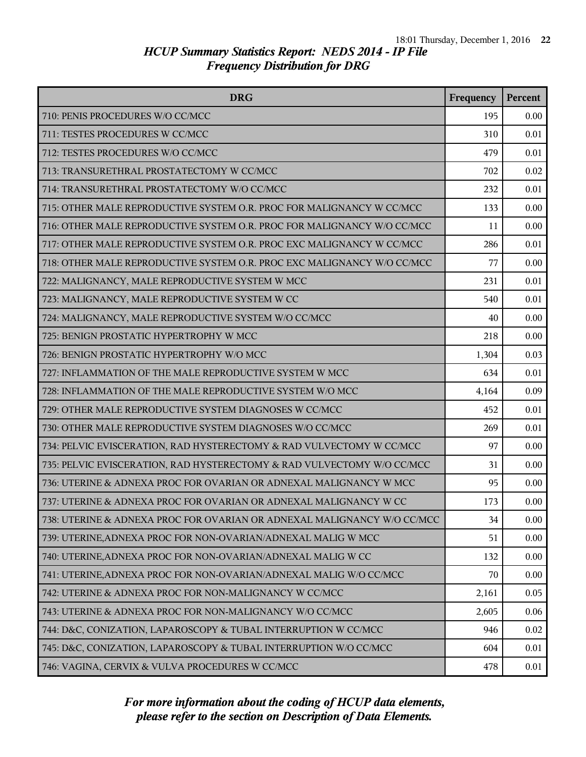| <b>DRG</b>                                                              | Frequency | Percent |
|-------------------------------------------------------------------------|-----------|---------|
| 710: PENIS PROCEDURES W/O CC/MCC                                        | 195       | 0.00    |
| 711: TESTES PROCEDURES W CC/MCC                                         | 310       | 0.01    |
| 712: TESTES PROCEDURES W/O CC/MCC                                       | 479       | 0.01    |
| 713: TRANSURETHRAL PROSTATECTOMY W CC/MCC                               | 702       | 0.02    |
| 714: TRANSURETHRAL PROSTATECTOMY W/O CC/MCC                             | 232       | 0.01    |
| 715: OTHER MALE REPRODUCTIVE SYSTEM O.R. PROC FOR MALIGNANCY W CC/MCC   | 133       | 0.00    |
| 716: OTHER MALE REPRODUCTIVE SYSTEM O.R. PROC FOR MALIGNANCY W/O CC/MCC | 11        | 0.00    |
| 717: OTHER MALE REPRODUCTIVE SYSTEM O.R. PROC EXC MALIGNANCY W CC/MCC   | 286       | 0.01    |
| 718: OTHER MALE REPRODUCTIVE SYSTEM O.R. PROC EXC MALIGNANCY W/O CC/MCC | 77        | 0.00    |
| 722: MALIGNANCY, MALE REPRODUCTIVE SYSTEM W MCC                         | 231       | 0.01    |
| 723: MALIGNANCY, MALE REPRODUCTIVE SYSTEM W CC                          | 540       | 0.01    |
| 724: MALIGNANCY, MALE REPRODUCTIVE SYSTEM W/O CC/MCC                    | 40        | 0.00    |
| 725: BENIGN PROSTATIC HYPERTROPHY W MCC                                 | 218       | 0.00    |
| 726: BENIGN PROSTATIC HYPERTROPHY W/O MCC                               | 1,304     | 0.03    |
| 727: INFLAMMATION OF THE MALE REPRODUCTIVE SYSTEM W MCC                 | 634       | 0.01    |
| 728: INFLAMMATION OF THE MALE REPRODUCTIVE SYSTEM W/O MCC               | 4,164     | 0.09    |
| 729: OTHER MALE REPRODUCTIVE SYSTEM DIAGNOSES W CC/MCC                  | 452       | 0.01    |
| 730: OTHER MALE REPRODUCTIVE SYSTEM DIAGNOSES W/O CC/MCC                | 269       | 0.01    |
| 734: PELVIC EVISCERATION, RAD HYSTERECTOMY & RAD VULVECTOMY W CC/MCC    | 97        | 0.00    |
| 735: PELVIC EVISCERATION, RAD HYSTERECTOMY & RAD VULVECTOMY W/O CC/MCC  | 31        | 0.00    |
| 736: UTERINE & ADNEXA PROC FOR OVARIAN OR ADNEXAL MALIGNANCY W MCC      | 95        | 0.00    |
| 737: UTERINE & ADNEXA PROC FOR OVARIAN OR ADNEXAL MALIGNANCY W CC       | 173       | 0.00    |
| 738: UTERINE & ADNEXA PROC FOR OVARIAN OR ADNEXAL MALIGNANCY W/O CC/MCC | 34        | 0.00    |
| 739: UTERINE, ADNEXA PROC FOR NON-OVARIAN/ADNEXAL MALIG W MCC           | 51        | 0.00    |
| 740: UTERINE, ADNEXA PROC FOR NON-OVARIAN/ADNEXAL MALIG W CC            | 132       | 0.00    |
| 741: UTERINE, ADNEXA PROC FOR NON-OVARIAN/ADNEXAL MALIG W/O CC/MCC      | 70        | 0.00    |
| 742: UTERINE & ADNEXA PROC FOR NON-MALIGNANCY W CC/MCC                  | 2,161     | 0.05    |
| 743: UTERINE & ADNEXA PROC FOR NON-MALIGNANCY W/O CC/MCC                | 2,605     | 0.06    |
| 744: D&C, CONIZATION, LAPAROSCOPY & TUBAL INTERRUPTION W CC/MCC         | 946       | 0.02    |
| 745: D&C, CONIZATION, LAPAROSCOPY & TUBAL INTERRUPTION W/O CC/MCC       | 604       | 0.01    |
| 746: VAGINA, CERVIX & VULVA PROCEDURES W CC/MCC                         | 478       | 0.01    |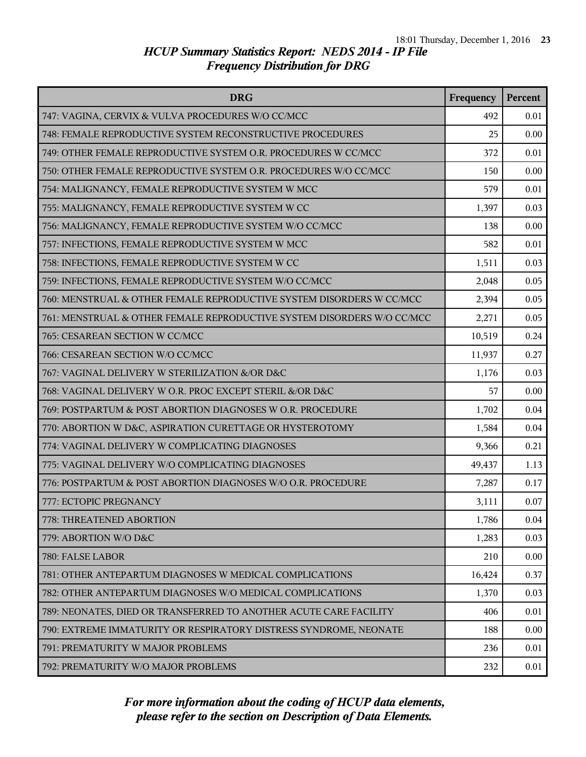| <b>DRG</b>                                                             | Frequency | Percent |
|------------------------------------------------------------------------|-----------|---------|
| 747: VAGINA, CERVIX & VULVA PROCEDURES W/O CC/MCC                      | 492       | 0.01    |
| 748: FEMALE REPRODUCTIVE SYSTEM RECONSTRUCTIVE PROCEDURES              | 25        | 0.00    |
| 749: OTHER FEMALE REPRODUCTIVE SYSTEM O.R. PROCEDURES W CC/MCC         | 372       | 0.01    |
| 750: OTHER FEMALE REPRODUCTIVE SYSTEM O.R. PROCEDURES W/O CC/MCC       | 150       | 0.00    |
| 754: MALIGNANCY, FEMALE REPRODUCTIVE SYSTEM W MCC                      | 579       | 0.01    |
| 755: MALIGNANCY, FEMALE REPRODUCTIVE SYSTEM W CC                       | 1,397     | 0.03    |
| 756: MALIGNANCY, FEMALE REPRODUCTIVE SYSTEM W/O CC/MCC                 | 138       | 0.00    |
| 757: INFECTIONS, FEMALE REPRODUCTIVE SYSTEM W MCC                      | 582       | 0.01    |
| 758: INFECTIONS, FEMALE REPRODUCTIVE SYSTEM W CC                       | 1,511     | 0.03    |
| 759: INFECTIONS, FEMALE REPRODUCTIVE SYSTEM W/O CC/MCC                 | 2,048     | 0.05    |
| 760: MENSTRUAL & OTHER FEMALE REPRODUCTIVE SYSTEM DISORDERS W CC/MCC   | 2,394     | 0.05    |
| 761: MENSTRUAL & OTHER FEMALE REPRODUCTIVE SYSTEM DISORDERS W/O CC/MCC | 2,271     | 0.05    |
| 765: CESAREAN SECTION W CC/MCC                                         | 10,519    | 0.24    |
| 766: CESAREAN SECTION W/O CC/MCC                                       | 11,937    | 0.27    |
| 767: VAGINAL DELIVERY W STERILIZATION &/OR D&C                         | 1,176     | 0.03    |
| 768: VAGINAL DELIVERY W O.R. PROC EXCEPT STERIL &/OR D&C               | 57        | 0.00    |
| 769: POSTPARTUM & POST ABORTION DIAGNOSES W O.R. PROCEDURE             | 1,702     | 0.04    |
| 770: ABORTION W D&C, ASPIRATION CURETTAGE OR HYSTEROTOMY               | 1,584     | 0.04    |
| 774: VAGINAL DELIVERY W COMPLICATING DIAGNOSES                         | 9,366     | 0.21    |
| 775: VAGINAL DELIVERY W/O COMPLICATING DIAGNOSES                       | 49,437    | 1.13    |
| 776: POSTPARTUM & POST ABORTION DIAGNOSES W/O O.R. PROCEDURE           | 7,287     | 0.17    |
| 777: ECTOPIC PREGNANCY                                                 | 3,111     | 0.07    |
| 778: THREATENED ABORTION                                               | 1,786     | 0.04    |
| 779: ABORTION W/O D&C                                                  | 1,283     | 0.03    |
| 780: FALSE LABOR                                                       | 210       | 0.00    |
| 781: OTHER ANTEPARTUM DIAGNOSES W MEDICAL COMPLICATIONS                | 16,424    | 0.37    |
| 782: OTHER ANTEPARTUM DIAGNOSES W/O MEDICAL COMPLICATIONS              | 1,370     | 0.03    |
| 789: NEONATES, DIED OR TRANSFERRED TO ANOTHER ACUTE CARE FACILITY      | 406       | 0.01    |
| 790: EXTREME IMMATURITY OR RESPIRATORY DISTRESS SYNDROME, NEONATE      | 188       | 0.00    |
| 791: PREMATURITY W MAJOR PROBLEMS                                      | 236       | 0.01    |
| 792: PREMATURITY W/O MAJOR PROBLEMS                                    | 232       | 0.01    |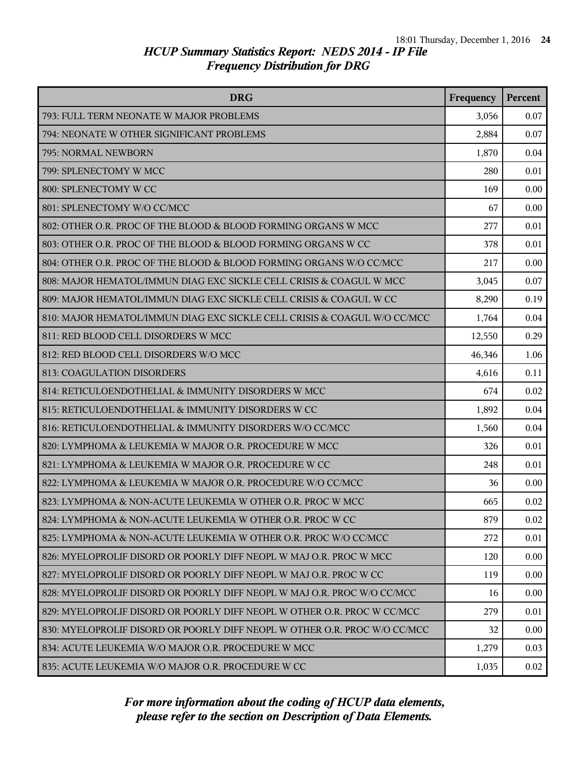| <b>DRG</b>                                                                | Frequency | Percent |
|---------------------------------------------------------------------------|-----------|---------|
| 793: FULL TERM NEONATE W MAJOR PROBLEMS                                   | 3,056     | 0.07    |
| 794: NEONATE W OTHER SIGNIFICANT PROBLEMS                                 | 2,884     | 0.07    |
| 795: NORMAL NEWBORN                                                       | 1,870     | 0.04    |
| 799: SPLENECTOMY W MCC                                                    | 280       | 0.01    |
| 800: SPLENECTOMY W CC                                                     | 169       | 0.00    |
| 801: SPLENECTOMY W/O CC/MCC                                               | 67        | 0.00    |
| 802: OTHER O.R. PROC OF THE BLOOD & BLOOD FORMING ORGANS W MCC            | 277       | 0.01    |
| 803: OTHER O.R. PROC OF THE BLOOD & BLOOD FORMING ORGANS W CC             | 378       | 0.01    |
| 804: OTHER O.R. PROC OF THE BLOOD & BLOOD FORMING ORGANS W/O CC/MCC       | 217       | 0.00    |
| 808: MAJOR HEMATOL/IMMUN DIAG EXC SICKLE CELL CRISIS & COAGUL W MCC       | 3,045     | 0.07    |
| 809: MAJOR HEMATOL/IMMUN DIAG EXC SICKLE CELL CRISIS & COAGUL W CC        | 8,290     | 0.19    |
| 810: MAJOR HEMATOL/IMMUN DIAG EXC SICKLE CELL CRISIS & COAGUL W/O CC/MCC  | 1,764     | 0.04    |
| 811: RED BLOOD CELL DISORDERS W MCC                                       | 12,550    | 0.29    |
| 812: RED BLOOD CELL DISORDERS W/O MCC                                     | 46,346    | 1.06    |
| 813: COAGULATION DISORDERS                                                | 4,616     | 0.11    |
| 814: RETICULOENDOTHELIAL & IMMUNITY DISORDERS W MCC                       | 674       | 0.02    |
| 815: RETICULOENDOTHELIAL & IMMUNITY DISORDERS W CC                        | 1,892     | 0.04    |
| 816: RETICULOENDOTHELIAL & IMMUNITY DISORDERS W/O CC/MCC                  | 1,560     | 0.04    |
| 820: LYMPHOMA & LEUKEMIA W MAJOR O.R. PROCEDURE W MCC                     | 326       | 0.01    |
| 821: LYMPHOMA & LEUKEMIA W MAJOR O.R. PROCEDURE W CC                      | 248       | 0.01    |
| 822: LYMPHOMA & LEUKEMIA W MAJOR O.R. PROCEDURE W/O CC/MCC                | 36        | 0.00    |
| 823: LYMPHOMA & NON-ACUTE LEUKEMIA W OTHER O.R. PROC W MCC                | 665       | 0.02    |
| 824: LYMPHOMA & NON-ACUTE LEUKEMIA W OTHER O.R. PROC W CC                 | 879       | 0.02    |
| 825: LYMPHOMA & NON-ACUTE LEUKEMIA W OTHER O.R. PROC W/O CC/MCC           | 272       | 0.01    |
| 826: MYELOPROLIF DISORD OR POORLY DIFF NEOPL W MAJ O.R. PROC W MCC        | 120       | 0.00    |
| 827: MYELOPROLIF DISORD OR POORLY DIFF NEOPL W MAJ O.R. PROC W CC         | 119       | 0.00    |
| 828: MYELOPROLIF DISORD OR POORLY DIFF NEOPL W MAJ O.R. PROC W/O CC/MCC   | 16        | 0.00    |
| 829: MYELOPROLIF DISORD OR POORLY DIFF NEOPL W OTHER O.R. PROC W CC/MCC   | 279       | 0.01    |
| 830: MYELOPROLIF DISORD OR POORLY DIFF NEOPL W OTHER O.R. PROC W/O CC/MCC | 32        | 0.00    |
| 834: ACUTE LEUKEMIA W/O MAJOR O.R. PROCEDURE W MCC                        | 1,279     | 0.03    |
| 835: ACUTE LEUKEMIA W/O MAJOR O.R. PROCEDURE W CC                         | 1,035     | 0.02    |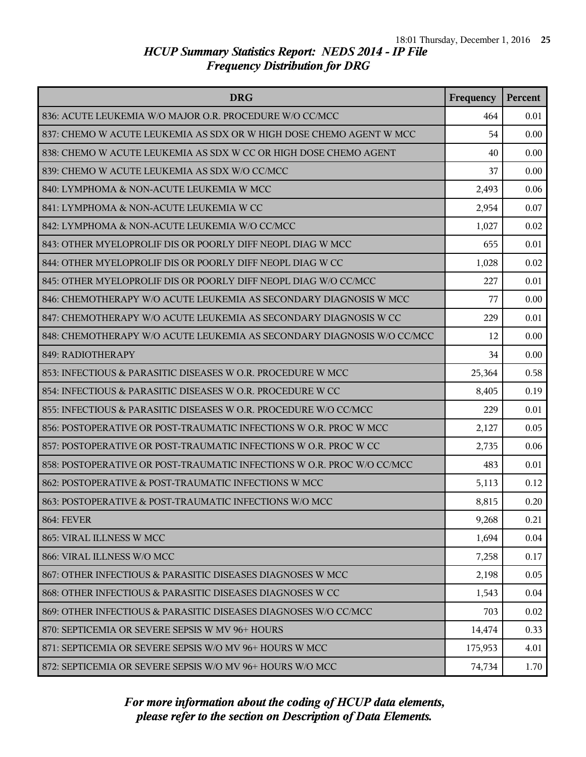| <b>DRG</b>                                                             | Frequency | Percent |
|------------------------------------------------------------------------|-----------|---------|
| 836: ACUTE LEUKEMIA W/O MAJOR O.R. PROCEDURE W/O CC/MCC                | 464       | 0.01    |
| 837: CHEMO W ACUTE LEUKEMIA AS SDX OR W HIGH DOSE CHEMO AGENT W MCC    | 54        | 0.00    |
| 838: CHEMO W ACUTE LEUKEMIA AS SDX W CC OR HIGH DOSE CHEMO AGENT       | 40        | 0.00    |
| 839: CHEMO W ACUTE LEUKEMIA AS SDX W/O CC/MCC                          | 37        | 0.00    |
| 840: LYMPHOMA & NON-ACUTE LEUKEMIA W MCC                               | 2,493     | 0.06    |
| 841: LYMPHOMA & NON-ACUTE LEUKEMIA W CC                                | 2,954     | 0.07    |
| 842: LYMPHOMA & NON-ACUTE LEUKEMIA W/O CC/MCC                          | 1,027     | 0.02    |
| 843: OTHER MYELOPROLIF DIS OR POORLY DIFF NEOPL DIAG W MCC             | 655       | 0.01    |
| 844: OTHER MYELOPROLIF DIS OR POORLY DIFF NEOPL DIAG W CC              | 1,028     | 0.02    |
| 845: OTHER MYELOPROLIF DIS OR POORLY DIFF NEOPL DIAG W/O CC/MCC        | 227       | 0.01    |
| 846: CHEMOTHERAPY W/O ACUTE LEUKEMIA AS SECONDARY DIAGNOSIS W MCC      | 77        | 0.00    |
| 847: CHEMOTHERAPY W/O ACUTE LEUKEMIA AS SECONDARY DIAGNOSIS W CC       | 229       | 0.01    |
| 848: CHEMOTHERAPY W/O ACUTE LEUKEMIA AS SECONDARY DIAGNOSIS W/O CC/MCC | 12        | 0.00    |
| 849: RADIOTHERAPY                                                      | 34        | 0.00    |
| 853: INFECTIOUS & PARASITIC DISEASES W O.R. PROCEDURE W MCC            | 25,364    | 0.58    |
| 854: INFECTIOUS & PARASITIC DISEASES W O.R. PROCEDURE W CC             | 8,405     | 0.19    |
| 855: INFECTIOUS & PARASITIC DISEASES W O.R. PROCEDURE W/O CC/MCC       | 229       | 0.01    |
| 856: POSTOPERATIVE OR POST-TRAUMATIC INFECTIONS W O.R. PROC W MCC      | 2,127     | 0.05    |
| 857: POSTOPERATIVE OR POST-TRAUMATIC INFECTIONS W O.R. PROC W CC       | 2,735     | 0.06    |
| 858: POSTOPERATIVE OR POST-TRAUMATIC INFECTIONS W O.R. PROC W/O CC/MCC | 483       | 0.01    |
| 862: POSTOPERATIVE & POST-TRAUMATIC INFECTIONS W MCC                   | 5,113     | 0.12    |
| 863: POSTOPERATIVE & POST-TRAUMATIC INFECTIONS W/O MCC                 | 8,815     | 0.20    |
| <b>864: FEVER</b>                                                      | 9,268     | 0.21    |
| 865: VIRAL ILLNESS W MCC                                               | 1,694     | 0.04    |
| 866: VIRAL ILLNESS W/O MCC                                             | 7,258     | 0.17    |
| 867: OTHER INFECTIOUS & PARASITIC DISEASES DIAGNOSES W MCC             | 2,198     | 0.05    |
| 868: OTHER INFECTIOUS & PARASITIC DISEASES DIAGNOSES W CC              | 1,543     | 0.04    |
| 869: OTHER INFECTIOUS & PARASITIC DISEASES DIAGNOSES W/O CC/MCC        | 703       | 0.02    |
| 870: SEPTICEMIA OR SEVERE SEPSIS W MV 96+ HOURS                        | 14,474    | 0.33    |
| 871: SEPTICEMIA OR SEVERE SEPSIS W/O MV 96+ HOURS W MCC                | 175,953   | 4.01    |
| 872: SEPTICEMIA OR SEVERE SEPSIS W/O MV 96+ HOURS W/O MCC              | 74,734    | 1.70    |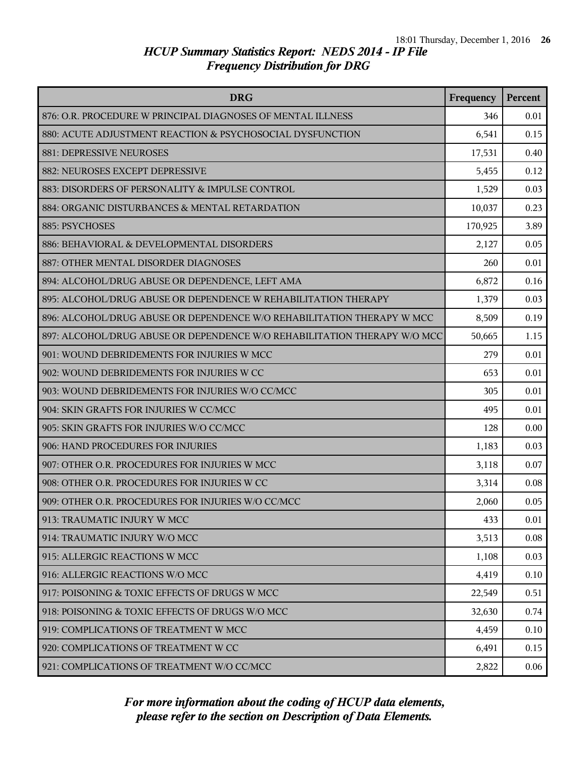| <b>DRG</b>                                                               | Frequency | Percent |
|--------------------------------------------------------------------------|-----------|---------|
| 876: O.R. PROCEDURE W PRINCIPAL DIAGNOSES OF MENTAL ILLNESS              | 346       | 0.01    |
| 880: ACUTE ADJUSTMENT REACTION & PSYCHOSOCIAL DYSFUNCTION                | 6,541     | 0.15    |
| 881: DEPRESSIVE NEUROSES                                                 | 17,531    | 0.40    |
| 882: NEUROSES EXCEPT DEPRESSIVE                                          | 5,455     | 0.12    |
| 883: DISORDERS OF PERSONALITY & IMPULSE CONTROL                          | 1,529     | 0.03    |
| 884: ORGANIC DISTURBANCES & MENTAL RETARDATION                           | 10,037    | 0.23    |
| 885: PSYCHOSES                                                           | 170,925   | 3.89    |
| 886: BEHAVIORAL & DEVELOPMENTAL DISORDERS                                | 2,127     | 0.05    |
| 887: OTHER MENTAL DISORDER DIAGNOSES                                     | 260       | 0.01    |
| 894: ALCOHOL/DRUG ABUSE OR DEPENDENCE, LEFT AMA                          | 6,872     | 0.16    |
| 895: ALCOHOL/DRUG ABUSE OR DEPENDENCE W REHABILITATION THERAPY           | 1,379     | 0.03    |
| 896: ALCOHOL/DRUG ABUSE OR DEPENDENCE W/O REHABILITATION THERAPY W MCC   | 8,509     | 0.19    |
| 897: ALCOHOL/DRUG ABUSE OR DEPENDENCE W/O REHABILITATION THERAPY W/O MCC | 50,665    | 1.15    |
| 901: WOUND DEBRIDEMENTS FOR INJURIES W MCC                               | 279       | 0.01    |
| 902: WOUND DEBRIDEMENTS FOR INJURIES W CC                                | 653       | 0.01    |
| 903: WOUND DEBRIDEMENTS FOR INJURIES W/O CC/MCC                          | 305       | 0.01    |
| 904: SKIN GRAFTS FOR INJURIES W CC/MCC                                   | 495       | 0.01    |
| 905: SKIN GRAFTS FOR INJURIES W/O CC/MCC                                 | 128       | 0.00    |
| 906: HAND PROCEDURES FOR INJURIES                                        | 1,183     | 0.03    |
| 907: OTHER O.R. PROCEDURES FOR INJURIES W MCC                            | 3,118     | 0.07    |
| 908: OTHER O.R. PROCEDURES FOR INJURIES W CC                             | 3,314     | 0.08    |
| 909: OTHER O.R. PROCEDURES FOR INJURIES W/O CC/MCC                       | 2,060     | 0.05    |
| 913: TRAUMATIC INJURY W MCC                                              | 433       | 0.01    |
| 914: TRAUMATIC INJURY W/O MCC                                            | 3,513     | 0.08    |
| 915: ALLERGIC REACTIONS W MCC                                            | 1,108     | 0.03    |
| 916: ALLERGIC REACTIONS W/O MCC                                          | 4,419     | 0.10    |
| 917: POISONING & TOXIC EFFECTS OF DRUGS W MCC                            | 22,549    | 0.51    |
| 918: POISONING & TOXIC EFFECTS OF DRUGS W/O MCC                          | 32,630    | 0.74    |
| 919: COMPLICATIONS OF TREATMENT W MCC                                    | 4,459     | 0.10    |
| 920: COMPLICATIONS OF TREATMENT W CC                                     | 6,491     | 0.15    |
| 921: COMPLICATIONS OF TREATMENT W/O CC/MCC                               | 2,822     | 0.06    |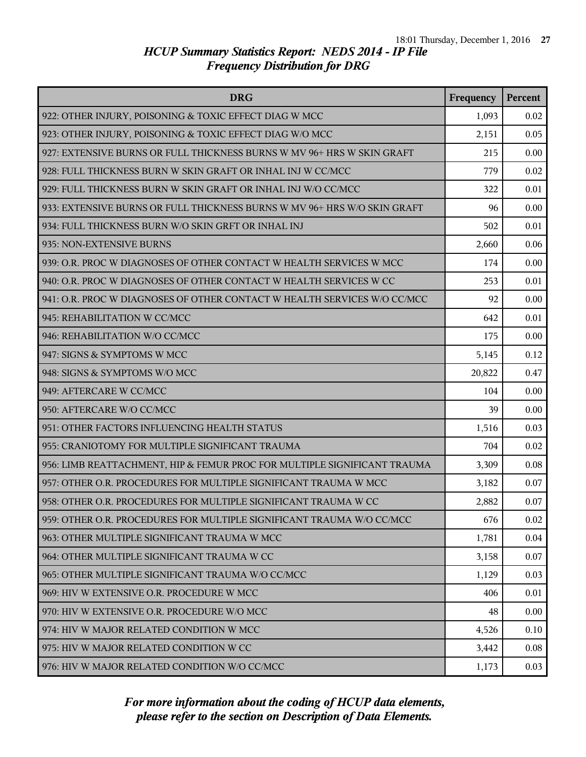| <b>DRG</b>                                                               | Frequency | Percent |
|--------------------------------------------------------------------------|-----------|---------|
| 922: OTHER INJURY, POISONING & TOXIC EFFECT DIAG W MCC                   | 1,093     | 0.02    |
| 923: OTHER INJURY, POISONING & TOXIC EFFECT DIAG W/O MCC                 | 2,151     | 0.05    |
| 927: EXTENSIVE BURNS OR FULL THICKNESS BURNS W MV 96+ HRS W SKIN GRAFT   | 215       | 0.00    |
| 928: FULL THICKNESS BURN W SKIN GRAFT OR INHAL INJ W CC/MCC              | 779       | 0.02    |
| 929: FULL THICKNESS BURN W SKIN GRAFT OR INHAL INJ W/O CC/MCC            | 322       | 0.01    |
| 933: EXTENSIVE BURNS OR FULL THICKNESS BURNS W MV 96+ HRS W/O SKIN GRAFT | 96        | 0.00    |
| 934: FULL THICKNESS BURN W/O SKIN GRFT OR INHAL INJ                      | 502       | 0.01    |
| 935: NON-EXTENSIVE BURNS                                                 | 2,660     | 0.06    |
| 939: O.R. PROC W DIAGNOSES OF OTHER CONTACT W HEALTH SERVICES W MCC      | 174       | 0.00    |
| 940: O.R. PROC W DIAGNOSES OF OTHER CONTACT W HEALTH SERVICES W CC       | 253       | 0.01    |
| 941: O.R. PROC W DIAGNOSES OF OTHER CONTACT W HEALTH SERVICES W/O CC/MCC | 92        | 0.00    |
| 945: REHABILITATION W CC/MCC                                             | 642       | 0.01    |
| 946: REHABILITATION W/O CC/MCC                                           | 175       | 0.00    |
| 947: SIGNS & SYMPTOMS W MCC                                              | 5,145     | 0.12    |
| 948: SIGNS & SYMPTOMS W/O MCC                                            | 20,822    | 0.47    |
| 949: AFTERCARE W CC/MCC                                                  | 104       | 0.00    |
| 950: AFTERCARE W/O CC/MCC                                                | 39        | 0.00    |
| 951: OTHER FACTORS INFLUENCING HEALTH STATUS                             | 1,516     | 0.03    |
| 955: CRANIOTOMY FOR MULTIPLE SIGNIFICANT TRAUMA                          | 704       | 0.02    |
| 956: LIMB REATTACHMENT, HIP & FEMUR PROC FOR MULTIPLE SIGNIFICANT TRAUMA | 3,309     | 0.08    |
| 957: OTHER O.R. PROCEDURES FOR MULTIPLE SIGNIFICANT TRAUMA W MCC         | 3,182     | 0.07    |
| 958: OTHER O.R. PROCEDURES FOR MULTIPLE SIGNIFICANT TRAUMA W CC          | 2,882     | 0.07    |
| 959: OTHER O.R. PROCEDURES FOR MULTIPLE SIGNIFICANT TRAUMA W/O CC/MCC    | 676       | 0.02    |
| 963: OTHER MULTIPLE SIGNIFICANT TRAUMA W MCC                             | 1,781     | 0.04    |
| 964: OTHER MULTIPLE SIGNIFICANT TRAUMA W CC                              | 3,158     | 0.07    |
| 965: OTHER MULTIPLE SIGNIFICANT TRAUMA W/O CC/MCC                        | 1,129     | 0.03    |
| 969: HIV W EXTENSIVE O.R. PROCEDURE W MCC                                | 406       | 0.01    |
| 970: HIV W EXTENSIVE O.R. PROCEDURE W/O MCC                              | 48        | 0.00    |
| 974: HIV W MAJOR RELATED CONDITION W MCC                                 | 4,526     | 0.10    |
| 975: HIV W MAJOR RELATED CONDITION W CC                                  | 3,442     | 0.08    |
| 976: HIV W MAJOR RELATED CONDITION W/O CC/MCC                            | 1,173     | 0.03    |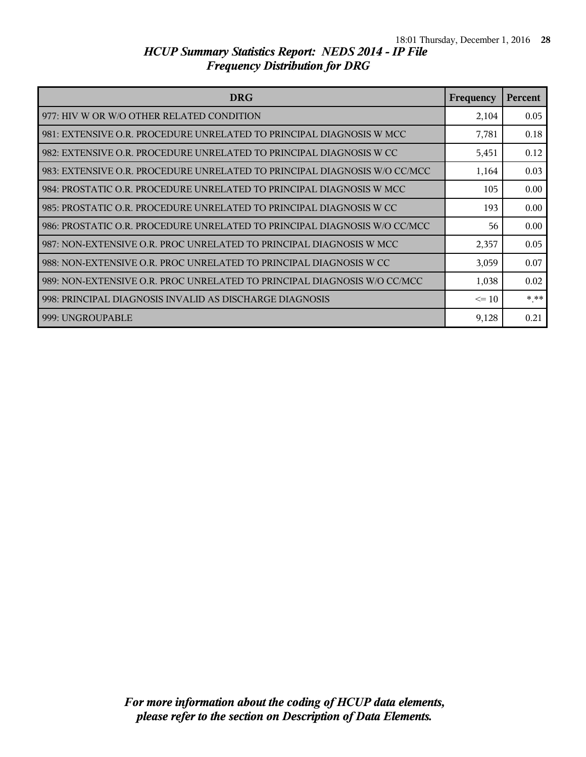| <b>DRG</b>                                                                | Frequency | <b>Percent</b> |
|---------------------------------------------------------------------------|-----------|----------------|
| 977: HIV W OR W/O OTHER RELATED CONDITION                                 | 2,104     | 0.05           |
| 981: EXTENSIVE O.R. PROCEDURE UNRELATED TO PRINCIPAL DIAGNOSIS W MCC      | 7,781     | 0.18           |
| 982: EXTENSIVE O.R. PROCEDURE UNRELATED TO PRINCIPAL DIAGNOSIS W CC       | 5,451     | 0.12           |
| 983: EXTENSIVE O.R. PROCEDURE UNRELATED TO PRINCIPAL DIAGNOSIS W/O CC/MCC | 1,164     | 0.03           |
| 984: PROSTATIC O.R. PROCEDURE UNRELATED TO PRINCIPAL DIAGNOSIS W MCC      | 105       | 0.00           |
| 985: PROSTATIC O.R. PROCEDURE UNRELATED TO PRINCIPAL DIAGNOSIS W CC       | 193       | 0.00           |
| 986: PROSTATIC O.R. PROCEDURE UNRELATED TO PRINCIPAL DIAGNOSIS W/O CC/MCC | 56        | 0.00           |
| 987: NON-EXTENSIVE O.R. PROC UNRELATED TO PRINCIPAL DIAGNOSIS W MCC       | 2,357     | 0.05           |
| 988: NON-EXTENSIVE O.R. PROC UNRELATED TO PRINCIPAL DIAGNOSIS W CC        | 3,059     | 0.07           |
| 989: NON-EXTENSIVE O.R. PROC UNRELATED TO PRINCIPAL DIAGNOSIS W/O CC/MCC  | 1,038     | 0.02           |
| 998: PRINCIPAL DIAGNOSIS INVALID AS DISCHARGE DIAGNOSIS                   | $\leq 10$ | $***$          |
| 999: UNGROUPABLE                                                          | 9,128     | 0.21           |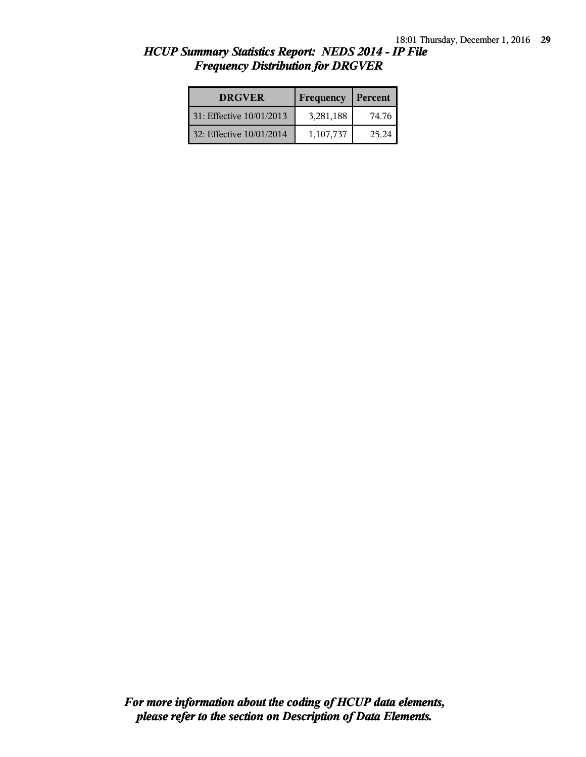| <b>DRGVER</b>            | Frequency | Percent |
|--------------------------|-----------|---------|
| 31: Effective 10/01/2013 | 3,281,188 | 74.76   |
| 32: Effective 10/01/2014 | 1,107,737 | 25.24   |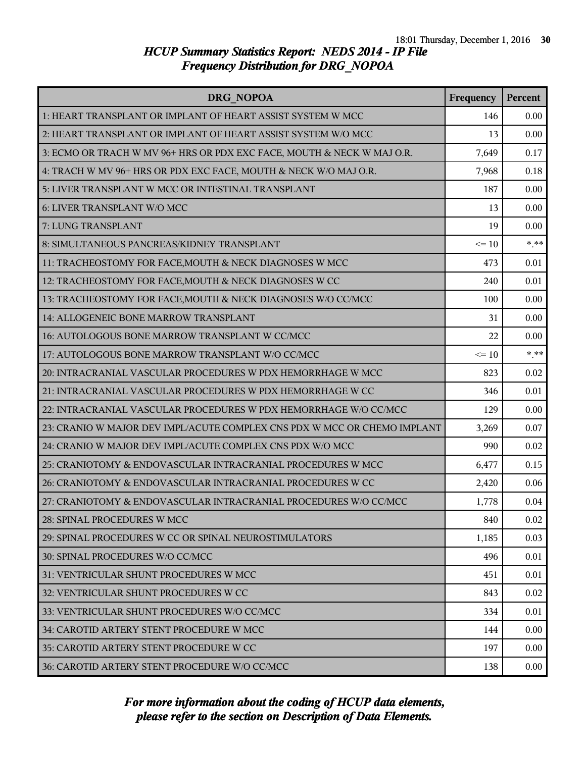| DRG NOPOA                                                                | Frequency | Percent |
|--------------------------------------------------------------------------|-----------|---------|
| 1: HEART TRANSPLANT OR IMPLANT OF HEART ASSIST SYSTEM W MCC              | 146       | 0.00    |
| 2: HEART TRANSPLANT OR IMPLANT OF HEART ASSIST SYSTEM W/O MCC            | 13        | 0.00    |
| 3: ECMO OR TRACH W MV 96+ HRS OR PDX EXC FACE, MOUTH & NECK W MAJ O.R.   | 7,649     | 0.17    |
| 4: TRACH W MV 96+ HRS OR PDX EXC FACE, MOUTH & NECK W/O MAJ O.R.         | 7,968     | 0.18    |
| 5: LIVER TRANSPLANT W MCC OR INTESTINAL TRANSPLANT                       | 187       | 0.00    |
| 6: LIVER TRANSPLANT W/O MCC                                              | 13        | 0.00    |
| 7: LUNG TRANSPLANT                                                       | 19        | 0.00    |
| 8: SIMULTANEOUS PANCREAS/KIDNEY TRANSPLANT                               | $\leq 10$ | $***$   |
| 11: TRACHEOSTOMY FOR FACE, MOUTH & NECK DIAGNOSES W MCC                  | 473       | 0.01    |
| 12: TRACHEOSTOMY FOR FACE, MOUTH & NECK DIAGNOSES W CC                   | 240       | 0.01    |
| 13: TRACHEOSTOMY FOR FACE, MOUTH & NECK DIAGNOSES W/O CC/MCC             | 100       | 0.00    |
| 14: ALLOGENEIC BONE MARROW TRANSPLANT                                    | 31        | 0.00    |
| 16: AUTOLOGOUS BONE MARROW TRANSPLANT W CC/MCC                           | 22        | 0.00    |
| 17: AUTOLOGOUS BONE MARROW TRANSPLANT W/O CC/MCC                         | $\leq 10$ | $***$   |
| 20: INTRACRANIAL VASCULAR PROCEDURES W PDX HEMORRHAGE W MCC              | 823       | 0.02    |
| 21: INTRACRANIAL VASCULAR PROCEDURES W PDX HEMORRHAGE W CC               | 346       | 0.01    |
| 22: INTRACRANIAL VASCULAR PROCEDURES W PDX HEMORRHAGE W/O CC/MCC         | 129       | 0.00    |
| 23: CRANIO W MAJOR DEV IMPL/ACUTE COMPLEX CNS PDX W MCC OR CHEMO IMPLANT | 3,269     | 0.07    |
| 24: CRANIO W MAJOR DEV IMPL/ACUTE COMPLEX CNS PDX W/O MCC                | 990       | 0.02    |
| 25: CRANIOTOMY & ENDOVASCULAR INTRACRANIAL PROCEDURES W MCC              | 6,477     | 0.15    |
| 26: CRANIOTOMY & ENDOVASCULAR INTRACRANIAL PROCEDURES W CC               | 2,420     | 0.06    |
| 27: CRANIOTOMY & ENDOVASCULAR INTRACRANIAL PROCEDURES W/O CC/MCC         | 1,778     | 0.04    |
| 28: SPINAL PROCEDURES W MCC                                              | 840       | 0.02    |
| 29: SPINAL PROCEDURES W CC OR SPINAL NEUROSTIMULATORS                    | 1,185     | 0.03    |
| 30: SPINAL PROCEDURES W/O CC/MCC                                         | 496       | 0.01    |
| 31: VENTRICULAR SHUNT PROCEDURES W MCC                                   | 451       | 0.01    |
| 32: VENTRICULAR SHUNT PROCEDURES W CC                                    | 843       | 0.02    |
| 33: VENTRICULAR SHUNT PROCEDURES W/O CC/MCC                              | 334       | 0.01    |
| 34: CAROTID ARTERY STENT PROCEDURE W MCC                                 | 144       | 0.00    |
| 35: CAROTID ARTERY STENT PROCEDURE W CC                                  | 197       | 0.00    |
| 36: CAROTID ARTERY STENT PROCEDURE W/O CC/MCC                            | 138       | 0.00    |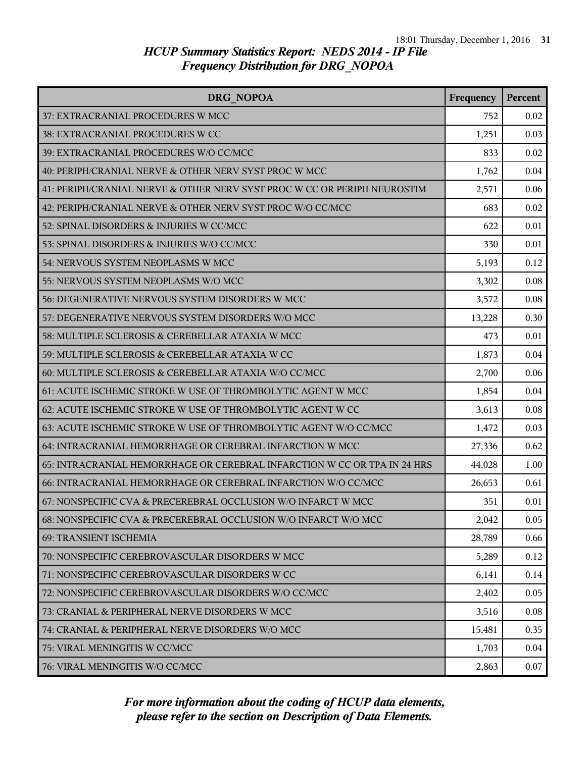| <b>DRG NOPOA</b>                                                         | Frequency | Percent |
|--------------------------------------------------------------------------|-----------|---------|
| 37: EXTRACRANIAL PROCEDURES W MCC                                        | 752       | 0.02    |
| 38: EXTRACRANIAL PROCEDURES W CC                                         | 1,251     | 0.03    |
| 39: EXTRACRANIAL PROCEDURES W/O CC/MCC                                   | 833       | 0.02    |
| 40: PERIPH/CRANIAL NERVE & OTHER NERV SYST PROC W MCC                    | 1,762     | 0.04    |
| 41: PERIPH/CRANIAL NERVE & OTHER NERV SYST PROC W CC OR PERIPH NEUROSTIM | 2,571     | 0.06    |
| 42: PERIPH/CRANIAL NERVE & OTHER NERV SYST PROC W/O CC/MCC               | 683       | 0.02    |
| 52: SPINAL DISORDERS & INJURIES W CC/MCC                                 | 622       | 0.01    |
| 53: SPINAL DISORDERS & INJURIES W/O CC/MCC                               | 330       | 0.01    |
| 54: NERVOUS SYSTEM NEOPLASMS W MCC                                       | 5,193     | 0.12    |
| 55: NERVOUS SYSTEM NEOPLASMS W/O MCC                                     | 3,302     | 0.08    |
| 56: DEGENERATIVE NERVOUS SYSTEM DISORDERS W MCC                          | 3,572     | 0.08    |
| 57: DEGENERATIVE NERVOUS SYSTEM DISORDERS W/O MCC                        | 13,228    | 0.30    |
| 58: MULTIPLE SCLEROSIS & CEREBELLAR ATAXIA W MCC                         | 473       | 0.01    |
| 59: MULTIPLE SCLEROSIS & CEREBELLAR ATAXIA W CC                          | 1,873     | 0.04    |
| 60: MULTIPLE SCLEROSIS & CEREBELLAR ATAXIA W/O CC/MCC                    | 2,700     | 0.06    |
| 61: ACUTE ISCHEMIC STROKE W USE OF THROMBOLYTIC AGENT W MCC              | 1,854     | 0.04    |
| 62: ACUTE ISCHEMIC STROKE W USE OF THROMBOLYTIC AGENT W CC               | 3,613     | 0.08    |
| 63: ACUTE ISCHEMIC STROKE W USE OF THROMBOLYTIC AGENT W/O CC/MCC         | 1,472     | 0.03    |
| 64: INTRACRANIAL HEMORRHAGE OR CEREBRAL INFARCTION W MCC                 | 27,336    | 0.62    |
| 65: INTRACRANIAL HEMORRHAGE OR CEREBRAL INFARCTION W CC OR TPA IN 24 HRS | 44,028    | 1.00    |
| 66: INTRACRANIAL HEMORRHAGE OR CEREBRAL INFARCTION W/O CC/MCC            | 26,653    | 0.61    |
| 67: NONSPECIFIC CVA & PRECEREBRAL OCCLUSION W/O INFARCT W MCC            | 351       | 0.01    |
| 68: NONSPECIFIC CVA & PRECEREBRAL OCCLUSION W/O INFARCT W/O MCC          | 2,042     | 0.05    |
| 69: TRANSIENT ISCHEMIA                                                   | 28,789    | 0.66    |
| 70: NONSPECIFIC CEREBROVASCULAR DISORDERS W MCC                          | 5,289     | 0.12    |
| 71: NONSPECIFIC CEREBROVASCULAR DISORDERS W CC                           | 6,141     | 0.14    |
| 72: NONSPECIFIC CEREBROVASCULAR DISORDERS W/O CC/MCC                     | 2,402     | 0.05    |
| 73: CRANIAL & PERIPHERAL NERVE DISORDERS W MCC                           | 3,516     | 0.08    |
| 74: CRANIAL & PERIPHERAL NERVE DISORDERS W/O MCC                         | 15,481    | 0.35    |
| 75: VIRAL MENINGITIS W CC/MCC                                            | 1,703     | 0.04    |
| 76: VIRAL MENINGITIS W/O CC/MCC                                          | 2,863     | 0.07    |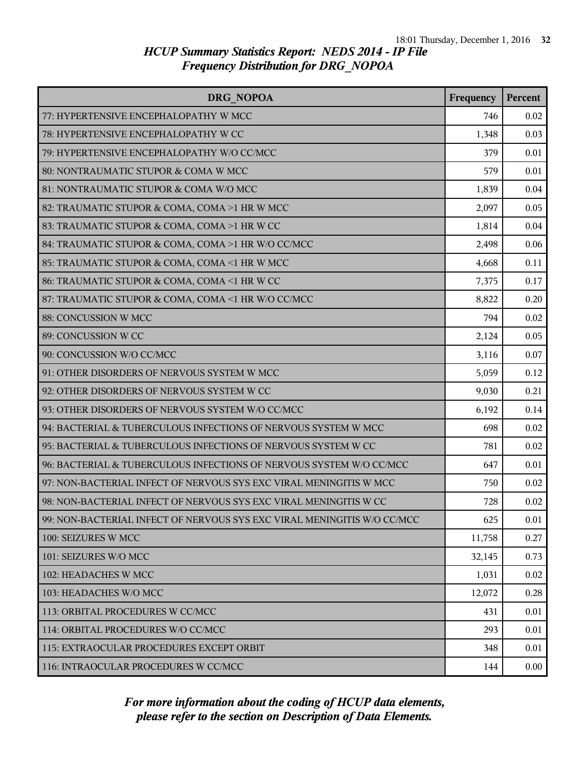| DRG NOPOA                                                               | Frequency | Percent |
|-------------------------------------------------------------------------|-----------|---------|
| 77: HYPERTENSIVE ENCEPHALOPATHY W MCC                                   | 746       | 0.02    |
| 78: HYPERTENSIVE ENCEPHALOPATHY W CC                                    | 1,348     | 0.03    |
| 79: HYPERTENSIVE ENCEPHALOPATHY W/O CC/MCC                              | 379       | 0.01    |
| 80: NONTRAUMATIC STUPOR & COMA W MCC                                    | 579       | 0.01    |
| 81: NONTRAUMATIC STUPOR & COMA W/O MCC                                  | 1,839     | 0.04    |
| 82: TRAUMATIC STUPOR & COMA, COMA >1 HR W MCC                           | 2,097     | 0.05    |
| 83: TRAUMATIC STUPOR & COMA, COMA >1 HR W CC                            | 1,814     | 0.04    |
| 84: TRAUMATIC STUPOR & COMA, COMA >1 HR W/O CC/MCC                      | 2,498     | 0.06    |
| 85: TRAUMATIC STUPOR & COMA, COMA <1 HR W MCC                           | 4,668     | 0.11    |
| 86: TRAUMATIC STUPOR & COMA, COMA <1 HR W CC                            | 7,375     | 0.17    |
| 87: TRAUMATIC STUPOR & COMA, COMA <1 HR W/O CC/MCC                      | 8,822     | 0.20    |
| 88: CONCUSSION W MCC                                                    | 794       | 0.02    |
| 89: CONCUSSION W CC                                                     | 2,124     | 0.05    |
| 90: CONCUSSION W/O CC/MCC                                               | 3,116     | 0.07    |
| 91: OTHER DISORDERS OF NERVOUS SYSTEM W MCC                             | 5,059     | 0.12    |
| 92: OTHER DISORDERS OF NERVOUS SYSTEM W CC                              | 9,030     | 0.21    |
| 93: OTHER DISORDERS OF NERVOUS SYSTEM W/O CC/MCC                        | 6,192     | 0.14    |
| 94: BACTERIAL & TUBERCULOUS INFECTIONS OF NERVOUS SYSTEM W MCC          | 698       | 0.02    |
| 95: BACTERIAL & TUBERCULOUS INFECTIONS OF NERVOUS SYSTEM W CC           | 781       | 0.02    |
| 96: BACTERIAL & TUBERCULOUS INFECTIONS OF NERVOUS SYSTEM W/O CC/MCC     | 647       | 0.01    |
| 97: NON-BACTERIAL INFECT OF NERVOUS SYS EXC VIRAL MENINGITIS W MCC      | 750       | 0.02    |
| 98: NON-BACTERIAL INFECT OF NERVOUS SYS EXC VIRAL MENINGITIS W CC       | 728       | 0.02    |
| 99: NON-BACTERIAL INFECT OF NERVOUS SYS EXC VIRAL MENINGITIS W/O CC/MCC | 625       | 0.01    |
| 100: SEIZURES W MCC                                                     | 11,758    | 0.27    |
| 101: SEIZURES W/O MCC                                                   | 32,145    | 0.73    |
| 102: HEADACHES W MCC                                                    | 1,031     | 0.02    |
| 103: HEADACHES W/O MCC                                                  | 12,072    | 0.28    |
| 113: ORBITAL PROCEDURES W CC/MCC                                        | 431       | 0.01    |
| 114: ORBITAL PROCEDURES W/O CC/MCC                                      | 293       | 0.01    |
| 115: EXTRAOCULAR PROCEDURES EXCEPT ORBIT                                | 348       | 0.01    |
| 116: INTRAOCULAR PROCEDURES W CC/MCC                                    | 144       | 0.00    |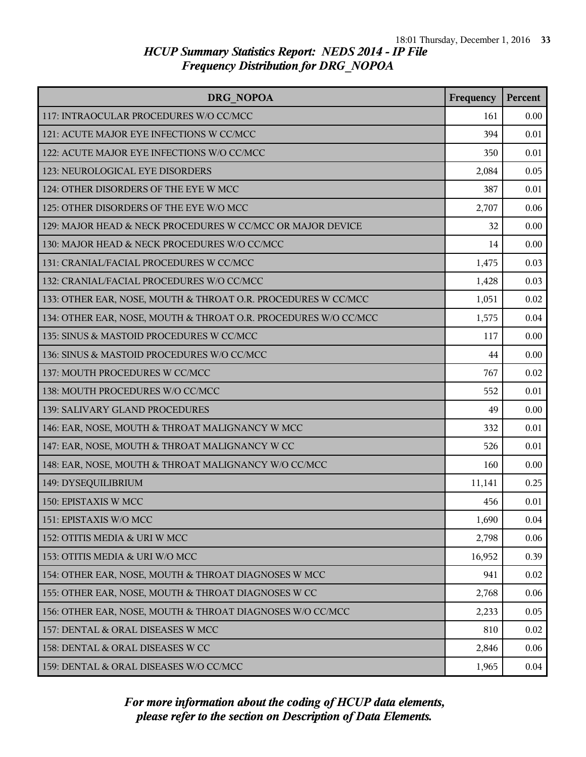| <b>DRG NOPOA</b>                                                | Frequency | Percent |
|-----------------------------------------------------------------|-----------|---------|
| 117: INTRAOCULAR PROCEDURES W/O CC/MCC                          | 161       | 0.00    |
| 121: ACUTE MAJOR EYE INFECTIONS W CC/MCC                        | 394       | 0.01    |
| 122: ACUTE MAJOR EYE INFECTIONS W/O CC/MCC                      | 350       | 0.01    |
| 123: NEUROLOGICAL EYE DISORDERS                                 | 2,084     | 0.05    |
| 124: OTHER DISORDERS OF THE EYE W MCC                           | 387       | 0.01    |
| 125: OTHER DISORDERS OF THE EYE W/O MCC                         | 2,707     | 0.06    |
| 129: MAJOR HEAD & NECK PROCEDURES W CC/MCC OR MAJOR DEVICE      | 32        | 0.00    |
| 130: MAJOR HEAD & NECK PROCEDURES W/O CC/MCC                    | 14        | 0.00    |
| 131: CRANIAL/FACIAL PROCEDURES W CC/MCC                         | 1,475     | 0.03    |
| 132: CRANIAL/FACIAL PROCEDURES W/O CC/MCC                       | 1,428     | 0.03    |
| 133: OTHER EAR, NOSE, MOUTH & THROAT O.R. PROCEDURES W CC/MCC   | 1,051     | 0.02    |
| 134: OTHER EAR, NOSE, MOUTH & THROAT O.R. PROCEDURES W/O CC/MCC | 1,575     | 0.04    |
| 135: SINUS & MASTOID PROCEDURES W CC/MCC                        | 117       | 0.00    |
| 136: SINUS & MASTOID PROCEDURES W/O CC/MCC                      | 44        | 0.00    |
| 137: MOUTH PROCEDURES W CC/MCC                                  | 767       | 0.02    |
| 138: MOUTH PROCEDURES W/O CC/MCC                                | 552       | 0.01    |
| 139: SALIVARY GLAND PROCEDURES                                  | 49        | 0.00    |
| 146: EAR, NOSE, MOUTH & THROAT MALIGNANCY W MCC                 | 332       | 0.01    |
| 147: EAR, NOSE, MOUTH & THROAT MALIGNANCY W CC                  | 526       | 0.01    |
| 148: EAR, NOSE, MOUTH & THROAT MALIGNANCY W/O CC/MCC            | 160       | 0.00    |
| 149: DYSEQUILIBRIUM                                             | 11,141    | 0.25    |
| 150: EPISTAXIS W MCC                                            | 456       | 0.01    |
| 151: EPISTAXIS W/O MCC                                          | 1,690     | 0.04    |
| 152: OTITIS MEDIA & URI W MCC                                   | 2,798     | 0.06    |
| 153: OTITIS MEDIA & URI W/O MCC                                 | 16,952    | 0.39    |
| 154: OTHER EAR, NOSE, MOUTH & THROAT DIAGNOSES W MCC            | 941       | 0.02    |
| 155: OTHER EAR, NOSE, MOUTH & THROAT DIAGNOSES W CC             | 2,768     | 0.06    |
| 156: OTHER EAR, NOSE, MOUTH & THROAT DIAGNOSES W/O CC/MCC       | 2,233     | 0.05    |
| 157: DENTAL & ORAL DISEASES W MCC                               | 810       | 0.02    |
| 158: DENTAL & ORAL DISEASES W CC                                | 2,846     | 0.06    |
| 159: DENTAL & ORAL DISEASES W/O CC/MCC                          | 1,965     | 0.04    |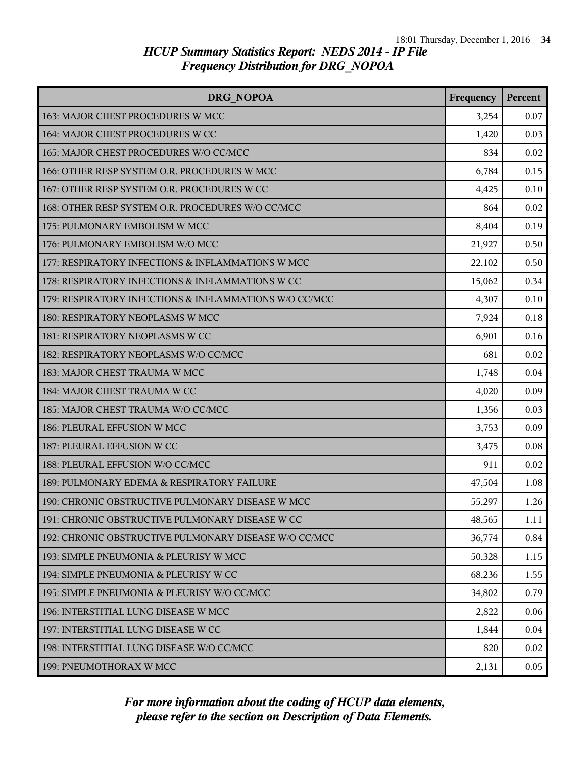| DRG NOPOA                                              | Frequency | Percent |
|--------------------------------------------------------|-----------|---------|
| 163: MAJOR CHEST PROCEDURES W MCC                      | 3,254     | 0.07    |
| 164: MAJOR CHEST PROCEDURES W CC                       | 1,420     | 0.03    |
| 165: MAJOR CHEST PROCEDURES W/O CC/MCC                 | 834       | 0.02    |
| 166: OTHER RESP SYSTEM O.R. PROCEDURES W MCC           | 6,784     | 0.15    |
| 167: OTHER RESP SYSTEM O.R. PROCEDURES W CC            | 4,425     | 0.10    |
| 168: OTHER RESP SYSTEM O.R. PROCEDURES W/O CC/MCC      | 864       | 0.02    |
| 175: PULMONARY EMBOLISM W MCC                          | 8,404     | 0.19    |
| 176: PULMONARY EMBOLISM W/O MCC                        | 21,927    | 0.50    |
| 177: RESPIRATORY INFECTIONS & INFLAMMATIONS W MCC      | 22,102    | 0.50    |
| 178: RESPIRATORY INFECTIONS & INFLAMMATIONS W CC       | 15,062    | 0.34    |
| 179: RESPIRATORY INFECTIONS & INFLAMMATIONS W/O CC/MCC | 4,307     | 0.10    |
| 180: RESPIRATORY NEOPLASMS W MCC                       | 7,924     | 0.18    |
| 181: RESPIRATORY NEOPLASMS W CC                        | 6,901     | 0.16    |
| 182: RESPIRATORY NEOPLASMS W/O CC/MCC                  | 681       | 0.02    |
| 183: MAJOR CHEST TRAUMA W MCC                          | 1,748     | 0.04    |
| 184: MAJOR CHEST TRAUMA W CC                           | 4,020     | 0.09    |
| 185: MAJOR CHEST TRAUMA W/O CC/MCC                     | 1,356     | 0.03    |
| 186: PLEURAL EFFUSION W MCC                            | 3,753     | 0.09    |
| 187: PLEURAL EFFUSION W CC                             | 3,475     | 0.08    |
| 188: PLEURAL EFFUSION W/O CC/MCC                       | 911       | 0.02    |
| 189: PULMONARY EDEMA & RESPIRATORY FAILURE             | 47,504    | 1.08    |
| 190: CHRONIC OBSTRUCTIVE PULMONARY DISEASE W MCC       | 55,297    | 1.26    |
| 191: CHRONIC OBSTRUCTIVE PULMONARY DISEASE W CC        | 48,565    | 1.11    |
| 192: CHRONIC OBSTRUCTIVE PULMONARY DISEASE W/O CC/MCC  | 36,774    | 0.84    |
| 193: SIMPLE PNEUMONIA & PLEURISY W MCC                 | 50,328    | 1.15    |
| 194: SIMPLE PNEUMONIA & PLEURISY W CC                  | 68,236    | 1.55    |
| 195: SIMPLE PNEUMONIA & PLEURISY W/O CC/MCC            | 34,802    | 0.79    |
| 196: INTERSTITIAL LUNG DISEASE W MCC                   | 2,822     | 0.06    |
| 197: INTERSTITIAL LUNG DISEASE W CC                    | 1,844     | 0.04    |
| 198: INTERSTITIAL LUNG DISEASE W/O CC/MCC              | 820       | 0.02    |
| 199: PNEUMOTHORAX W MCC                                | 2,131     | 0.05    |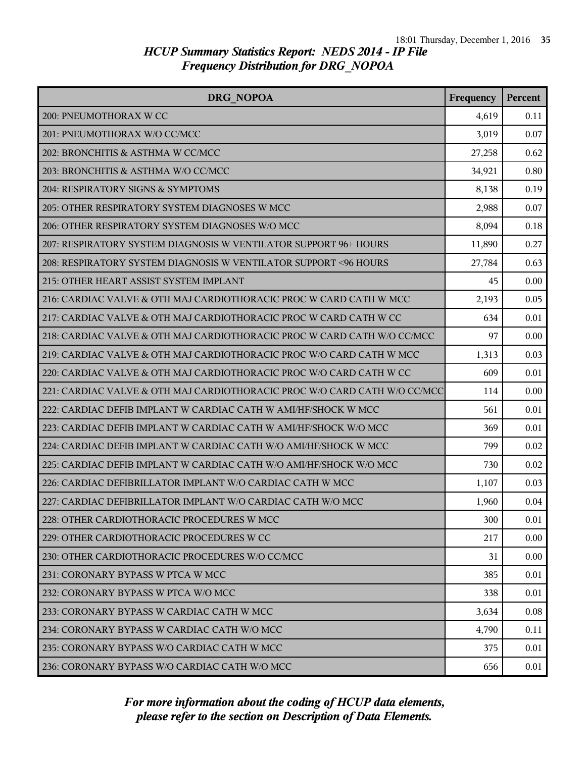| <b>DRG NOPOA</b>                                                          | Frequency | <b>Percent</b> |
|---------------------------------------------------------------------------|-----------|----------------|
| 200: PNEUMOTHORAX W CC                                                    | 4,619     | 0.11           |
| 201: PNEUMOTHORAX W/O CC/MCC                                              | 3,019     | 0.07           |
| 202: BRONCHITIS & ASTHMA W CC/MCC                                         | 27,258    | 0.62           |
| 203: BRONCHITIS & ASTHMA W/O CC/MCC                                       | 34,921    | 0.80           |
| 204: RESPIRATORY SIGNS & SYMPTOMS                                         | 8,138     | 0.19           |
| 205: OTHER RESPIRATORY SYSTEM DIAGNOSES W MCC                             | 2,988     | 0.07           |
| 206: OTHER RESPIRATORY SYSTEM DIAGNOSES W/O MCC                           | 8,094     | 0.18           |
| 207: RESPIRATORY SYSTEM DIAGNOSIS W VENTILATOR SUPPORT 96+ HOURS          | 11,890    | 0.27           |
| 208: RESPIRATORY SYSTEM DIAGNOSIS W VENTILATOR SUPPORT <96 HOURS          | 27,784    | 0.63           |
| 215: OTHER HEART ASSIST SYSTEM IMPLANT                                    | 45        | 0.00           |
| 216: CARDIAC VALVE & OTH MAJ CARDIOTHORACIC PROC W CARD CATH W MCC        | 2,193     | 0.05           |
| 217: CARDIAC VALVE & OTH MAJ CARDIOTHORACIC PROC W CARD CATH W CC         | 634       | 0.01           |
| 218: CARDIAC VALVE & OTH MAJ CARDIOTHORACIC PROC W CARD CATH W/O CC/MCC   | 97        | 0.00           |
| 219: CARDIAC VALVE & OTH MAJ CARDIOTHORACIC PROC W/O CARD CATH W MCC      | 1,313     | 0.03           |
| 220: CARDIAC VALVE & OTH MAJ CARDIOTHORACIC PROC W/O CARD CATH W CC       | 609       | 0.01           |
| 221: CARDIAC VALVE & OTH MAJ CARDIOTHORACIC PROC W/O CARD CATH W/O CC/MCC | 114       | 0.00           |
| 222: CARDIAC DEFIB IMPLANT W CARDIAC CATH W AMI/HF/SHOCK W MCC            | 561       | 0.01           |
| 223: CARDIAC DEFIB IMPLANT W CARDIAC CATH W AMI/HF/SHOCK W/O MCC          | 369       | 0.01           |
| 224: CARDIAC DEFIB IMPLANT W CARDIAC CATH W/O AMI/HF/SHOCK W MCC          | 799       | 0.02           |
| 225: CARDIAC DEFIB IMPLANT W CARDIAC CATH W/O AMI/HF/SHOCK W/O MCC        | 730       | 0.02           |
| 226: CARDIAC DEFIBRILLATOR IMPLANT W/O CARDIAC CATH W MCC                 | 1,107     | 0.03           |
| 227: CARDIAC DEFIBRILLATOR IMPLANT W/O CARDIAC CATH W/O MCC               | 1,960     | 0.04           |
| 228: OTHER CARDIOTHORACIC PROCEDURES W MCC                                | 300       | 0.01           |
| 229: OTHER CARDIOTHORACIC PROCEDURES W CC                                 | 217       | 0.00           |
| 230: OTHER CARDIOTHORACIC PROCEDURES W/O CC/MCC                           | 31        | 0.00           |
| 231: CORONARY BYPASS W PTCA W MCC                                         | 385       | 0.01           |
| 232: CORONARY BYPASS W PTCA W/O MCC                                       | 338       | 0.01           |
| 233: CORONARY BYPASS W CARDIAC CATH W MCC                                 | 3,634     | $0.08\,$       |
| 234: CORONARY BYPASS W CARDIAC CATH W/O MCC                               | 4,790     | 0.11           |
| 235: CORONARY BYPASS W/O CARDIAC CATH W MCC                               | 375       | 0.01           |
| 236: CORONARY BYPASS W/O CARDIAC CATH W/O MCC                             | 656       | 0.01           |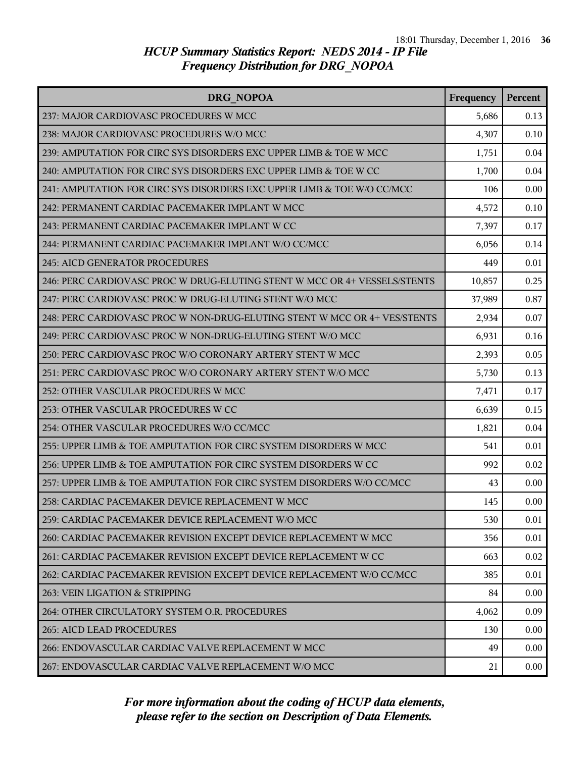| DRG NOPOA                                                                 | Frequency | Percent |
|---------------------------------------------------------------------------|-----------|---------|
| 237: MAJOR CARDIOVASC PROCEDURES W MCC                                    | 5,686     | 0.13    |
| 238: MAJOR CARDIOVASC PROCEDURES W/O MCC                                  | 4,307     | 0.10    |
| 239: AMPUTATION FOR CIRC SYS DISORDERS EXC UPPER LIMB & TOE W MCC         | 1,751     | 0.04    |
| 240: AMPUTATION FOR CIRC SYS DISORDERS EXC UPPER LIMB & TOE W CC          | 1,700     | 0.04    |
| 241: AMPUTATION FOR CIRC SYS DISORDERS EXC UPPER LIMB & TOE W/O CC/MCC    | 106       | 0.00    |
| 242: PERMANENT CARDIAC PACEMAKER IMPLANT W MCC                            | 4,572     | 0.10    |
| 243: PERMANENT CARDIAC PACEMAKER IMPLANT W CC                             | 7,397     | 0.17    |
| 244: PERMANENT CARDIAC PACEMAKER IMPLANT W/O CC/MCC                       | 6,056     | 0.14    |
| 245: AICD GENERATOR PROCEDURES                                            | 449       | 0.01    |
| 246: PERC CARDIOVASC PROC W DRUG-ELUTING STENT W MCC OR 4+ VESSELS/STENTS | 10,857    | 0.25    |
| 247: PERC CARDIOVASC PROC W DRUG-ELUTING STENT W/O MCC                    | 37,989    | 0.87    |
| 248: PERC CARDIOVASC PROC W NON-DRUG-ELUTING STENT W MCC OR 4+ VES/STENTS | 2,934     | 0.07    |
| 249: PERC CARDIOVASC PROC W NON-DRUG-ELUTING STENT W/O MCC                | 6,931     | 0.16    |
| 250: PERC CARDIOVASC PROC W/O CORONARY ARTERY STENT W MCC                 | 2,393     | 0.05    |
| 251: PERC CARDIOVASC PROC W/O CORONARY ARTERY STENT W/O MCC               | 5,730     | 0.13    |
| 252: OTHER VASCULAR PROCEDURES W MCC                                      | 7,471     | 0.17    |
| 253: OTHER VASCULAR PROCEDURES W CC                                       | 6,639     | 0.15    |
| 254: OTHER VASCULAR PROCEDURES W/O CC/MCC                                 | 1,821     | 0.04    |
| 255: UPPER LIMB & TOE AMPUTATION FOR CIRC SYSTEM DISORDERS W MCC          | 541       | 0.01    |
| 256: UPPER LIMB & TOE AMPUTATION FOR CIRC SYSTEM DISORDERS W CC           | 992       | 0.02    |
| 257: UPPER LIMB & TOE AMPUTATION FOR CIRC SYSTEM DISORDERS W/O CC/MCC     | 43        | 0.00    |
| 258: CARDIAC PACEMAKER DEVICE REPLACEMENT W MCC                           | 145       | 0.00    |
| 259: CARDIAC PACEMAKER DEVICE REPLACEMENT W/O MCC                         | 530       | 0.01    |
| 260: CARDIAC PACEMAKER REVISION EXCEPT DEVICE REPLACEMENT W MCC           | 356       | 0.01    |
| 261: CARDIAC PACEMAKER REVISION EXCEPT DEVICE REPLACEMENT W CC            | 663       | 0.02    |
| 262: CARDIAC PACEMAKER REVISION EXCEPT DEVICE REPLACEMENT W/O CC/MCC      | 385       | 0.01    |
| 263: VEIN LIGATION & STRIPPING                                            | 84        | 0.00    |
| 264: OTHER CIRCULATORY SYSTEM O.R. PROCEDURES                             | 4,062     | 0.09    |
| <b>265: AICD LEAD PROCEDURES</b>                                          | 130       | 0.00    |
| 266: ENDOVASCULAR CARDIAC VALVE REPLACEMENT W MCC                         | 49        | 0.00    |
| 267: ENDOVASCULAR CARDIAC VALVE REPLACEMENT W/O MCC                       | 21        | 0.00    |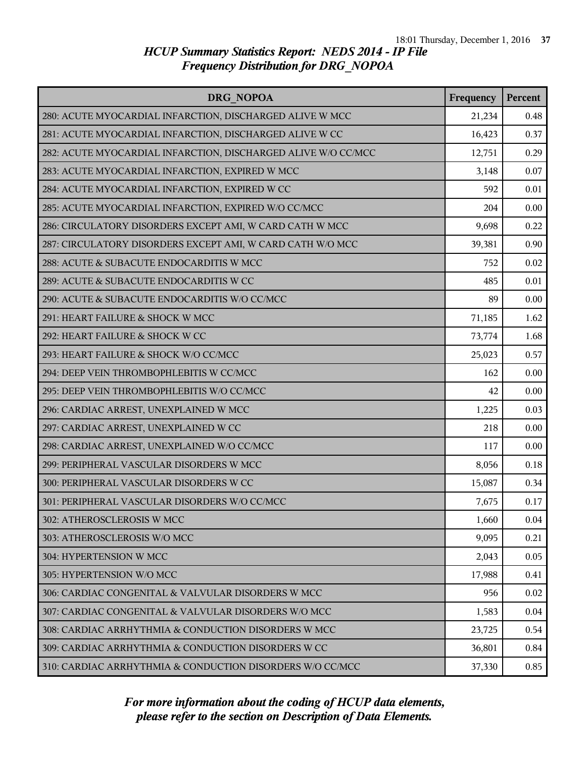| DRG NOPOA                                                     | Frequency | Percent |
|---------------------------------------------------------------|-----------|---------|
| 280: ACUTE MYOCARDIAL INFARCTION, DISCHARGED ALIVE W MCC      | 21,234    | 0.48    |
| 281: ACUTE MYOCARDIAL INFARCTION, DISCHARGED ALIVE W CC       | 16,423    | 0.37    |
| 282: ACUTE MYOCARDIAL INFARCTION, DISCHARGED ALIVE W/O CC/MCC | 12,751    | 0.29    |
| 283: ACUTE MYOCARDIAL INFARCTION, EXPIRED W MCC               | 3,148     | 0.07    |
| 284: ACUTE MYOCARDIAL INFARCTION, EXPIRED W CC                | 592       | 0.01    |
| 285: ACUTE MYOCARDIAL INFARCTION, EXPIRED W/O CC/MCC          | 204       | 0.00    |
| 286: CIRCULATORY DISORDERS EXCEPT AMI, W CARD CATH W MCC      | 9,698     | 0.22    |
| 287: CIRCULATORY DISORDERS EXCEPT AMI, W CARD CATH W/O MCC    | 39,381    | 0.90    |
| 288: ACUTE & SUBACUTE ENDOCARDITIS W MCC                      | 752       | 0.02    |
| 289: ACUTE & SUBACUTE ENDOCARDITIS W CC                       | 485       | 0.01    |
| 290: ACUTE & SUBACUTE ENDOCARDITIS W/O CC/MCC                 | 89        | 0.00    |
| 291: HEART FAILURE & SHOCK W MCC                              | 71,185    | 1.62    |
| 292: HEART FAILURE & SHOCK W CC                               | 73,774    | 1.68    |
| 293: HEART FAILURE & SHOCK W/O CC/MCC                         | 25,023    | 0.57    |
| 294: DEEP VEIN THROMBOPHLEBITIS W CC/MCC                      | 162       | 0.00    |
| 295: DEEP VEIN THROMBOPHLEBITIS W/O CC/MCC                    | 42        | 0.00    |
| 296: CARDIAC ARREST, UNEXPLAINED W MCC                        | 1,225     | 0.03    |
| 297: CARDIAC ARREST, UNEXPLAINED W CC                         | 218       | 0.00    |
| 298: CARDIAC ARREST, UNEXPLAINED W/O CC/MCC                   | 117       | 0.00    |
| 299: PERIPHERAL VASCULAR DISORDERS W MCC                      | 8,056     | 0.18    |
| 300: PERIPHERAL VASCULAR DISORDERS W CC                       | 15,087    | 0.34    |
| 301: PERIPHERAL VASCULAR DISORDERS W/O CC/MCC                 | 7,675     | 0.17    |
| 302: ATHEROSCLEROSIS W MCC                                    | 1,660     | 0.04    |
| 303: ATHEROSCLEROSIS W/O MCC                                  | 9,095     | 0.21    |
| 304: HYPERTENSION W MCC                                       | 2,043     | 0.05    |
| 305: HYPERTENSION W/O MCC                                     | 17,988    | 0.41    |
| 306: CARDIAC CONGENITAL & VALVULAR DISORDERS W MCC            | 956       | 0.02    |
| 307: CARDIAC CONGENITAL & VALVULAR DISORDERS W/O MCC          | 1,583     | 0.04    |
| 308: CARDIAC ARRHYTHMIA & CONDUCTION DISORDERS W MCC          | 23,725    | 0.54    |
| 309: CARDIAC ARRHYTHMIA & CONDUCTION DISORDERS W CC           | 36,801    | 0.84    |
| 310: CARDIAC ARRHYTHMIA & CONDUCTION DISORDERS W/O CC/MCC     | 37,330    | 0.85    |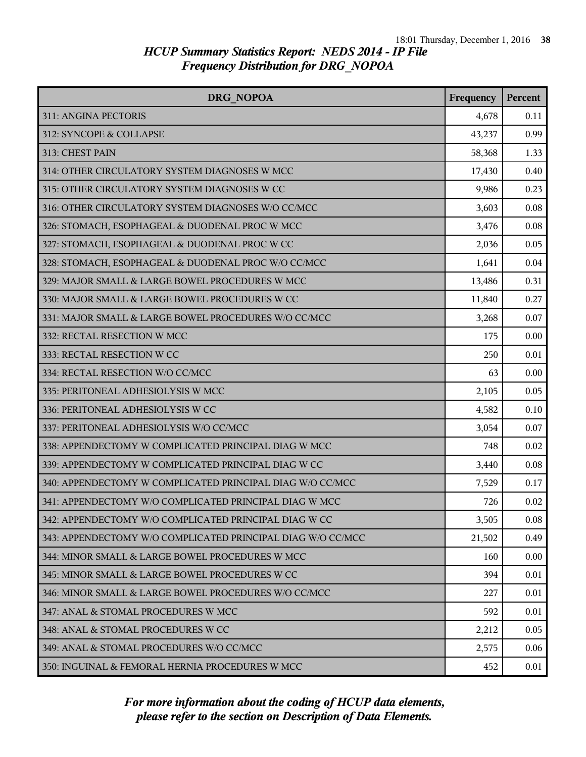| <b>DRG NOPOA</b>                                            | Frequency | Percent |
|-------------------------------------------------------------|-----------|---------|
| 311: ANGINA PECTORIS                                        | 4,678     | 0.11    |
| 312: SYNCOPE & COLLAPSE                                     | 43,237    | 0.99    |
| 313: CHEST PAIN                                             | 58,368    | 1.33    |
| 314: OTHER CIRCULATORY SYSTEM DIAGNOSES W MCC               | 17,430    | 0.40    |
| 315: OTHER CIRCULATORY SYSTEM DIAGNOSES W CC                | 9,986     | 0.23    |
| 316: OTHER CIRCULATORY SYSTEM DIAGNOSES W/O CC/MCC          | 3,603     | 0.08    |
| 326: STOMACH, ESOPHAGEAL & DUODENAL PROC W MCC              | 3,476     | 0.08    |
| 327: STOMACH, ESOPHAGEAL & DUODENAL PROC W CC               | 2,036     | 0.05    |
| 328: STOMACH, ESOPHAGEAL & DUODENAL PROC W/O CC/MCC         | 1,641     | 0.04    |
| 329: MAJOR SMALL & LARGE BOWEL PROCEDURES W MCC             | 13,486    | 0.31    |
| 330: MAJOR SMALL & LARGE BOWEL PROCEDURES W CC              | 11,840    | 0.27    |
| 331: MAJOR SMALL & LARGE BOWEL PROCEDURES W/O CC/MCC        | 3,268     | 0.07    |
| 332: RECTAL RESECTION W MCC                                 | 175       | 0.00    |
| 333: RECTAL RESECTION W CC                                  | 250       | 0.01    |
| 334: RECTAL RESECTION W/O CC/MCC                            | 63        | 0.00    |
| 335: PERITONEAL ADHESIOLYSIS W MCC                          | 2,105     | 0.05    |
| 336: PERITONEAL ADHESIOLYSIS W CC                           | 4,582     | 0.10    |
| 337: PERITONEAL ADHESIOLYSIS W/O CC/MCC                     | 3,054     | 0.07    |
| 338: APPENDECTOMY W COMPLICATED PRINCIPAL DIAG W MCC        | 748       | 0.02    |
| 339: APPENDECTOMY W COMPLICATED PRINCIPAL DIAG W CC         | 3,440     | 0.08    |
| 340: APPENDECTOMY W COMPLICATED PRINCIPAL DIAG W/O CC/MCC   | 7,529     | 0.17    |
| 341: APPENDECTOMY W/O COMPLICATED PRINCIPAL DIAG W MCC      | 726       | 0.02    |
| 342: APPENDECTOMY W/O COMPLICATED PRINCIPAL DIAG W CC       | 3,505     | 0.08    |
| 343: APPENDECTOMY W/O COMPLICATED PRINCIPAL DIAG W/O CC/MCC | 21,502    | 0.49    |
| 344: MINOR SMALL & LARGE BOWEL PROCEDURES W MCC             | 160       | 0.00    |
| 345: MINOR SMALL & LARGE BOWEL PROCEDURES W CC              | 394       | 0.01    |
| 346: MINOR SMALL & LARGE BOWEL PROCEDURES W/O CC/MCC        | 227       | 0.01    |
| 347: ANAL & STOMAL PROCEDURES W MCC                         | 592       | 0.01    |
| 348: ANAL & STOMAL PROCEDURES W CC                          | 2,212     | 0.05    |
| 349: ANAL & STOMAL PROCEDURES W/O CC/MCC                    | 2,575     | 0.06    |
| 350: INGUINAL & FEMORAL HERNIA PROCEDURES W MCC             | 452       | 0.01    |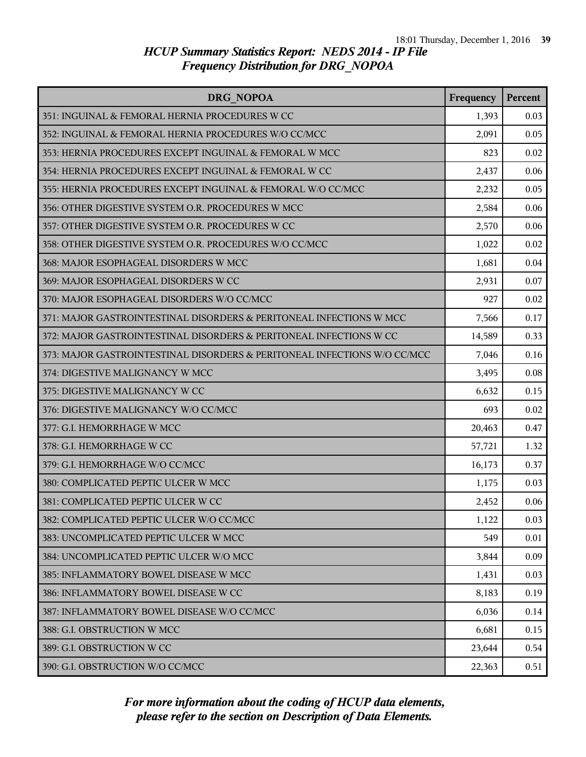| DRG NOPOA                                                                | Frequency | Percent |
|--------------------------------------------------------------------------|-----------|---------|
| 351: INGUINAL & FEMORAL HERNIA PROCEDURES W CC                           | 1,393     | 0.03    |
| 352: INGUINAL & FEMORAL HERNIA PROCEDURES W/O CC/MCC                     | 2,091     | 0.05    |
| 353: HERNIA PROCEDURES EXCEPT INGUINAL & FEMORAL W MCC                   | 823       | 0.02    |
| 354: HERNIA PROCEDURES EXCEPT INGUINAL & FEMORAL W CC                    | 2,437     | 0.06    |
| 355: HERNIA PROCEDURES EXCEPT INGUINAL & FEMORAL W/O CC/MCC              | 2,232     | 0.05    |
| 356: OTHER DIGESTIVE SYSTEM O.R. PROCEDURES W MCC                        | 2,584     | 0.06    |
| 357: OTHER DIGESTIVE SYSTEM O.R. PROCEDURES W CC                         | 2,570     | 0.06    |
| 358: OTHER DIGESTIVE SYSTEM O.R. PROCEDURES W/O CC/MCC                   | 1,022     | 0.02    |
| 368: MAJOR ESOPHAGEAL DISORDERS W MCC                                    | 1,681     | 0.04    |
| 369: MAJOR ESOPHAGEAL DISORDERS W CC                                     | 2,931     | 0.07    |
| 370: MAJOR ESOPHAGEAL DISORDERS W/O CC/MCC                               | 927       | 0.02    |
| 371: MAJOR GASTROINTESTINAL DISORDERS & PERITONEAL INFECTIONS W MCC      | 7,566     | 0.17    |
| 372: MAJOR GASTROINTESTINAL DISORDERS & PERITONEAL INFECTIONS W CC       | 14,589    | 0.33    |
| 373: MAJOR GASTROINTESTINAL DISORDERS & PERITONEAL INFECTIONS W/O CC/MCC | 7,046     | 0.16    |
| 374: DIGESTIVE MALIGNANCY W MCC                                          | 3,495     | 0.08    |
| 375: DIGESTIVE MALIGNANCY W CC                                           | 6,632     | 0.15    |
| 376: DIGESTIVE MALIGNANCY W/O CC/MCC                                     | 693       | 0.02    |
| 377: G.I. HEMORRHAGE W MCC                                               | 20,463    | 0.47    |
| 378: G.I. HEMORRHAGE W CC                                                | 57,721    | 1.32    |
| 379: G.I. HEMORRHAGE W/O CC/MCC                                          | 16,173    | 0.37    |
| 380: COMPLICATED PEPTIC ULCER W MCC                                      | 1,175     | 0.03    |
| 381: COMPLICATED PEPTIC ULCER W CC                                       | 2,452     | 0.06    |
| 382: COMPLICATED PEPTIC ULCER W/O CC/MCC                                 | 1,122     | 0.03    |
| 383: UNCOMPLICATED PEPTIC ULCER W MCC                                    | 549       | 0.01    |
| 384: UNCOMPLICATED PEPTIC ULCER W/O MCC                                  | 3,844     | 0.09    |
| 385: INFLAMMATORY BOWEL DISEASE W MCC                                    | 1,431     | 0.03    |
| 386: INFLAMMATORY BOWEL DISEASE W CC                                     | 8,183     | 0.19    |
| 387: INFLAMMATORY BOWEL DISEASE W/O CC/MCC                               | 6,036     | 0.14    |
| 388: G.I. OBSTRUCTION W MCC                                              | 6,681     | 0.15    |
| 389: G.I. OBSTRUCTION W CC                                               | 23,644    | 0.54    |
| 390: G.I. OBSTRUCTION W/O CC/MCC                                         | 22,363    | 0.51    |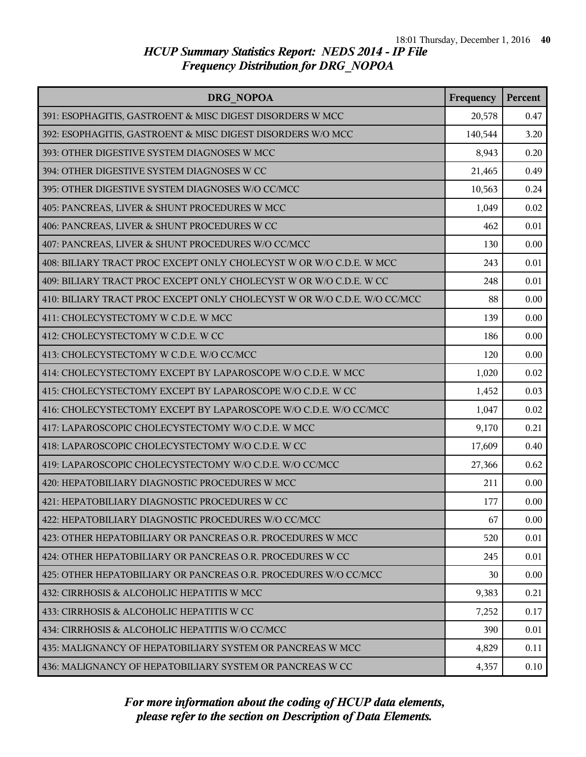| DRG NOPOA                                                                | Frequency | Percent |
|--------------------------------------------------------------------------|-----------|---------|
| 391: ESOPHAGITIS, GASTROENT & MISC DIGEST DISORDERS W MCC                | 20,578    | 0.47    |
| 392: ESOPHAGITIS, GASTROENT & MISC DIGEST DISORDERS W/O MCC              | 140,544   | 3.20    |
| 393: OTHER DIGESTIVE SYSTEM DIAGNOSES W MCC                              | 8,943     | 0.20    |
| 394: OTHER DIGESTIVE SYSTEM DIAGNOSES W CC                               | 21,465    | 0.49    |
| 395: OTHER DIGESTIVE SYSTEM DIAGNOSES W/O CC/MCC                         | 10,563    | 0.24    |
| 405: PANCREAS, LIVER & SHUNT PROCEDURES W MCC                            | 1,049     | 0.02    |
| 406: PANCREAS, LIVER & SHUNT PROCEDURES W CC                             | 462       | 0.01    |
| 407: PANCREAS, LIVER & SHUNT PROCEDURES W/O CC/MCC                       | 130       | 0.00    |
| 408: BILIARY TRACT PROC EXCEPT ONLY CHOLECYST W OR W/O C.D.E. W MCC      | 243       | 0.01    |
| 409: BILIARY TRACT PROC EXCEPT ONLY CHOLECYST W OR W/O C.D.E. W CC       | 248       | 0.01    |
| 410: BILIARY TRACT PROC EXCEPT ONLY CHOLECYST W OR W/O C.D.E. W/O CC/MCC | 88        | 0.00    |
| 411: CHOLECYSTECTOMY W C.D.E. W MCC                                      | 139       | 0.00    |
| 412: CHOLECYSTECTOMY W C.D.E. W CC                                       | 186       | 0.00    |
| 413: CHOLECYSTECTOMY W C.D.E. W/O CC/MCC                                 | 120       | 0.00    |
| 414: CHOLECYSTECTOMY EXCEPT BY LAPAROSCOPE W/O C.D.E. W MCC              | 1,020     | 0.02    |
| 415: CHOLECYSTECTOMY EXCEPT BY LAPAROSCOPE W/O C.D.E. W CC               | 1,452     | 0.03    |
| 416: CHOLECYSTECTOMY EXCEPT BY LAPAROSCOPE W/O C.D.E. W/O CC/MCC         | 1,047     | 0.02    |
| 417: LAPAROSCOPIC CHOLECYSTECTOMY W/O C.D.E. W MCC                       | 9,170     | 0.21    |
| 418: LAPAROSCOPIC CHOLECYSTECTOMY W/O C.D.E. W CC                        | 17,609    | 0.40    |
| 419: LAPAROSCOPIC CHOLECYSTECTOMY W/O C.D.E. W/O CC/MCC                  | 27,366    | 0.62    |
| 420: HEPATOBILIARY DIAGNOSTIC PROCEDURES W MCC                           | 211       | 0.00    |
| 421: HEPATOBILIARY DIAGNOSTIC PROCEDURES W CC                            | 177       | 0.00    |
| 422: HEPATOBILIARY DIAGNOSTIC PROCEDURES W/O CC/MCC                      | 67        | 0.00    |
| 423: OTHER HEPATOBILIARY OR PANCREAS O.R. PROCEDURES W MCC               | 520       | 0.01    |
| 424: OTHER HEPATOBILIARY OR PANCREAS O.R. PROCEDURES W CC                | 245       | 0.01    |
| 425: OTHER HEPATOBILIARY OR PANCREAS O.R. PROCEDURES W/O CC/MCC          | 30        | 0.00    |
| 432: CIRRHOSIS & ALCOHOLIC HEPATITIS W MCC                               | 9,383     | 0.21    |
| 433: CIRRHOSIS & ALCOHOLIC HEPATITIS W CC                                | 7,252     | 0.17    |
| 434: CIRRHOSIS & ALCOHOLIC HEPATITIS W/O CC/MCC                          | 390       | 0.01    |
| 435: MALIGNANCY OF HEPATOBILIARY SYSTEM OR PANCREAS W MCC                | 4,829     | 0.11    |
| 436: MALIGNANCY OF HEPATOBILIARY SYSTEM OR PANCREAS W CC                 | 4,357     | 0.10    |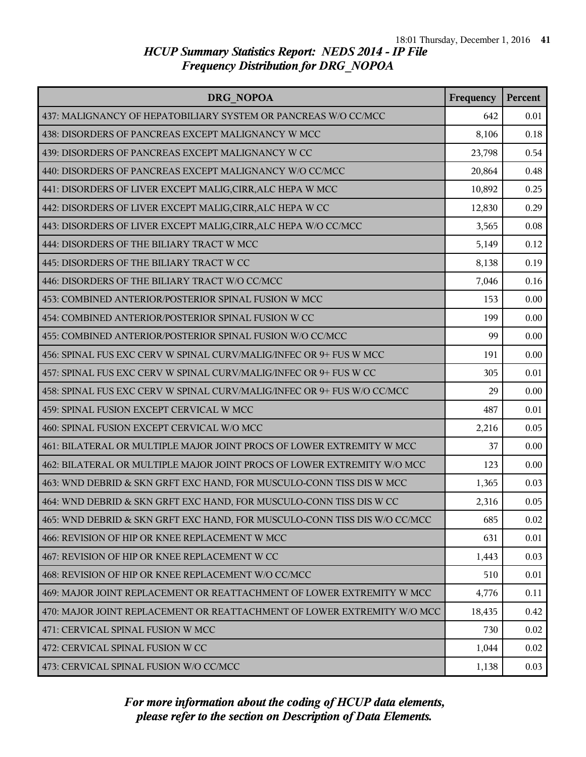| DRG NOPOA                                                                 | Frequency | Percent |
|---------------------------------------------------------------------------|-----------|---------|
| 437: MALIGNANCY OF HEPATOBILIARY SYSTEM OR PANCREAS W/O CC/MCC            | 642       | 0.01    |
| 438: DISORDERS OF PANCREAS EXCEPT MALIGNANCY W MCC                        | 8,106     | 0.18    |
| 439: DISORDERS OF PANCREAS EXCEPT MALIGNANCY W CC                         | 23,798    | 0.54    |
| 440: DISORDERS OF PANCREAS EXCEPT MALIGNANCY W/O CC/MCC                   | 20,864    | 0.48    |
| 441: DISORDERS OF LIVER EXCEPT MALIG, CIRR, ALC HEPA W MCC                | 10,892    | 0.25    |
| 442: DISORDERS OF LIVER EXCEPT MALIG, CIRR, ALC HEPA W CC                 | 12,830    | 0.29    |
| 443: DISORDERS OF LIVER EXCEPT MALIG, CIRR, ALC HEPA W/O CC/MCC           | 3,565     | 0.08    |
| 444: DISORDERS OF THE BILIARY TRACT W MCC                                 | 5,149     | 0.12    |
| 445: DISORDERS OF THE BILIARY TRACT W CC                                  | 8,138     | 0.19    |
| 446: DISORDERS OF THE BILIARY TRACT W/O CC/MCC                            | 7,046     | 0.16    |
| 453: COMBINED ANTERIOR/POSTERIOR SPINAL FUSION W MCC                      | 153       | 0.00    |
| 454: COMBINED ANTERIOR/POSTERIOR SPINAL FUSION W CC                       | 199       | 0.00    |
| 455: COMBINED ANTERIOR/POSTERIOR SPINAL FUSION W/O CC/MCC                 | 99        | 0.00    |
| 456: SPINAL FUS EXC CERV W SPINAL CURV/MALIG/INFEC OR 9+ FUS W MCC        | 191       | 0.00    |
| 457: SPINAL FUS EXC CERV W SPINAL CURV/MALIG/INFEC OR 9+ FUS W CC         | 305       | 0.01    |
| 458: SPINAL FUS EXC CERV W SPINAL CURV/MALIG/INFEC OR 9+ FUS W/O CC/MCC   | 29        | 0.00    |
| 459: SPINAL FUSION EXCEPT CERVICAL W MCC                                  | 487       | 0.01    |
| 460: SPINAL FUSION EXCEPT CERVICAL W/O MCC                                | 2,216     | 0.05    |
| 461: BILATERAL OR MULTIPLE MAJOR JOINT PROCS OF LOWER EXTREMITY W MCC     | 37        | 0.00    |
| 462: BILATERAL OR MULTIPLE MAJOR JOINT PROCS OF LOWER EXTREMITY W/O MCC   | 123       | 0.00    |
| 463: WND DEBRID & SKN GRFT EXC HAND, FOR MUSCULO-CONN TISS DIS W MCC      | 1,365     | 0.03    |
| 464: WND DEBRID & SKN GRFT EXC HAND, FOR MUSCULO-CONN TISS DIS W CC       | 2,316     | 0.05    |
| 465: WND DEBRID & SKN GRFT EXC HAND, FOR MUSCULO-CONN TISS DIS W/O CC/MCC | 685       | 0.02    |
| 466: REVISION OF HIP OR KNEE REPLACEMENT W MCC                            | 631       | 0.01    |
| 467: REVISION OF HIP OR KNEE REPLACEMENT W CC                             | 1,443     | 0.03    |
| 468: REVISION OF HIP OR KNEE REPLACEMENT W/O CC/MCC                       | 510       | 0.01    |
| 469: MAJOR JOINT REPLACEMENT OR REATTACHMENT OF LOWER EXTREMITY W MCC     | 4,776     | 0.11    |
| 470: MAJOR JOINT REPLACEMENT OR REATTACHMENT OF LOWER EXTREMITY W/O MCC   | 18,435    | 0.42    |
| 471: CERVICAL SPINAL FUSION W MCC                                         | 730       | 0.02    |
| 472: CERVICAL SPINAL FUSION W CC                                          | 1,044     | 0.02    |
| 473: CERVICAL SPINAL FUSION W/O CC/MCC                                    | 1,138     | 0.03    |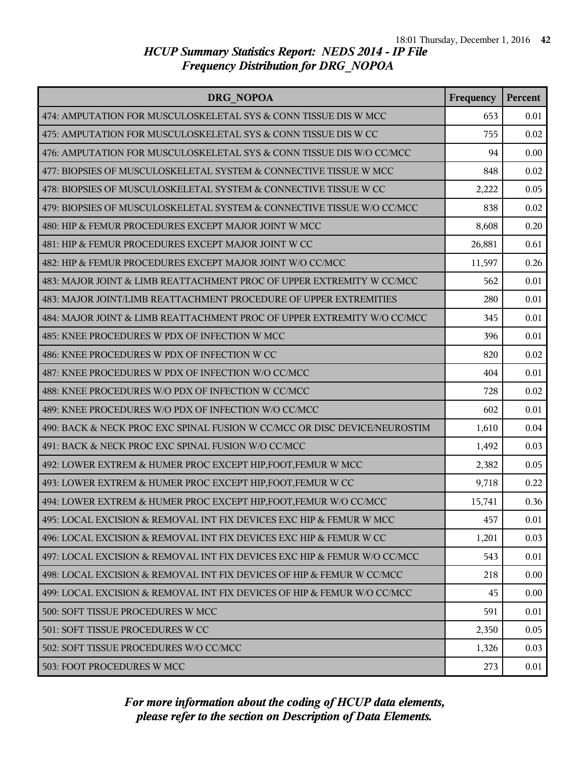| DRG NOPOA                                                                 | Frequency | <b>Percent</b> |
|---------------------------------------------------------------------------|-----------|----------------|
| 474: AMPUTATION FOR MUSCULOSKELETAL SYS & CONN TISSUE DIS W MCC           | 653       | 0.01           |
| 475: AMPUTATION FOR MUSCULOSKELETAL SYS & CONN TISSUE DIS W CC            | 755       | 0.02           |
| 476: AMPUTATION FOR MUSCULOSKELETAL SYS & CONN TISSUE DIS W/O CC/MCC      | 94        | 0.00           |
| 477: BIOPSIES OF MUSCULOSKELETAL SYSTEM & CONNECTIVE TISSUE W MCC         | 848       | 0.02           |
| 478: BIOPSIES OF MUSCULOSKELETAL SYSTEM & CONNECTIVE TISSUE W CC          | 2,222     | 0.05           |
| 479: BIOPSIES OF MUSCULOSKELETAL SYSTEM & CONNECTIVE TISSUE W/O CC/MCC    | 838       | 0.02           |
| 480: HIP & FEMUR PROCEDURES EXCEPT MAJOR JOINT W MCC                      | 8,608     | 0.20           |
| 481: HIP & FEMUR PROCEDURES EXCEPT MAJOR JOINT W CC                       | 26,881    | 0.61           |
| 482: HIP & FEMUR PROCEDURES EXCEPT MAJOR JOINT W/O CC/MCC                 | 11,597    | 0.26           |
| 483: MAJOR JOINT & LIMB REATTACHMENT PROC OF UPPER EXTREMITY W CC/MCC     | 562       | 0.01           |
| 483: MAJOR JOINT/LIMB REATTACHMENT PROCEDURE OF UPPER EXTREMITIES         | 280       | 0.01           |
| 484: MAJOR JOINT & LIMB REATTACHMENT PROC OF UPPER EXTREMITY W/O CC/MCC   | 345       | 0.01           |
| 485: KNEE PROCEDURES W PDX OF INFECTION W MCC                             | 396       | 0.01           |
| 486: KNEE PROCEDURES W PDX OF INFECTION W CC                              | 820       | 0.02           |
| 487: KNEE PROCEDURES W PDX OF INFECTION W/O CC/MCC                        | 404       | 0.01           |
| 488: KNEE PROCEDURES W/O PDX OF INFECTION W CC/MCC                        | 728       | 0.02           |
| 489: KNEE PROCEDURES W/O PDX OF INFECTION W/O CC/MCC                      | 602       | 0.01           |
| 490: BACK & NECK PROC EXC SPINAL FUSION W CC/MCC OR DISC DEVICE/NEUROSTIM | 1,610     | 0.04           |
| 491: BACK & NECK PROC EXC SPINAL FUSION W/O CC/MCC                        | 1,492     | 0.03           |
| 492: LOWER EXTREM & HUMER PROC EXCEPT HIP, FOOT, FEMUR W MCC              | 2,382     | 0.05           |
| 493: LOWER EXTREM & HUMER PROC EXCEPT HIP, FOOT, FEMUR W CC               | 9,718     | 0.22           |
| 494: LOWER EXTREM & HUMER PROC EXCEPT HIP, FOOT, FEMUR W/O CC/MCC         | 15,741    | 0.36           |
| 495: LOCAL EXCISION & REMOVAL INT FIX DEVICES EXC HIP & FEMUR W MCC       | 457       | 0.01           |
| 496: LOCAL EXCISION & REMOVAL INT FIX DEVICES EXC HIP & FEMUR W CC        | 1,201     | 0.03           |
| 497: LOCAL EXCISION & REMOVAL INT FIX DEVICES EXC HIP & FEMUR W/O CC/MCC  | 543       | 0.01           |
| 498: LOCAL EXCISION & REMOVAL INT FIX DEVICES OF HIP & FEMUR W CC/MCC     | 218       | 0.00           |
| 499: LOCAL EXCISION & REMOVAL INT FIX DEVICES OF HIP & FEMUR W/O CC/MCC   | 45        | 0.00           |
| 500: SOFT TISSUE PROCEDURES W MCC                                         | 591       | 0.01           |
| 501: SOFT TISSUE PROCEDURES W CC                                          | 2,350     | 0.05           |
| 502: SOFT TISSUE PROCEDURES W/O CC/MCC                                    | 1,326     | 0.03           |
| 503: FOOT PROCEDURES W MCC                                                | 273       | 0.01           |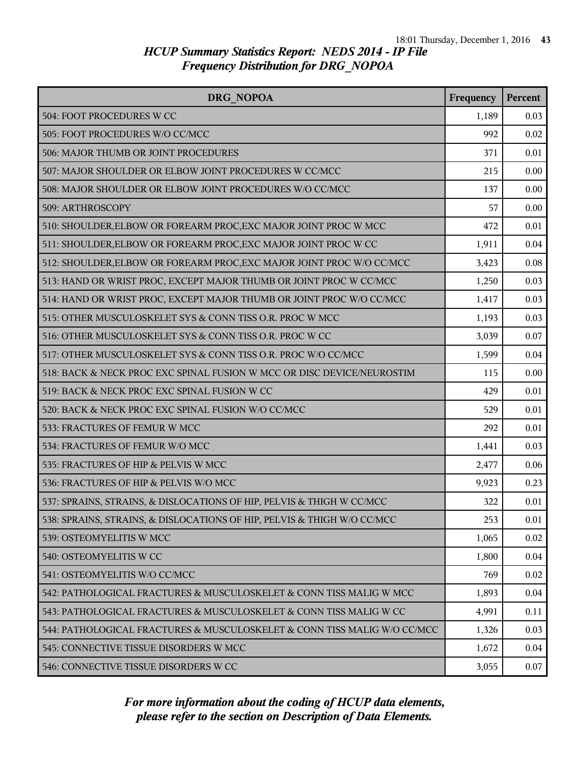| DRG NOPOA                                                                | Frequency | Percent |
|--------------------------------------------------------------------------|-----------|---------|
| 504: FOOT PROCEDURES W CC                                                | 1,189     | 0.03    |
| 505: FOOT PROCEDURES W/O CC/MCC                                          | 992       | 0.02    |
| 506: MAJOR THUMB OR JOINT PROCEDURES                                     | 371       | 0.01    |
| 507: MAJOR SHOULDER OR ELBOW JOINT PROCEDURES W CC/MCC                   | 215       | 0.00    |
| 508: MAJOR SHOULDER OR ELBOW JOINT PROCEDURES W/O CC/MCC                 | 137       | 0.00    |
| 509: ARTHROSCOPY                                                         | 57        | 0.00    |
| 510: SHOULDER, ELBOW OR FOREARM PROC, EXC MAJOR JOINT PROC W MCC         | 472       | 0.01    |
| 511: SHOULDER, ELBOW OR FOREARM PROC, EXC MAJOR JOINT PROC W CC          | 1,911     | 0.04    |
| 512: SHOULDER, ELBOW OR FOREARM PROC, EXC MAJOR JOINT PROC W/O CC/MCC    | 3,423     | 0.08    |
| 513: HAND OR WRIST PROC, EXCEPT MAJOR THUMB OR JOINT PROC W CC/MCC       | 1,250     | 0.03    |
| 514: HAND OR WRIST PROC, EXCEPT MAJOR THUMB OR JOINT PROC W/O CC/MCC     | 1,417     | 0.03    |
| 515: OTHER MUSCULOSKELET SYS & CONN TISS O.R. PROC W MCC                 | 1,193     | 0.03    |
| 516: OTHER MUSCULOSKELET SYS & CONN TISS O.R. PROC W CC                  | 3,039     | 0.07    |
| 517: OTHER MUSCULOSKELET SYS & CONN TISS O.R. PROC W/O CC/MCC            | 1,599     | 0.04    |
| 518: BACK & NECK PROC EXC SPINAL FUSION W MCC OR DISC DEVICE/NEUROSTIM   | 115       | 0.00    |
| 519: BACK & NECK PROC EXC SPINAL FUSION W CC                             | 429       | 0.01    |
| 520: BACK & NECK PROC EXC SPINAL FUSION W/O CC/MCC                       | 529       | 0.01    |
| 533: FRACTURES OF FEMUR W MCC                                            | 292       | 0.01    |
| 534: FRACTURES OF FEMUR W/O MCC                                          | 1,441     | 0.03    |
| 535: FRACTURES OF HIP & PELVIS W MCC                                     | 2,477     | 0.06    |
| 536: FRACTURES OF HIP & PELVIS W/O MCC                                   | 9,923     | 0.23    |
| 537: SPRAINS, STRAINS, & DISLOCATIONS OF HIP, PELVIS & THIGH W CC/MCC    | 322       | 0.01    |
| 538: SPRAINS, STRAINS, & DISLOCATIONS OF HIP, PELVIS & THIGH W/O CC/MCC  | 253       | 0.01    |
| 539: OSTEOMYELITIS W MCC                                                 | 1,065     | 0.02    |
| 540: OSTEOMYELITIS W CC                                                  | 1,800     | 0.04    |
| 541: OSTEOMYELITIS W/O CC/MCC                                            | 769       | 0.02    |
| 542: PATHOLOGICAL FRACTURES & MUSCULOSKELET & CONN TISS MALIG W MCC      | 1,893     | 0.04    |
| 543: PATHOLOGICAL FRACTURES & MUSCULOSKELET & CONN TISS MALIG W CC       | 4,991     | 0.11    |
| 544: PATHOLOGICAL FRACTURES & MUSCULOSKELET & CONN TISS MALIG W/O CC/MCC | 1,326     | 0.03    |
| 545: CONNECTIVE TISSUE DISORDERS W MCC                                   | 1,672     | 0.04    |
| 546: CONNECTIVE TISSUE DISORDERS W CC                                    | 3,055     | 0.07    |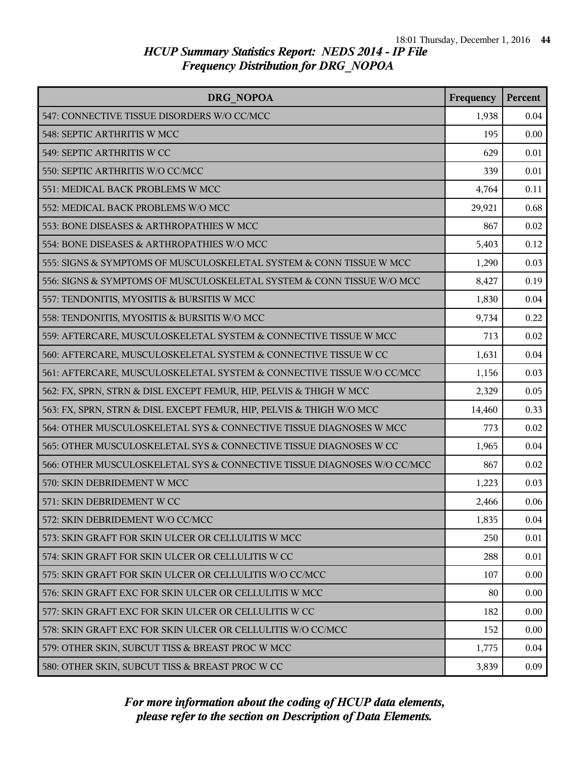| <b>DRG NOPOA</b>                                                        | Frequency | Percent |
|-------------------------------------------------------------------------|-----------|---------|
| 547: CONNECTIVE TISSUE DISORDERS W/O CC/MCC                             | 1,938     | 0.04    |
| 548: SEPTIC ARTHRITIS W MCC                                             | 195       | 0.00    |
| 549: SEPTIC ARTHRITIS W CC                                              | 629       | 0.01    |
| 550: SEPTIC ARTHRITIS W/O CC/MCC                                        | 339       | 0.01    |
| 551: MEDICAL BACK PROBLEMS W MCC                                        | 4,764     | 0.11    |
| 552: MEDICAL BACK PROBLEMS W/O MCC                                      | 29,921    | 0.68    |
| 553: BONE DISEASES & ARTHROPATHIES W MCC                                | 867       | 0.02    |
| 554: BONE DISEASES & ARTHROPATHIES W/O MCC                              | 5,403     | 0.12    |
| 555: SIGNS & SYMPTOMS OF MUSCULOSKELETAL SYSTEM & CONN TISSUE W MCC     | 1,290     | 0.03    |
| 556: SIGNS & SYMPTOMS OF MUSCULOSKELETAL SYSTEM & CONN TISSUE W/O MCC   | 8,427     | 0.19    |
| 557: TENDONITIS, MYOSITIS & BURSITIS W MCC                              | 1,830     | 0.04    |
| 558: TENDONITIS, MYOSITIS & BURSITIS W/O MCC                            | 9,734     | 0.22    |
| 559: AFTERCARE, MUSCULOSKELETAL SYSTEM & CONNECTIVE TISSUE W MCC        | 713       | 0.02    |
| 560: AFTERCARE, MUSCULOSKELETAL SYSTEM & CONNECTIVE TISSUE W CC         | 1,631     | 0.04    |
| 561: AFTERCARE, MUSCULOSKELETAL SYSTEM & CONNECTIVE TISSUE W/O CC/MCC   | 1,156     | 0.03    |
| 562: FX, SPRN, STRN & DISL EXCEPT FEMUR, HIP, PELVIS & THIGH W MCC      | 2,329     | 0.05    |
| 563: FX, SPRN, STRN & DISL EXCEPT FEMUR, HIP, PELVIS & THIGH W/O MCC    | 14,460    | 0.33    |
| 564: OTHER MUSCULOSKELETAL SYS & CONNECTIVE TISSUE DIAGNOSES W MCC      | 773       | 0.02    |
| 565: OTHER MUSCULOSKELETAL SYS & CONNECTIVE TISSUE DIAGNOSES W CC       | 1,965     | 0.04    |
| 566: OTHER MUSCULOSKELETAL SYS & CONNECTIVE TISSUE DIAGNOSES W/O CC/MCC | 867       | 0.02    |
| 570: SKIN DEBRIDEMENT W MCC                                             | 1,223     | 0.03    |
| 571: SKIN DEBRIDEMENT W CC                                              | 2,466     | 0.06    |
| 572: SKIN DEBRIDEMENT W/O CC/MCC                                        | 1,835     | 0.04    |
| 573: SKIN GRAFT FOR SKIN ULCER OR CELLULITIS W MCC                      | 250       | 0.01    |
| 574: SKIN GRAFT FOR SKIN ULCER OR CELLULITIS W CC                       | 288       | 0.01    |
| 575: SKIN GRAFT FOR SKIN ULCER OR CELLULITIS W/O CC/MCC                 | 107       | 0.00    |
| 576: SKIN GRAFT EXC FOR SKIN ULCER OR CELLULITIS W MCC                  | 80        | 0.00    |
| 577: SKIN GRAFT EXC FOR SKIN ULCER OR CELLULITIS W CC                   | 182       | 0.00    |
| 578: SKIN GRAFT EXC FOR SKIN ULCER OR CELLULITIS W/O CC/MCC             | 152       | 0.00    |
| 579: OTHER SKIN, SUBCUT TISS & BREAST PROC W MCC                        | 1,775     | 0.04    |
| 580: OTHER SKIN, SUBCUT TISS & BREAST PROC W CC                         | 3,839     | 0.09    |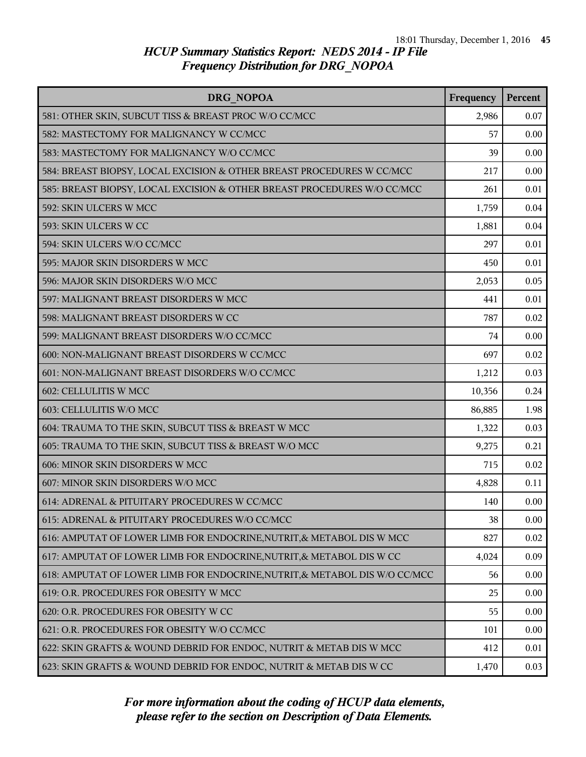| DRG NOPOA                                                                  | Frequency | Percent |
|----------------------------------------------------------------------------|-----------|---------|
| 581: OTHER SKIN, SUBCUT TISS & BREAST PROC W/O CC/MCC                      | 2,986     | 0.07    |
| 582: MASTECTOMY FOR MALIGNANCY W CC/MCC                                    | 57        | 0.00    |
| 583: MASTECTOMY FOR MALIGNANCY W/O CC/MCC                                  | 39        | 0.00    |
| 584: BREAST BIOPSY, LOCAL EXCISION & OTHER BREAST PROCEDURES W CC/MCC      | 217       | 0.00    |
| 585: BREAST BIOPSY, LOCAL EXCISION & OTHER BREAST PROCEDURES W/O CC/MCC    | 261       | 0.01    |
| 592: SKIN ULCERS W MCC                                                     | 1,759     | 0.04    |
| 593: SKIN ULCERS W CC                                                      | 1,881     | 0.04    |
| 594: SKIN ULCERS W/O CC/MCC                                                | 297       | 0.01    |
| 595: MAJOR SKIN DISORDERS W MCC                                            | 450       | 0.01    |
| 596: MAJOR SKIN DISORDERS W/O MCC                                          | 2,053     | 0.05    |
| 597: MALIGNANT BREAST DISORDERS W MCC                                      | 441       | 0.01    |
| 598: MALIGNANT BREAST DISORDERS W CC                                       | 787       | 0.02    |
| 599: MALIGNANT BREAST DISORDERS W/O CC/MCC                                 | 74        | 0.00    |
| 600: NON-MALIGNANT BREAST DISORDERS W CC/MCC                               | 697       | 0.02    |
| 601: NON-MALIGNANT BREAST DISORDERS W/O CC/MCC                             | 1,212     | 0.03    |
| 602: CELLULITIS W MCC                                                      | 10,356    | 0.24    |
| 603: CELLULITIS W/O MCC                                                    | 86,885    | 1.98    |
| 604: TRAUMA TO THE SKIN, SUBCUT TISS & BREAST W MCC                        | 1,322     | 0.03    |
| 605: TRAUMA TO THE SKIN, SUBCUT TISS & BREAST W/O MCC                      | 9,275     | 0.21    |
| 606: MINOR SKIN DISORDERS W MCC                                            | 715       | 0.02    |
| 607: MINOR SKIN DISORDERS W/O MCC                                          | 4,828     | 0.11    |
| 614: ADRENAL & PITUITARY PROCEDURES W CC/MCC                               | 140       | 0.00    |
| 615: ADRENAL & PITUITARY PROCEDURES W/O CC/MCC                             | 38        | 0.00    |
| 616: AMPUTAT OF LOWER LIMB FOR ENDOCRINE, NUTRIT, & METABOL DIS W MCC      | 827       | 0.02    |
| 617: AMPUTAT OF LOWER LIMB FOR ENDOCRINE, NUTRIT, & METABOL DIS W CC       | 4,024     | 0.09    |
| 618: AMPUTAT OF LOWER LIMB FOR ENDOCRINE, NUTRIT, & METABOL DIS W/O CC/MCC | 56        | 0.00    |
| 619: O.R. PROCEDURES FOR OBESITY W MCC                                     | 25        | 0.00    |
| 620: O.R. PROCEDURES FOR OBESITY W CC                                      | 55        | 0.00    |
| 621: O.R. PROCEDURES FOR OBESITY W/O CC/MCC                                | 101       | 0.00    |
| 622: SKIN GRAFTS & WOUND DEBRID FOR ENDOC, NUTRIT & METAB DIS W MCC        | 412       | 0.01    |
| 623: SKIN GRAFTS & WOUND DEBRID FOR ENDOC, NUTRIT & METAB DIS W CC         | 1,470     | 0.03    |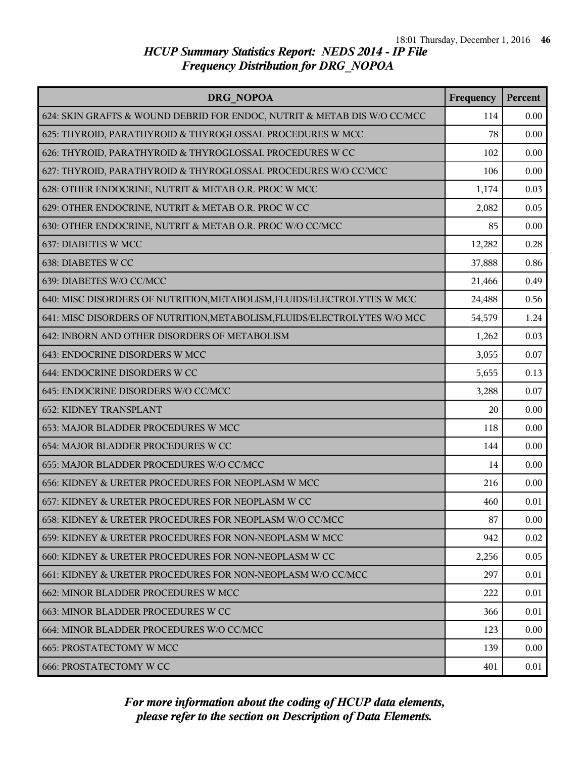| DRG NOPOA                                                                 | Frequency | Percent |
|---------------------------------------------------------------------------|-----------|---------|
| 624: SKIN GRAFTS & WOUND DEBRID FOR ENDOC, NUTRIT & METAB DIS W/O CC/MCC  | 114       | 0.00    |
| 625: THYROID, PARATHYROID & THYROGLOSSAL PROCEDURES W MCC                 | 78        | 0.00    |
| 626: THYROID, PARATHYROID & THYROGLOSSAL PROCEDURES W CC                  | 102       | 0.00    |
| 627: THYROID, PARATHYROID & THYROGLOSSAL PROCEDURES W/O CC/MCC            | 106       | 0.00    |
| 628: OTHER ENDOCRINE, NUTRIT & METAB O.R. PROC W MCC                      | 1,174     | 0.03    |
| 629: OTHER ENDOCRINE, NUTRIT & METAB O.R. PROC W CC                       | 2,082     | 0.05    |
| 630: OTHER ENDOCRINE, NUTRIT & METAB O.R. PROC W/O CC/MCC                 | 85        | 0.00    |
| 637: DIABETES W MCC                                                       | 12,282    | 0.28    |
| 638: DIABETES W CC                                                        | 37,888    | 0.86    |
| 639: DIABETES W/O CC/MCC                                                  | 21,466    | 0.49    |
| 640: MISC DISORDERS OF NUTRITION, METABOLISM, FLUIDS/ELECTROLYTES W MCC   | 24,488    | 0.56    |
| 641: MISC DISORDERS OF NUTRITION, METABOLISM, FLUIDS/ELECTROLYTES W/O MCC | 54,579    | 1.24    |
| 642: INBORN AND OTHER DISORDERS OF METABOLISM                             | 1,262     | 0.03    |
| 643: ENDOCRINE DISORDERS W MCC                                            | 3,055     | 0.07    |
| 644: ENDOCRINE DISORDERS W CC                                             | 5,655     | 0.13    |
| 645: ENDOCRINE DISORDERS W/O CC/MCC                                       | 3,288     | 0.07    |
| <b>652: KIDNEY TRANSPLANT</b>                                             | 20        | 0.00    |
| 653: MAJOR BLADDER PROCEDURES W MCC                                       | 118       | 0.00    |
| 654: MAJOR BLADDER PROCEDURES W CC                                        | 144       | 0.00    |
| 655: MAJOR BLADDER PROCEDURES W/O CC/MCC                                  | 14        | 0.00    |
| 656: KIDNEY & URETER PROCEDURES FOR NEOPLASM W MCC                        | 216       | 0.00    |
| 657: KIDNEY & URETER PROCEDURES FOR NEOPLASM W CC                         | 460       | 0.01    |
| 658: KIDNEY & URETER PROCEDURES FOR NEOPLASM W/O CC/MCC                   | 87        | 0.00    |
| 659: KIDNEY & URETER PROCEDURES FOR NON-NEOPLASM W MCC                    | 942       | 0.02    |
| 660: KIDNEY & URETER PROCEDURES FOR NON-NEOPLASM W CC                     | 2,256     | 0.05    |
| 661: KIDNEY & URETER PROCEDURES FOR NON-NEOPLASM W/O CC/MCC               | 297       | 0.01    |
| 662: MINOR BLADDER PROCEDURES W MCC                                       | 222       | 0.01    |
| 663: MINOR BLADDER PROCEDURES W CC                                        | 366       | 0.01    |
| 664: MINOR BLADDER PROCEDURES W/O CC/MCC                                  | 123       | 0.00    |
| <b>665: PROSTATECTOMY W MCC</b>                                           | 139       | 0.00    |
| <b>666: PROSTATECTOMY W CC</b>                                            | 401       | 0.01    |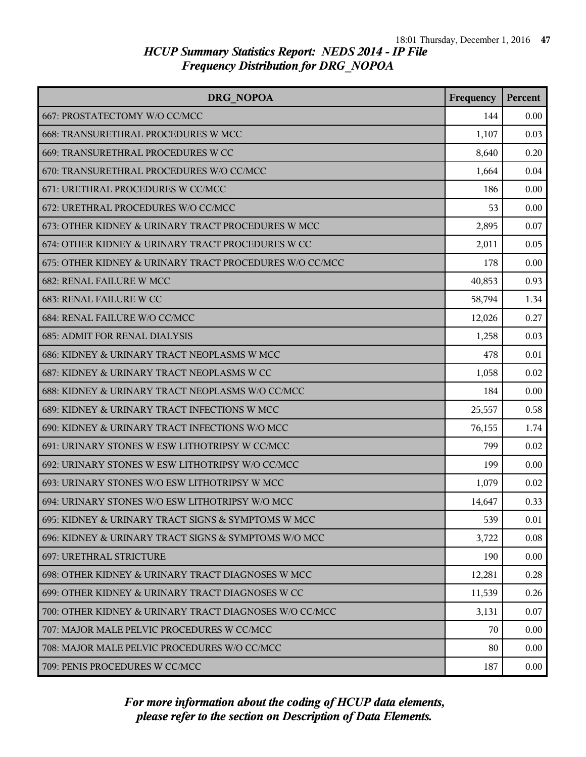| DRG NOPOA                                               | Frequency | Percent |
|---------------------------------------------------------|-----------|---------|
| 667: PROSTATECTOMY W/O CC/MCC                           | 144       | 0.00    |
| 668: TRANSURETHRAL PROCEDURES W MCC                     | 1,107     | 0.03    |
| 669: TRANSURETHRAL PROCEDURES W CC                      | 8,640     | 0.20    |
| 670: TRANSURETHRAL PROCEDURES W/O CC/MCC                | 1,664     | 0.04    |
| 671: URETHRAL PROCEDURES W CC/MCC                       | 186       | 0.00    |
| 672: URETHRAL PROCEDURES W/O CC/MCC                     | 53        | 0.00    |
| 673: OTHER KIDNEY & URINARY TRACT PROCEDURES W MCC      | 2,895     | 0.07    |
| 674: OTHER KIDNEY & URINARY TRACT PROCEDURES W CC       | 2,011     | 0.05    |
| 675: OTHER KIDNEY & URINARY TRACT PROCEDURES W/O CC/MCC | 178       | 0.00    |
| <b>682: RENAL FAILURE W MCC</b>                         | 40,853    | 0.93    |
| 683: RENAL FAILURE W CC                                 | 58,794    | 1.34    |
| 684: RENAL FAILURE W/O CC/MCC                           | 12,026    | 0.27    |
| <b>685: ADMIT FOR RENAL DIALYSIS</b>                    | 1,258     | 0.03    |
| 686: KIDNEY & URINARY TRACT NEOPLASMS W MCC             | 478       | 0.01    |
| 687: KIDNEY & URINARY TRACT NEOPLASMS W CC              | 1,058     | 0.02    |
| 688: KIDNEY & URINARY TRACT NEOPLASMS W/O CC/MCC        | 184       | 0.00    |
| 689: KIDNEY & URINARY TRACT INFECTIONS W MCC            | 25,557    | 0.58    |
| 690: KIDNEY & URINARY TRACT INFECTIONS W/O MCC          | 76,155    | 1.74    |
| 691: URINARY STONES W ESW LITHOTRIPSY W CC/MCC          | 799       | 0.02    |
| 692: URINARY STONES W ESW LITHOTRIPSY W/O CC/MCC        | 199       | 0.00    |
| 693: URINARY STONES W/O ESW LITHOTRIPSY W MCC           | 1,079     | 0.02    |
| 694: URINARY STONES W/O ESW LITHOTRIPSY W/O MCC         | 14,647    | 0.33    |
| 695: KIDNEY & URINARY TRACT SIGNS & SYMPTOMS W MCC      | 539       | 0.01    |
| 696: KIDNEY & URINARY TRACT SIGNS & SYMPTOMS W/O MCC    | 3,722     | 0.08    |
| <b>697: URETHRAL STRICTURE</b>                          | 190       | 0.00    |
| 698: OTHER KIDNEY & URINARY TRACT DIAGNOSES W MCC       | 12,281    | 0.28    |
| 699: OTHER KIDNEY & URINARY TRACT DIAGNOSES W CC        | 11,539    | 0.26    |
| 700: OTHER KIDNEY & URINARY TRACT DIAGNOSES W/O CC/MCC  | 3,131     | 0.07    |
| 707: MAJOR MALE PELVIC PROCEDURES W CC/MCC              | 70        | 0.00    |
| 708: MAJOR MALE PELVIC PROCEDURES W/O CC/MCC            | 80        | 0.00    |
| 709: PENIS PROCEDURES W CC/MCC                          | 187       | 0.00    |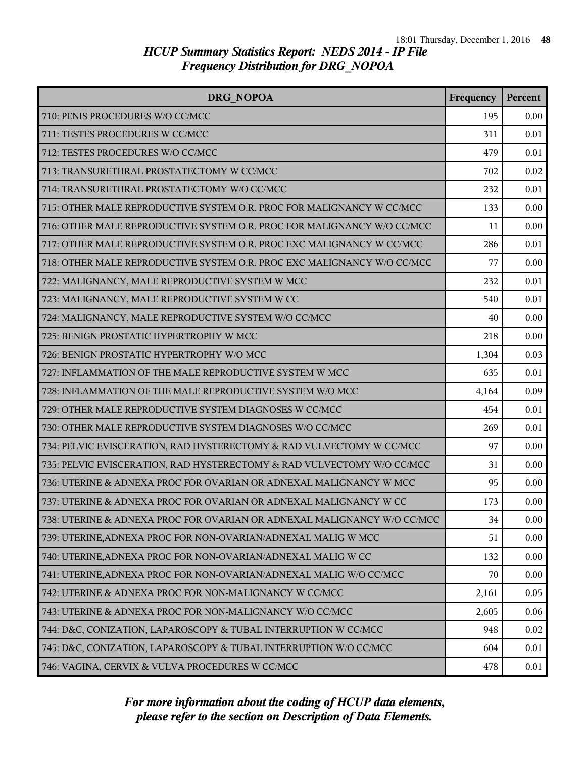| DRG NOPOA                                                               | Frequency | Percent |
|-------------------------------------------------------------------------|-----------|---------|
| 710: PENIS PROCEDURES W/O CC/MCC                                        | 195       | 0.00    |
| 711: TESTES PROCEDURES W CC/MCC                                         | 311       | 0.01    |
| 712: TESTES PROCEDURES W/O CC/MCC                                       | 479       | 0.01    |
| 713: TRANSURETHRAL PROSTATECTOMY W CC/MCC                               | 702       | 0.02    |
| 714: TRANSURETHRAL PROSTATECTOMY W/O CC/MCC                             | 232       | 0.01    |
| 715: OTHER MALE REPRODUCTIVE SYSTEM O.R. PROC FOR MALIGNANCY W CC/MCC   | 133       | 0.00    |
| 716: OTHER MALE REPRODUCTIVE SYSTEM O.R. PROC FOR MALIGNANCY W/O CC/MCC | 11        | 0.00    |
| 717: OTHER MALE REPRODUCTIVE SYSTEM O.R. PROC EXC MALIGNANCY W CC/MCC   | 286       | 0.01    |
| 718: OTHER MALE REPRODUCTIVE SYSTEM O.R. PROC EXC MALIGNANCY W/O CC/MCC | 77        | 0.00    |
| 722: MALIGNANCY, MALE REPRODUCTIVE SYSTEM W MCC                         | 232       | 0.01    |
| 723: MALIGNANCY, MALE REPRODUCTIVE SYSTEM W CC                          | 540       | 0.01    |
| 724: MALIGNANCY, MALE REPRODUCTIVE SYSTEM W/O CC/MCC                    | 40        | 0.00    |
| 725: BENIGN PROSTATIC HYPERTROPHY W MCC                                 | 218       | 0.00    |
| 726: BENIGN PROSTATIC HYPERTROPHY W/O MCC                               | 1,304     | 0.03    |
| 727: INFLAMMATION OF THE MALE REPRODUCTIVE SYSTEM W MCC                 | 635       | 0.01    |
| 728: INFLAMMATION OF THE MALE REPRODUCTIVE SYSTEM W/O MCC               | 4,164     | 0.09    |
| 729: OTHER MALE REPRODUCTIVE SYSTEM DIAGNOSES W CC/MCC                  | 454       | 0.01    |
| 730: OTHER MALE REPRODUCTIVE SYSTEM DIAGNOSES W/O CC/MCC                | 269       | 0.01    |
| 734: PELVIC EVISCERATION, RAD HYSTERECTOMY & RAD VULVECTOMY W CC/MCC    | 97        | 0.00    |
| 735: PELVIC EVISCERATION, RAD HYSTERECTOMY & RAD VULVECTOMY W/O CC/MCC  | 31        | 0.00    |
| 736: UTERINE & ADNEXA PROC FOR OVARIAN OR ADNEXAL MALIGNANCY W MCC      | 95        | 0.00    |
| 737: UTERINE & ADNEXA PROC FOR OVARIAN OR ADNEXAL MALIGNANCY W CC       | 173       | 0.00    |
| 738: UTERINE & ADNEXA PROC FOR OVARIAN OR ADNEXAL MALIGNANCY W/O CC/MCC | 34        | 0.00    |
| 739: UTERINE, ADNEXA PROC FOR NON-OVARIAN/ADNEXAL MALIG W MCC           | 51        | 0.00    |
| 740: UTERINE, ADNEXA PROC FOR NON-OVARIAN/ADNEXAL MALIG W CC            | 132       | 0.00    |
| 741: UTERINE, ADNEXA PROC FOR NON-OVARIAN/ADNEXAL MALIG W/O CC/MCC      | 70        | 0.00    |
| 742: UTERINE & ADNEXA PROC FOR NON-MALIGNANCY W CC/MCC                  | 2,161     | 0.05    |
| 743: UTERINE & ADNEXA PROC FOR NON-MALIGNANCY W/O CC/MCC                | 2,605     | 0.06    |
| 744: D&C, CONIZATION, LAPAROSCOPY & TUBAL INTERRUPTION W CC/MCC         | 948       | 0.02    |
| 745: D&C, CONIZATION, LAPAROSCOPY & TUBAL INTERRUPTION W/O CC/MCC       | 604       | 0.01    |
| 746: VAGINA, CERVIX & VULVA PROCEDURES W CC/MCC                         | 478       | 0.01    |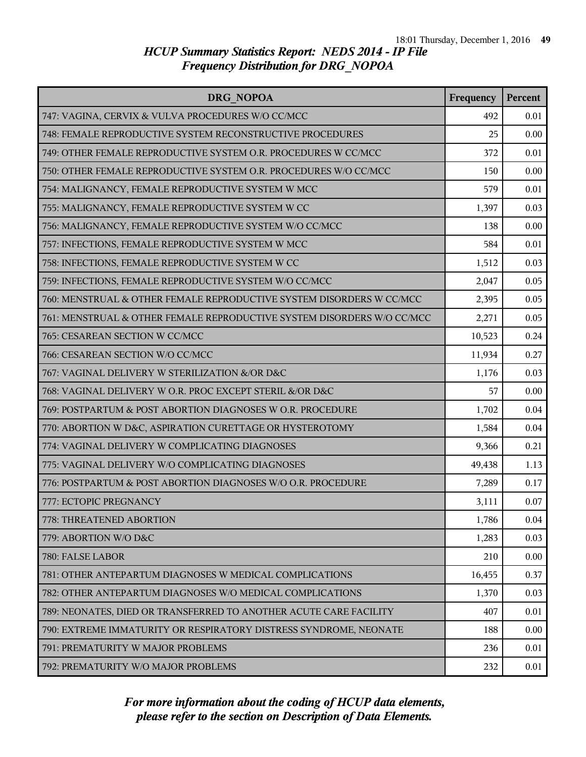| DRG NOPOA                                                              | Frequency | Percent |
|------------------------------------------------------------------------|-----------|---------|
| 747: VAGINA, CERVIX & VULVA PROCEDURES W/O CC/MCC                      | 492       | 0.01    |
| 748: FEMALE REPRODUCTIVE SYSTEM RECONSTRUCTIVE PROCEDURES              | 25        | 0.00    |
| 749: OTHER FEMALE REPRODUCTIVE SYSTEM O.R. PROCEDURES W CC/MCC         | 372       | 0.01    |
| 750: OTHER FEMALE REPRODUCTIVE SYSTEM O.R. PROCEDURES W/O CC/MCC       | 150       | 0.00    |
| 754: MALIGNANCY, FEMALE REPRODUCTIVE SYSTEM W MCC                      | 579       | 0.01    |
| 755: MALIGNANCY, FEMALE REPRODUCTIVE SYSTEM W CC                       | 1,397     | 0.03    |
| 756: MALIGNANCY, FEMALE REPRODUCTIVE SYSTEM W/O CC/MCC                 | 138       | 0.00    |
| 757: INFECTIONS, FEMALE REPRODUCTIVE SYSTEM W MCC                      | 584       | 0.01    |
| 758: INFECTIONS, FEMALE REPRODUCTIVE SYSTEM W CC                       | 1,512     | 0.03    |
| 759: INFECTIONS, FEMALE REPRODUCTIVE SYSTEM W/O CC/MCC                 | 2,047     | 0.05    |
| 760: MENSTRUAL & OTHER FEMALE REPRODUCTIVE SYSTEM DISORDERS W CC/MCC   | 2,395     | 0.05    |
| 761: MENSTRUAL & OTHER FEMALE REPRODUCTIVE SYSTEM DISORDERS W/O CC/MCC | 2,271     | 0.05    |
| 765: CESAREAN SECTION W CC/MCC                                         | 10,523    | 0.24    |
| 766: CESAREAN SECTION W/O CC/MCC                                       | 11,934    | 0.27    |
| 767: VAGINAL DELIVERY W STERILIZATION &/OR D&C                         | 1,176     | 0.03    |
| 768: VAGINAL DELIVERY W O.R. PROC EXCEPT STERIL &/OR D&C               | 57        | 0.00    |
| 769: POSTPARTUM & POST ABORTION DIAGNOSES W O.R. PROCEDURE             | 1,702     | 0.04    |
| 770: ABORTION W D&C, ASPIRATION CURETTAGE OR HYSTEROTOMY               | 1,584     | 0.04    |
| 774: VAGINAL DELIVERY W COMPLICATING DIAGNOSES                         | 9,366     | 0.21    |
| 775: VAGINAL DELIVERY W/O COMPLICATING DIAGNOSES                       | 49,438    | 1.13    |
| 776: POSTPARTUM & POST ABORTION DIAGNOSES W/O O.R. PROCEDURE           | 7,289     | 0.17    |
| 777: ECTOPIC PREGNANCY                                                 | 3,111     | 0.07    |
| 778: THREATENED ABORTION                                               | 1,786     | 0.04    |
| 779: ABORTION W/O D&C                                                  | 1,283     | 0.03    |
| 780: FALSE LABOR                                                       | 210       | 0.00    |
| 781: OTHER ANTEPARTUM DIAGNOSES W MEDICAL COMPLICATIONS                | 16,455    | 0.37    |
| 782: OTHER ANTEPARTUM DIAGNOSES W/O MEDICAL COMPLICATIONS              | 1,370     | 0.03    |
| 789: NEONATES, DIED OR TRANSFERRED TO ANOTHER ACUTE CARE FACILITY      | 407       | 0.01    |
| 790: EXTREME IMMATURITY OR RESPIRATORY DISTRESS SYNDROME, NEONATE      | 188       | 0.00    |
| 791: PREMATURITY W MAJOR PROBLEMS                                      | 236       | 0.01    |
| 792: PREMATURITY W/O MAJOR PROBLEMS                                    | 232       | 0.01    |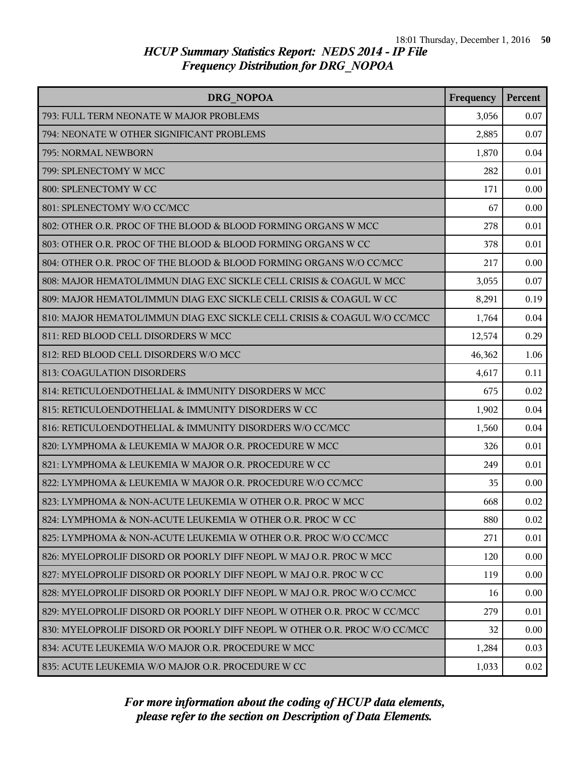| DRG NOPOA                                                                 | Frequency | Percent |
|---------------------------------------------------------------------------|-----------|---------|
| 793: FULL TERM NEONATE W MAJOR PROBLEMS                                   | 3,056     | 0.07    |
| 794: NEONATE W OTHER SIGNIFICANT PROBLEMS                                 | 2,885     | 0.07    |
| 795: NORMAL NEWBORN                                                       | 1,870     | 0.04    |
| 799: SPLENECTOMY W MCC                                                    | 282       | 0.01    |
| 800: SPLENECTOMY W CC                                                     | 171       | 0.00    |
| 801: SPLENECTOMY W/O CC/MCC                                               | 67        | 0.00    |
| 802: OTHER O.R. PROC OF THE BLOOD & BLOOD FORMING ORGANS W MCC            | 278       | 0.01    |
| 803: OTHER O.R. PROC OF THE BLOOD & BLOOD FORMING ORGANS W CC             | 378       | 0.01    |
| 804: OTHER O.R. PROC OF THE BLOOD & BLOOD FORMING ORGANS W/O CC/MCC       | 217       | 0.00    |
| 808: MAJOR HEMATOL/IMMUN DIAG EXC SICKLE CELL CRISIS & COAGUL W MCC       | 3,055     | 0.07    |
| 809: MAJOR HEMATOL/IMMUN DIAG EXC SICKLE CELL CRISIS & COAGUL W CC        | 8,291     | 0.19    |
| 810: MAJOR HEMATOL/IMMUN DIAG EXC SICKLE CELL CRISIS & COAGUL W/O CC/MCC  | 1,764     | 0.04    |
| 811: RED BLOOD CELL DISORDERS W MCC                                       | 12,574    | 0.29    |
| 812: RED BLOOD CELL DISORDERS W/O MCC                                     | 46,362    | 1.06    |
| 813: COAGULATION DISORDERS                                                | 4,617     | 0.11    |
| 814: RETICULOENDOTHELIAL & IMMUNITY DISORDERS W MCC                       | 675       | 0.02    |
| 815: RETICULOENDOTHELIAL & IMMUNITY DISORDERS W CC                        | 1,902     | 0.04    |
| 816: RETICULOENDOTHELIAL & IMMUNITY DISORDERS W/O CC/MCC                  | 1,560     | 0.04    |
| 820: LYMPHOMA & LEUKEMIA W MAJOR O.R. PROCEDURE W MCC                     | 326       | 0.01    |
| 821: LYMPHOMA & LEUKEMIA W MAJOR O.R. PROCEDURE W CC                      | 249       | 0.01    |
| 822: LYMPHOMA & LEUKEMIA W MAJOR O.R. PROCEDURE W/O CC/MCC                | 35        | 0.00    |
| 823: LYMPHOMA & NON-ACUTE LEUKEMIA W OTHER O.R. PROC W MCC                | 668       | 0.02    |
| 824: LYMPHOMA & NON-ACUTE LEUKEMIA W OTHER O.R. PROC W CC                 | 880       | 0.02    |
| 825: LYMPHOMA & NON-ACUTE LEUKEMIA W OTHER O.R. PROC W/O CC/MCC           | 271       | 0.01    |
| 826: MYELOPROLIF DISORD OR POORLY DIFF NEOPL W MAJ O.R. PROC W MCC        | 120       | 0.00    |
| 827: MYELOPROLIF DISORD OR POORLY DIFF NEOPL W MAJ O.R. PROC W CC         | 119       | 0.00    |
| 828: MYELOPROLIF DISORD OR POORLY DIFF NEOPL W MAJ O.R. PROC W/O CC/MCC   | 16        | 0.00    |
| 829: MYELOPROLIF DISORD OR POORLY DIFF NEOPL W OTHER O.R. PROC W CCMCC    | 279       | 0.01    |
| 830: MYELOPROLIF DISORD OR POORLY DIFF NEOPL W OTHER O.R. PROC W/O CC/MCC | 32        | 0.00    |
| 834: ACUTE LEUKEMIA W/O MAJOR O.R. PROCEDURE W MCC                        | 1,284     | 0.03    |
| 835: ACUTE LEUKEMIA W/O MAJOR O.R. PROCEDURE W CC                         | 1,033     | 0.02    |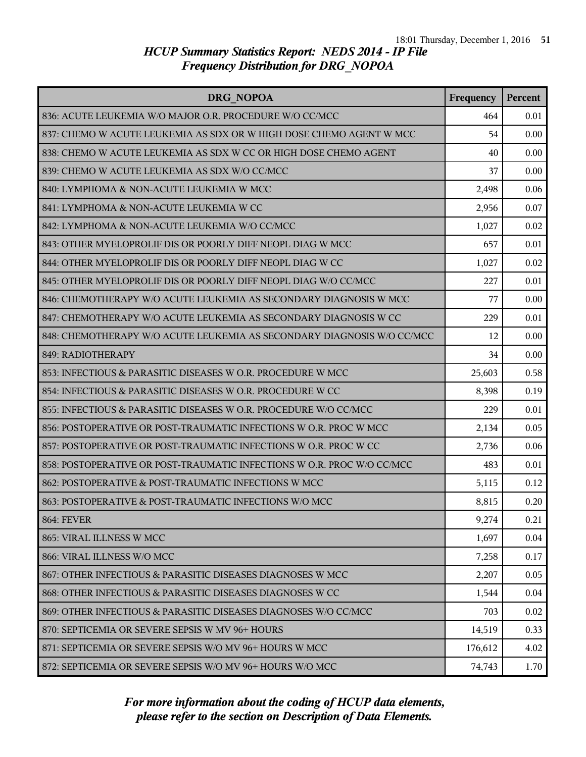| DRG NOPOA                                                              | Frequency | Percent |
|------------------------------------------------------------------------|-----------|---------|
| 836: ACUTE LEUKEMIA W/O MAJOR O.R. PROCEDURE W/O CC/MCC                | 464       | 0.01    |
| 837: CHEMO W ACUTE LEUKEMIA AS SDX OR W HIGH DOSE CHEMO AGENT W MCC    | 54        | 0.00    |
| 838: CHEMO W ACUTE LEUKEMIA AS SDX W CC OR HIGH DOSE CHEMO AGENT       | 40        | 0.00    |
| 839: CHEMO W ACUTE LEUKEMIA AS SDX W/O CC/MCC                          | 37        | 0.00    |
| 840: LYMPHOMA & NON-ACUTE LEUKEMIA W MCC                               | 2,498     | 0.06    |
| 841: LYMPHOMA & NON-ACUTE LEUKEMIA W CC                                | 2,956     | 0.07    |
| 842: LYMPHOMA & NON-ACUTE LEUKEMIA W/O CC/MCC                          | 1,027     | 0.02    |
| 843: OTHER MYELOPROLIF DIS OR POORLY DIFF NEOPL DIAG W MCC             | 657       | 0.01    |
| 844: OTHER MYELOPROLIF DIS OR POORLY DIFF NEOPL DIAG W CC              | 1,027     | 0.02    |
| 845: OTHER MYELOPROLIF DIS OR POORLY DIFF NEOPL DIAG W/O CC/MCC        | 227       | 0.01    |
| 846: CHEMOTHERAPY W/O ACUTE LEUKEMIA AS SECONDARY DIAGNOSIS W MCC      | 77        | 0.00    |
| 847: CHEMOTHERAPY W/O ACUTE LEUKEMIA AS SECONDARY DIAGNOSIS W CC       | 229       | 0.01    |
| 848: CHEMOTHERAPY W/O ACUTE LEUKEMIA AS SECONDARY DIAGNOSIS W/O CC/MCC | 12        | 0.00    |
| 849: RADIOTHERAPY                                                      | 34        | 0.00    |
| 853: INFECTIOUS & PARASITIC DISEASES W O.R. PROCEDURE W MCC            | 25,603    | 0.58    |
| 854: INFECTIOUS & PARASITIC DISEASES W O.R. PROCEDURE W CC             | 8,398     | 0.19    |
| 855: INFECTIOUS & PARASITIC DISEASES W O.R. PROCEDURE W/O CC/MCC       | 229       | 0.01    |
| 856: POSTOPERATIVE OR POST-TRAUMATIC INFECTIONS W O.R. PROC W MCC      | 2,134     | 0.05    |
| 857: POSTOPERATIVE OR POST-TRAUMATIC INFECTIONS W O.R. PROC W CC       | 2,736     | 0.06    |
| 858: POSTOPERATIVE OR POST-TRAUMATIC INFECTIONS W O.R. PROC W/O CC/MCC | 483       | 0.01    |
| 862: POSTOPERATIVE & POST-TRAUMATIC INFECTIONS W MCC                   | 5,115     | 0.12    |
| 863: POSTOPERATIVE & POST-TRAUMATIC INFECTIONS W/O MCC                 | 8,815     | 0.20    |
| <b>864: FEVER</b>                                                      | 9,274     | 0.21    |
| 865: VIRAL ILLNESS W MCC                                               | 1,697     | 0.04    |
| 866: VIRAL ILLNESS W/O MCC                                             | 7,258     | 0.17    |
| 867: OTHER INFECTIOUS & PARASITIC DISEASES DIAGNOSES W MCC             | 2,207     | 0.05    |
| 868: OTHER INFECTIOUS & PARASITIC DISEASES DIAGNOSES W CC              | 1,544     | 0.04    |
| 869: OTHER INFECTIOUS & PARASITIC DISEASES DIAGNOSES W/O CC/MCC        | 703       | 0.02    |
| 870: SEPTICEMIA OR SEVERE SEPSIS W MV 96+ HOURS                        | 14,519    | 0.33    |
| 871: SEPTICEMIA OR SEVERE SEPSIS W/O MV 96+ HOURS W MCC                | 176,612   | 4.02    |
| 872: SEPTICEMIA OR SEVERE SEPSIS W/O MV 96+ HOURS W/O MCC              | 74,743    | 1.70    |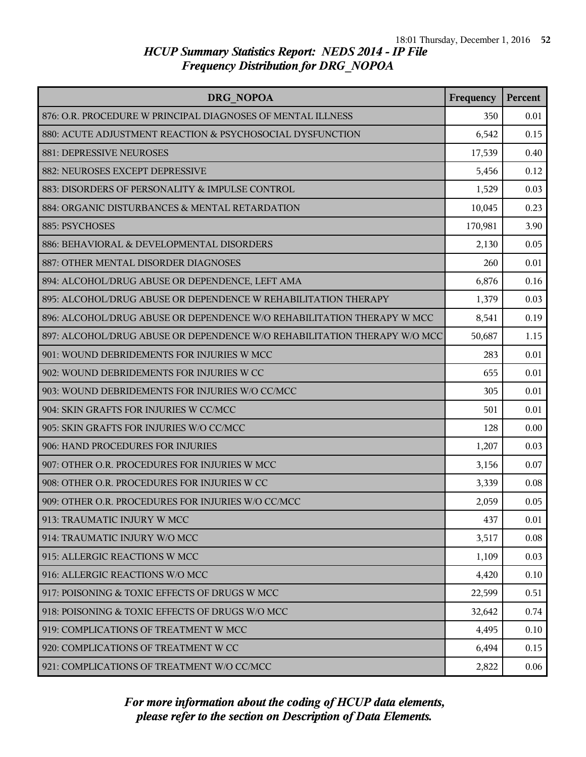| DRG NOPOA                                                                | Frequency | Percent |
|--------------------------------------------------------------------------|-----------|---------|
| 876: O.R. PROCEDURE W PRINCIPAL DIAGNOSES OF MENTAL ILLNESS              | 350       | 0.01    |
| 880: ACUTE ADJUSTMENT REACTION & PSYCHOSOCIAL DYSFUNCTION                | 6,542     | 0.15    |
| 881: DEPRESSIVE NEUROSES                                                 | 17,539    | 0.40    |
| 882: NEUROSES EXCEPT DEPRESSIVE                                          | 5,456     | 0.12    |
| 883: DISORDERS OF PERSONALITY & IMPULSE CONTROL                          | 1,529     | 0.03    |
| 884: ORGANIC DISTURBANCES & MENTAL RETARDATION                           | 10,045    | 0.23    |
| 885: PSYCHOSES                                                           | 170,981   | 3.90    |
| 886: BEHAVIORAL & DEVELOPMENTAL DISORDERS                                | 2,130     | 0.05    |
| 887: OTHER MENTAL DISORDER DIAGNOSES                                     | 260       | 0.01    |
| 894: ALCOHOL/DRUG ABUSE OR DEPENDENCE, LEFT AMA                          | 6,876     | 0.16    |
| 895: ALCOHOL/DRUG ABUSE OR DEPENDENCE W REHABILITATION THERAPY           | 1,379     | 0.03    |
| 896: ALCOHOL/DRUG ABUSE OR DEPENDENCE W/O REHABILITATION THERAPY W MCC   | 8,541     | 0.19    |
| 897: ALCOHOL/DRUG ABUSE OR DEPENDENCE W/O REHABILITATION THERAPY W/O MCC | 50,687    | 1.15    |
| 901: WOUND DEBRIDEMENTS FOR INJURIES W MCC                               | 283       | 0.01    |
| 902: WOUND DEBRIDEMENTS FOR INJURIES W CC                                | 655       | 0.01    |
| 903: WOUND DEBRIDEMENTS FOR INJURIES W/O CC/MCC                          | 305       | 0.01    |
| 904: SKIN GRAFTS FOR INJURIES W CC/MCC                                   | 501       | 0.01    |
| 905: SKIN GRAFTS FOR INJURIES W/O CC/MCC                                 | 128       | 0.00    |
| 906: HAND PROCEDURES FOR INJURIES                                        | 1,207     | 0.03    |
| 907: OTHER O.R. PROCEDURES FOR INJURIES W MCC                            | 3,156     | 0.07    |
| 908: OTHER O.R. PROCEDURES FOR INJURIES W CC                             | 3,339     | 0.08    |
| 909: OTHER O.R. PROCEDURES FOR INJURIES W/O CC/MCC                       | 2,059     | 0.05    |
| 913: TRAUMATIC INJURY W MCC                                              | 437       | 0.01    |
| 914: TRAUMATIC INJURY W/O MCC                                            | 3,517     | 0.08    |
| 915: ALLERGIC REACTIONS W MCC                                            | 1,109     | 0.03    |
| 916: ALLERGIC REACTIONS W/O MCC                                          | 4,420     | 0.10    |
| 917: POISONING & TOXIC EFFECTS OF DRUGS W MCC                            | 22,599    | 0.51    |
| 918: POISONING & TOXIC EFFECTS OF DRUGS W/O MCC                          | 32,642    | 0.74    |
| 919: COMPLICATIONS OF TREATMENT W MCC                                    | 4,495     | 0.10    |
| 920: COMPLICATIONS OF TREATMENT W CC                                     | 6,494     | 0.15    |
| 921: COMPLICATIONS OF TREATMENT W/O CC/MCC                               | 2,822     | 0.06    |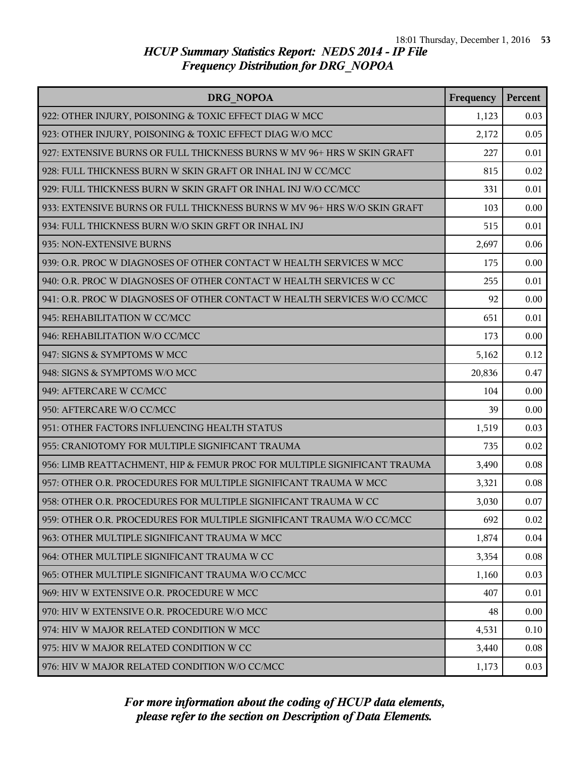| DRG NOPOA                                                                | Frequency | Percent |
|--------------------------------------------------------------------------|-----------|---------|
| 922: OTHER INJURY, POISONING & TOXIC EFFECT DIAG W MCC                   | 1,123     | 0.03    |
| 923: OTHER INJURY, POISONING & TOXIC EFFECT DIAG W/O MCC                 | 2,172     | 0.05    |
| 927: EXTENSIVE BURNS OR FULL THICKNESS BURNS W MV 96+ HRS W SKIN GRAFT   | 227       | 0.01    |
| 928: FULL THICKNESS BURN W SKIN GRAFT OR INHAL INJ W CC/MCC              | 815       | 0.02    |
| 929: FULL THICKNESS BURN W SKIN GRAFT OR INHAL INJ W/O CC/MCC            | 331       | 0.01    |
| 933: EXTENSIVE BURNS OR FULL THICKNESS BURNS W MV 96+ HRS W/O SKIN GRAFT | 103       | 0.00    |
| 934: FULL THICKNESS BURN W/O SKIN GRFT OR INHAL INJ                      | 515       | 0.01    |
| 935: NON-EXTENSIVE BURNS                                                 | 2,697     | 0.06    |
| 939: O.R. PROC W DIAGNOSES OF OTHER CONTACT W HEALTH SERVICES W MCC      | 175       | 0.00    |
| 940: O.R. PROC W DIAGNOSES OF OTHER CONTACT W HEALTH SERVICES W CC       | 255       | 0.01    |
| 941: O.R. PROC W DIAGNOSES OF OTHER CONTACT W HEALTH SERVICES W/O CC/MCC | 92        | 0.00    |
| 945: REHABILITATION W CC/MCC                                             | 651       | 0.01    |
| 946: REHABILITATION W/O CC/MCC                                           | 173       | 0.00    |
| 947: SIGNS & SYMPTOMS W MCC                                              | 5,162     | 0.12    |
| 948: SIGNS & SYMPTOMS W/O MCC                                            | 20,836    | 0.47    |
| 949: AFTERCARE W CC/MCC                                                  | 104       | 0.00    |
| 950: AFTERCARE W/O CC/MCC                                                | 39        | 0.00    |
| 951: OTHER FACTORS INFLUENCING HEALTH STATUS                             | 1,519     | 0.03    |
| 955: CRANIOTOMY FOR MULTIPLE SIGNIFICANT TRAUMA                          | 735       | 0.02    |
| 956: LIMB REATTACHMENT, HIP & FEMUR PROC FOR MULTIPLE SIGNIFICANT TRAUMA | 3,490     | 0.08    |
| 957: OTHER O.R. PROCEDURES FOR MULTIPLE SIGNIFICANT TRAUMA W MCC         | 3,321     | 0.08    |
| 958: OTHER O.R. PROCEDURES FOR MULTIPLE SIGNIFICANT TRAUMA W CC          | 3,030     | 0.07    |
| 959: OTHER O.R. PROCEDURES FOR MULTIPLE SIGNIFICANT TRAUMA W/O CC/MCC    | 692       | 0.02    |
| 963: OTHER MULTIPLE SIGNIFICANT TRAUMA W MCC                             | 1,874     | 0.04    |
| 964: OTHER MULTIPLE SIGNIFICANT TRAUMA W CC                              | 3,354     | 0.08    |
| 965: OTHER MULTIPLE SIGNIFICANT TRAUMA W/O CC/MCC                        | 1,160     | 0.03    |
| 969: HIV W EXTENSIVE O.R. PROCEDURE W MCC                                | 407       | 0.01    |
| 970: HIV W EXTENSIVE O.R. PROCEDURE W/O MCC                              | 48        | 0.00    |
| 974: HIV W MAJOR RELATED CONDITION W MCC                                 | 4,531     | 0.10    |
| 975: HIV W MAJOR RELATED CONDITION W CC                                  | 3,440     | 0.08    |
| 976: HIV W MAJOR RELATED CONDITION W/O CC/MCC                            | 1,173     | 0.03    |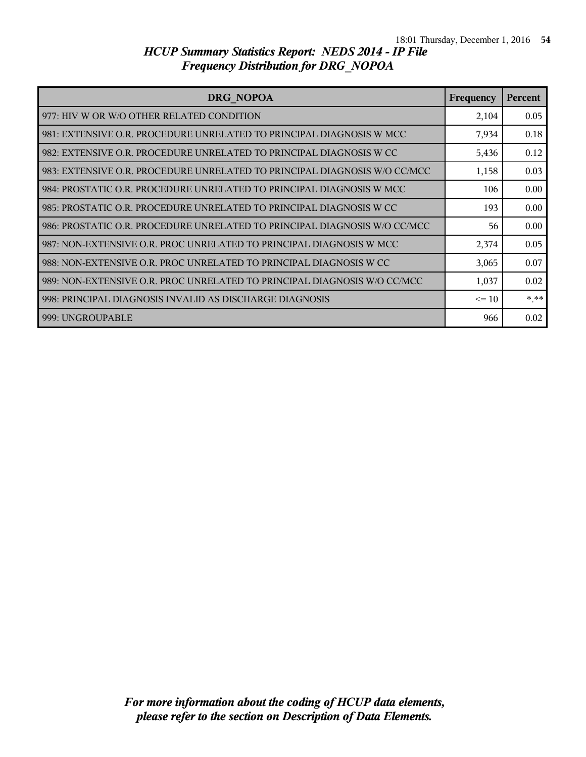| DRG NOPOA                                                                 | Frequency | <b>Percent</b> |
|---------------------------------------------------------------------------|-----------|----------------|
| 977: HIV W OR W/O OTHER RELATED CONDITION                                 | 2,104     | 0.05           |
| 981: EXTENSIVE O.R. PROCEDURE UNRELATED TO PRINCIPAL DIAGNOSIS W MCC      | 7,934     | 0.18           |
| 982: EXTENSIVE O.R. PROCEDURE UNRELATED TO PRINCIPAL DIAGNOSIS W CC       | 5,436     | 0.12           |
| 983: EXTENSIVE O.R. PROCEDURE UNRELATED TO PRINCIPAL DIAGNOSIS W/O CC/MCC | 1,158     | 0.03           |
| 984: PROSTATIC O.R. PROCEDURE UNRELATED TO PRINCIPAL DIAGNOSIS W MCC      | 106       | 0.00           |
| 985: PROSTATIC O.R. PROCEDURE UNRELATED TO PRINCIPAL DIAGNOSIS W CC       | 193       | 0.00           |
| 986: PROSTATIC O.R. PROCEDURE UNRELATED TO PRINCIPAL DIAGNOSIS W/O CC/MCC | 56        | 0.00           |
| 987: NON-EXTENSIVE O.R. PROC UNRELATED TO PRINCIPAL DIAGNOSIS W MCC       | 2,374     | 0.05           |
| 988: NON-EXTENSIVE O.R. PROC UNRELATED TO PRINCIPAL DIAGNOSIS W CC        | 3,065     | 0.07           |
| 989: NON-EXTENSIVE O.R. PROC UNRELATED TO PRINCIPAL DIAGNOSIS W/O CC/MCC  | 1,037     | 0.02           |
| 998: PRINCIPAL DIAGNOSIS INVALID AS DISCHARGE DIAGNOSIS                   | $\leq 10$ | $***$          |
| 999: UNGROUPABLE                                                          | 966       | 0.02           |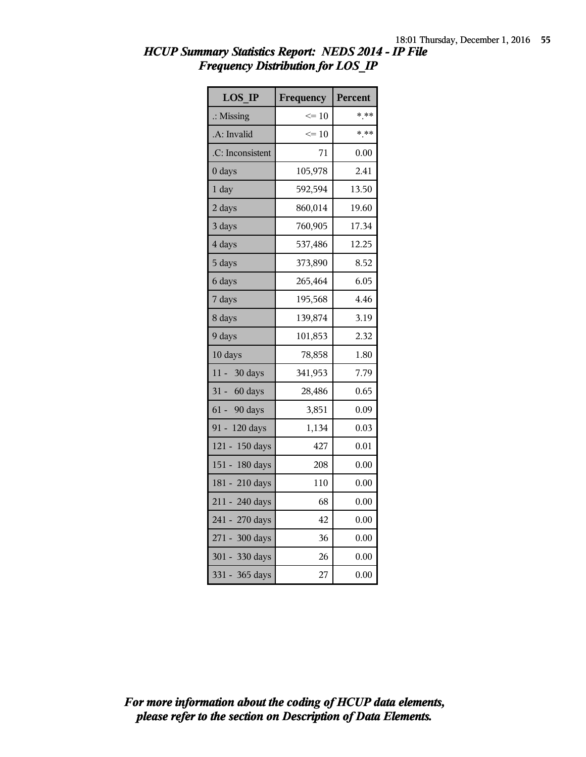| <b>LOS IP</b>        | Frequency       | Percent |
|----------------------|-----------------|---------|
| $\therefore$ Missing | $\Leftarrow$ 10 | * **    |
| .A: Invalid          | $\leq 10$       | * **    |
| .C: Inconsistent     | 71              | 0.00    |
| 0 days               | 105,978         | 2.41    |
| 1 day                | 592,594         | 13.50   |
| 2 days               | 860,014         | 19.60   |
| 3 days               | 760,905         | 17.34   |
| 4 days               | 537,486         | 12.25   |
| 5 days               | 373,890         | 8.52    |
| 6 days               | 265,464         | 6.05    |
| 7 days               | 195,568         | 4.46    |
| 8 days               | 139,874         | 3.19    |
| 9 days               | 101,853         | 2.32    |
| 10 days              | 78,858          | 1.80    |
| $11 -$<br>30 days    | 341,953         | 7.79    |
| $31 - 60$ days       | 28,486          | 0.65    |
| $61 -$<br>90 days    | 3,851           | 0.09    |
| 91 - 120 days        | 1,134           | 0.03    |
| $121 -$<br>150 days  | 427             | 0.01    |
| $151 -$<br>180 days  | 208             | 0.00    |
| 181 - 210 days       | 110             | 0.00    |
| 211 - 240 days       | 68              | 0.00    |
| 241 - 270 days       | 42              | 0.00    |
| 271 - 300 days       | 36              | 0.00    |
| 301 - 330 days       | 26              | 0.00    |
| 331 - 365 days       | 27              | 0.00    |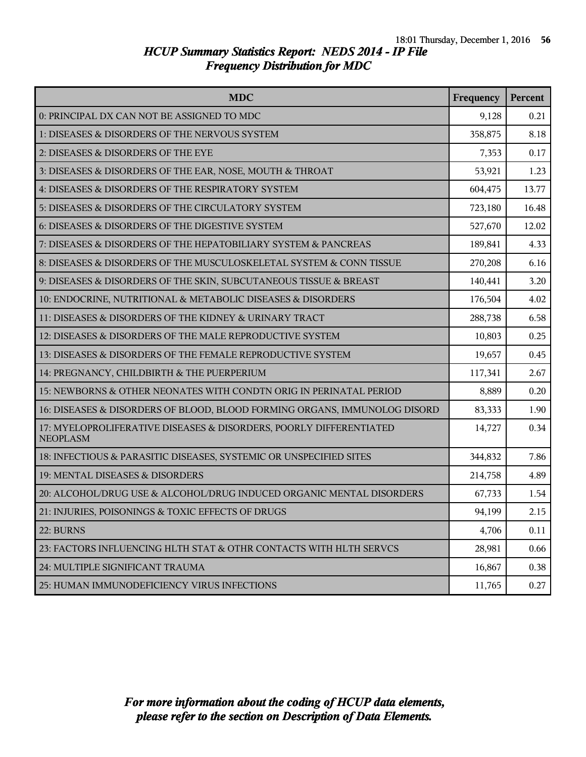| <b>MDC</b>                                                                            | Frequency | Percent |
|---------------------------------------------------------------------------------------|-----------|---------|
| 0: PRINCIPAL DX CAN NOT BE ASSIGNED TO MDC                                            | 9,128     | 0.21    |
| 1: DISEASES & DISORDERS OF THE NERVOUS SYSTEM                                         | 358,875   | 8.18    |
| 2: DISEASES & DISORDERS OF THE EYE                                                    | 7,353     | 0.17    |
| 3: DISEASES & DISORDERS OF THE EAR, NOSE, MOUTH & THROAT                              | 53,921    | 1.23    |
| 4: DISEASES & DISORDERS OF THE RESPIRATORY SYSTEM                                     | 604,475   | 13.77   |
| 5: DISEASES & DISORDERS OF THE CIRCULATORY SYSTEM                                     | 723,180   | 16.48   |
| 6: DISEASES & DISORDERS OF THE DIGESTIVE SYSTEM                                       | 527,670   | 12.02   |
| 7: DISEASES & DISORDERS OF THE HEPATOBILIARY SYSTEM & PANCREAS                        | 189,841   | 4.33    |
| 8: DISEASES & DISORDERS OF THE MUSCULOSKELETAL SYSTEM & CONN TISSUE                   | 270,208   | 6.16    |
| 9: DISEASES & DISORDERS OF THE SKIN, SUBCUTANEOUS TISSUE & BREAST                     | 140,441   | 3.20    |
| 10: ENDOCRINE, NUTRITIONAL & METABOLIC DISEASES & DISORDERS                           | 176,504   | 4.02    |
| 11: DISEASES & DISORDERS OF THE KIDNEY & URINARY TRACT                                | 288,738   | 6.58    |
| 12: DISEASES & DISORDERS OF THE MALE REPRODUCTIVE SYSTEM                              | 10,803    | 0.25    |
| 13: DISEASES & DISORDERS OF THE FEMALE REPRODUCTIVE SYSTEM                            | 19,657    | 0.45    |
| 14: PREGNANCY, CHILDBIRTH & THE PUERPERIUM                                            | 117,341   | 2.67    |
| 15: NEWBORNS & OTHER NEONATES WITH CONDTN ORIG IN PERINATAL PERIOD                    | 8,889     | 0.20    |
| 16: DISEASES & DISORDERS OF BLOOD, BLOOD FORMING ORGANS, IMMUNOLOG DISORD             | 83,333    | 1.90    |
| 17: MYELOPROLIFERATIVE DISEASES & DISORDERS, POORLY DIFFERENTIATED<br><b>NEOPLASM</b> | 14,727    | 0.34    |
| 18: INFECTIOUS & PARASITIC DISEASES, SYSTEMIC OR UNSPECIFIED SITES                    | 344,832   | 7.86    |
| 19: MENTAL DISEASES & DISORDERS                                                       | 214,758   | 4.89    |
| 20: ALCOHOL/DRUG USE & ALCOHOL/DRUG INDUCED ORGANIC MENTAL DISORDERS                  | 67,733    | 1.54    |
| 21: INJURIES, POISONINGS & TOXIC EFFECTS OF DRUGS                                     | 94,199    | 2.15    |
| 22: BURNS                                                                             | 4,706     | 0.11    |
| 23: FACTORS INFLUENCING HLTH STAT & OTHR CONTACTS WITH HLTH SERVCS                    | 28,981    | 0.66    |
| 24: MULTIPLE SIGNIFICANT TRAUMA                                                       | 16,867    | 0.38    |
| 25: HUMAN IMMUNODEFICIENCY VIRUS INFECTIONS                                           | 11,765    | 0.27    |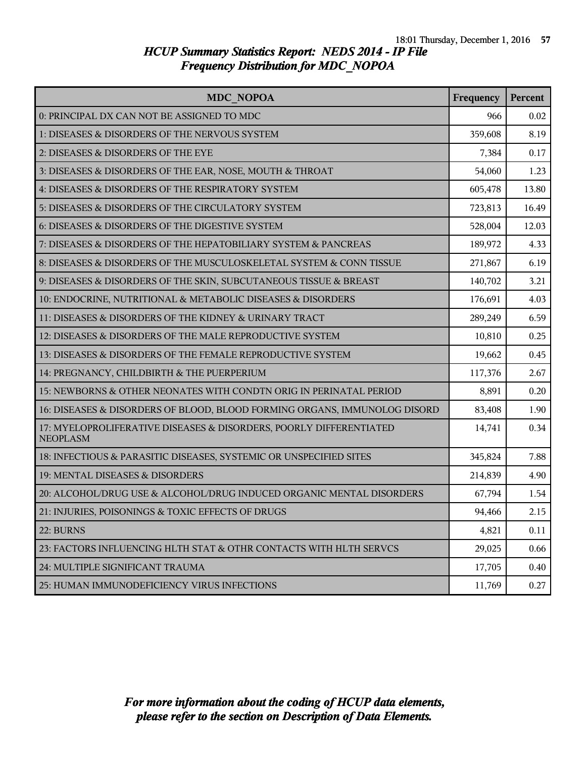| <b>MDC NOPOA</b>                                                                      | Frequency | Percent |
|---------------------------------------------------------------------------------------|-----------|---------|
| 0: PRINCIPAL DX CAN NOT BE ASSIGNED TO MDC                                            | 966       | 0.02    |
| 1: DISEASES & DISORDERS OF THE NERVOUS SYSTEM                                         | 359,608   | 8.19    |
| 2: DISEASES & DISORDERS OF THE EYE                                                    | 7,384     | 0.17    |
| 3: DISEASES & DISORDERS OF THE EAR, NOSE, MOUTH & THROAT                              | 54,060    | 1.23    |
| 4: DISEASES & DISORDERS OF THE RESPIRATORY SYSTEM                                     | 605,478   | 13.80   |
| 5: DISEASES & DISORDERS OF THE CIRCULATORY SYSTEM                                     | 723,813   | 16.49   |
| 6: DISEASES & DISORDERS OF THE DIGESTIVE SYSTEM                                       | 528,004   | 12.03   |
| 7: DISEASES & DISORDERS OF THE HEPATOBILIARY SYSTEM & PANCREAS                        | 189,972   | 4.33    |
| 8: DISEASES & DISORDERS OF THE MUSCULOSKELETAL SYSTEM & CONN TISSUE                   | 271,867   | 6.19    |
| 9: DISEASES & DISORDERS OF THE SKIN, SUBCUTANEOUS TISSUE & BREAST                     | 140,702   | 3.21    |
| 10: ENDOCRINE, NUTRITIONAL & METABOLIC DISEASES & DISORDERS                           | 176,691   | 4.03    |
| 11: DISEASES & DISORDERS OF THE KIDNEY & URINARY TRACT                                | 289,249   | 6.59    |
| 12: DISEASES & DISORDERS OF THE MALE REPRODUCTIVE SYSTEM                              | 10,810    | 0.25    |
| 13: DISEASES & DISORDERS OF THE FEMALE REPRODUCTIVE SYSTEM                            | 19,662    | 0.45    |
| 14: PREGNANCY, CHILDBIRTH & THE PUERPERIUM                                            | 117,376   | 2.67    |
| 15: NEWBORNS & OTHER NEONATES WITH CONDTN ORIG IN PERINATAL PERIOD                    | 8,891     | 0.20    |
| 16: DISEASES & DISORDERS OF BLOOD, BLOOD FORMING ORGANS, IMMUNOLOG DISORD             | 83,408    | 1.90    |
| 17: MYELOPROLIFERATIVE DISEASES & DISORDERS, POORLY DIFFERENTIATED<br><b>NEOPLASM</b> | 14,741    | 0.34    |
| 18: INFECTIOUS & PARASITIC DISEASES, SYSTEMIC OR UNSPECIFIED SITES                    | 345,824   | 7.88    |
| 19: MENTAL DISEASES & DISORDERS                                                       | 214,839   | 4.90    |
| 20: ALCOHOL/DRUG USE & ALCOHOL/DRUG INDUCED ORGANIC MENTAL DISORDERS                  | 67,794    | 1.54    |
| 21: INJURIES, POISONINGS & TOXIC EFFECTS OF DRUGS                                     | 94,466    | 2.15    |
| 22: BURNS                                                                             | 4,821     | 0.11    |
| 23: FACTORS INFLUENCING HLTH STAT & OTHR CONTACTS WITH HLTH SERVCS                    | 29,025    | 0.66    |
| 24: MULTIPLE SIGNIFICANT TRAUMA                                                       | 17,705    | 0.40    |
| 25: HUMAN IMMUNODEFICIENCY VIRUS INFECTIONS                                           | 11,769    | 0.27    |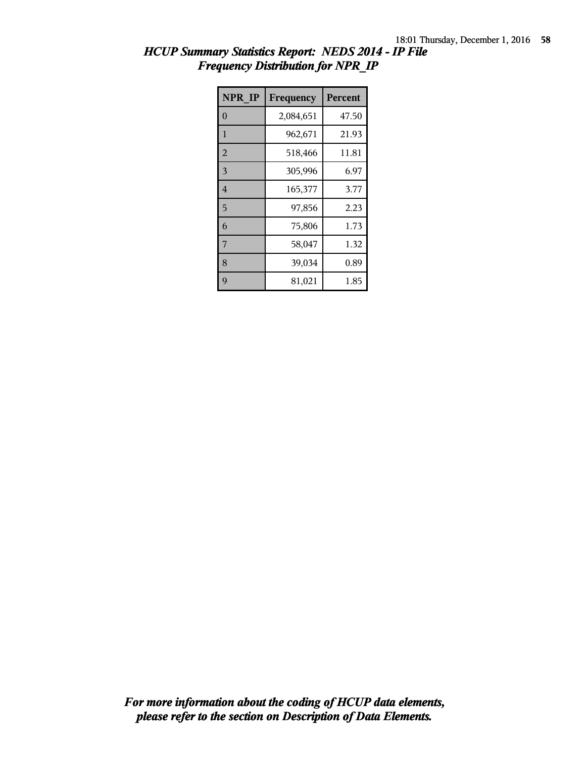| <b>NPR IP</b>  | Frequency | <b>Percent</b> |
|----------------|-----------|----------------|
| $\theta$       | 2,084,651 | 47.50          |
| 1              | 962,671   | 21.93          |
| $\overline{2}$ | 518,466   | 11.81          |
| 3              | 305,996   | 6.97           |
| $\overline{4}$ | 165,377   | 3.77           |
| 5              | 97,856    | 2.23           |
| 6              | 75,806    | 1.73           |
| 7              | 58,047    | 1.32           |
| 8              | 39,034    | 0.89           |
| 9              | 81,021    | 1.85           |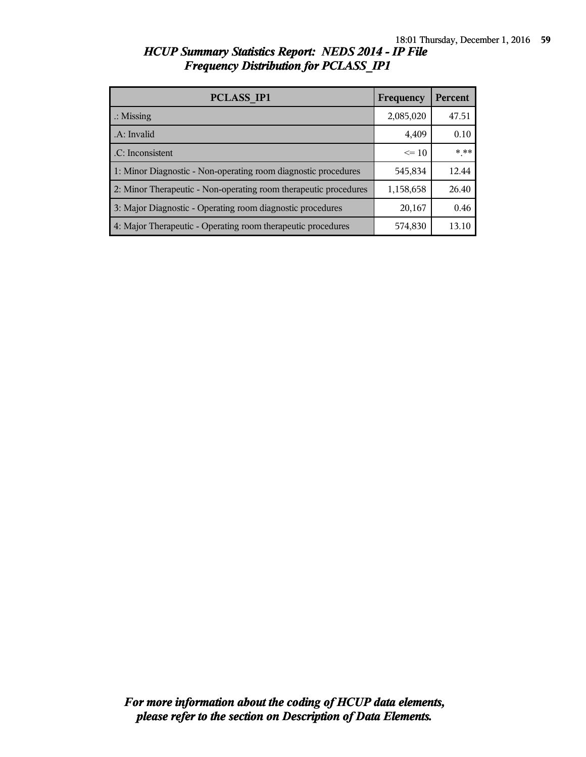| <b>PCLASS IP1</b>                                                | Frequency | Percent |
|------------------------------------------------------------------|-----------|---------|
| $\therefore$ Missing                                             | 2,085,020 | 47.51   |
| .A: Invalid                                                      | 4,409     | 0.10    |
| .C: Inconsistent                                                 | $\leq 10$ | $***$   |
| 1: Minor Diagnostic - Non-operating room diagnostic procedures   | 545,834   | 12.44   |
| 2: Minor Therapeutic - Non-operating room therapeutic procedures | 1,158,658 | 26.40   |
| 3: Major Diagnostic - Operating room diagnostic procedures       | 20,167    | 0.46    |
| 4: Major Therapeutic - Operating room therapeutic procedures     | 574,830   | 13 10   |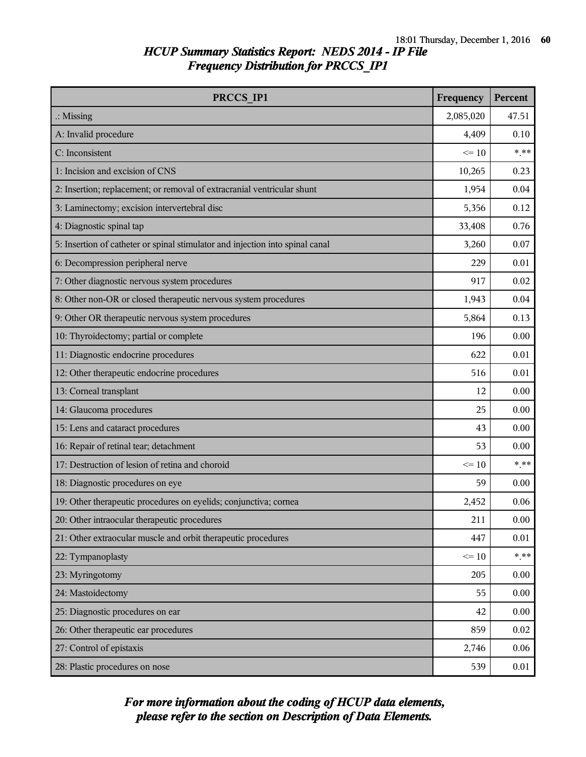| PRCCS IP1                                                                     | Frequency | Percent |
|-------------------------------------------------------------------------------|-----------|---------|
| $\therefore$ Missing                                                          | 2,085,020 | 47.51   |
| A: Invalid procedure                                                          | 4,409     | 0.10    |
| C: Inconsistent                                                               | $\leq 10$ | $***$   |
| 1: Incision and excision of CNS                                               | 10,265    | 0.23    |
| 2: Insertion; replacement; or removal of extracranial ventricular shunt       | 1,954     | 0.04    |
| 3: Laminectomy; excision intervertebral disc                                  | 5,356     | 0.12    |
| 4: Diagnostic spinal tap                                                      | 33,408    | 0.76    |
| 5: Insertion of catheter or spinal stimulator and injection into spinal canal | 3,260     | 0.07    |
| 6: Decompression peripheral nerve                                             | 229       | 0.01    |
| 7: Other diagnostic nervous system procedures                                 | 917       | 0.02    |
| 8: Other non-OR or closed therapeutic nervous system procedures               | 1,943     | 0.04    |
| 9: Other OR therapeutic nervous system procedures                             | 5,864     | 0.13    |
| 10: Thyroidectomy; partial or complete                                        | 196       | 0.00    |
| 11: Diagnostic endocrine procedures                                           | 622       | 0.01    |
| 12: Other therapeutic endocrine procedures                                    | 516       | 0.01    |
| 13: Corneal transplant                                                        | 12        | 0.00    |
| 14: Glaucoma procedures                                                       | 25        | 0.00    |
| 15: Lens and cataract procedures                                              | 43        | 0.00    |
| 16: Repair of retinal tear; detachment                                        | 53        | 0.00    |
| 17: Destruction of lesion of retina and choroid                               | $\leq$ 10 | $***$   |
| 18: Diagnostic procedures on eye                                              | 59        | 0.00    |
| 19: Other therapeutic procedures on eyelids; conjunctiva; cornea              | 2,452     | 0.06    |
| 20: Other intraocular therapeutic procedures                                  | 211       | 0.00    |
| 21: Other extraocular muscle and orbit therapeutic procedures                 | 447       | 0.01    |
| 22: Tympanoplasty                                                             | $\leq 10$ | $* * *$ |
| 23: Myringotomy                                                               | 205       | 0.00    |
| 24: Mastoidectomy                                                             | 55        | 0.00    |
| 25: Diagnostic procedures on ear                                              | 42        | 0.00    |
| 26: Other therapeutic ear procedures                                          | 859       | 0.02    |
| 27: Control of epistaxis                                                      | 2,746     | 0.06    |
| 28: Plastic procedures on nose                                                | 539       | 0.01    |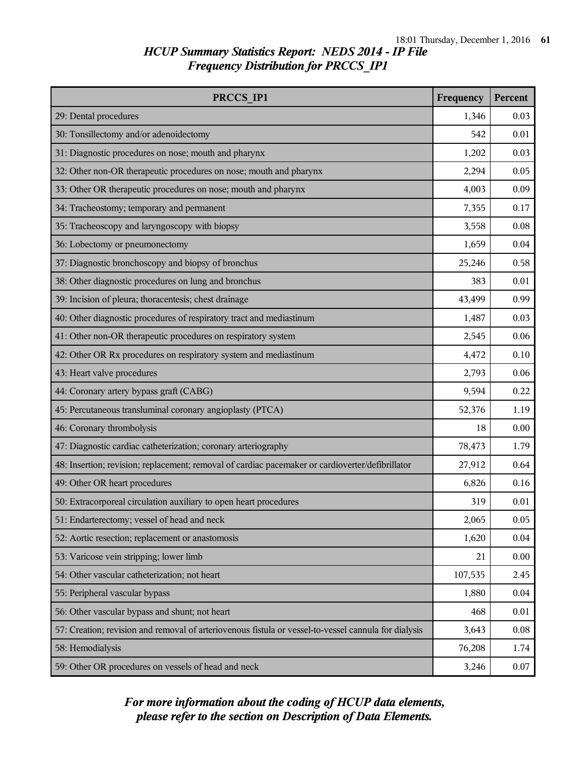| PRCCS IP1                                                                                            | Frequency | Percent |
|------------------------------------------------------------------------------------------------------|-----------|---------|
| 29: Dental procedures                                                                                | 1,346     | 0.03    |
| 30: Tonsillectomy and/or adenoidectomy                                                               | 542       | 0.01    |
| 31: Diagnostic procedures on nose; mouth and pharynx                                                 | 1,202     | 0.03    |
| 32: Other non-OR therapeutic procedures on nose; mouth and pharynx                                   | 2,294     | 0.05    |
| 33: Other OR therapeutic procedures on nose; mouth and pharynx                                       | 4,003     | 0.09    |
| 34: Tracheostomy; temporary and permanent                                                            | 7,355     | 0.17    |
| 35: Tracheoscopy and laryngoscopy with biopsy                                                        | 3,558     | 0.08    |
| 36: Lobectomy or pneumonectomy                                                                       | 1,659     | 0.04    |
| 37: Diagnostic bronchoscopy and biopsy of bronchus                                                   | 25,246    | 0.58    |
| 38: Other diagnostic procedures on lung and bronchus                                                 | 383       | 0.01    |
| 39: Incision of pleura; thoracentesis; chest drainage                                                | 43,499    | 0.99    |
| 40: Other diagnostic procedures of respiratory tract and mediastinum                                 | 1,487     | 0.03    |
| 41: Other non-OR therapeutic procedures on respiratory system                                        | 2,545     | 0.06    |
| 42: Other OR Rx procedures on respiratory system and mediastinum                                     | 4,472     | 0.10    |
| 43: Heart valve procedures                                                                           | 2,793     | 0.06    |
| 44: Coronary artery bypass graft (CABG)                                                              | 9,594     | 0.22    |
| 45: Percutaneous transluminal coronary angioplasty (PTCA)                                            | 52,376    | 1.19    |
| 46: Coronary thrombolysis                                                                            | 18        | 0.00    |
| 47: Diagnostic cardiac catheterization; coronary arteriography                                       | 78,473    | 1.79    |
| 48: Insertion; revision; replacement; removal of cardiac pacemaker or cardioverter/defibrillator     | 27,912    | 0.64    |
| 49: Other OR heart procedures                                                                        | 6,826     | 0.16    |
| 50: Extracorporeal circulation auxiliary to open heart procedures                                    | 319       | 0.01    |
| 51: Endarterectomy; vessel of head and neck                                                          | 2,065     | 0.05    |
| 52: Aortic resection; replacement or anastomosis                                                     | 1,620     | 0.04    |
| 53: Varicose vein stripping; lower limb                                                              | 21        | 0.00    |
| 54: Other vascular catheterization; not heart                                                        | 107,535   | 2.45    |
| 55: Peripheral vascular bypass                                                                       | 1,880     | 0.04    |
| 56: Other vascular bypass and shunt; not heart                                                       | 468       | 0.01    |
| 57: Creation; revision and removal of arteriovenous fistula or vessel-to-vessel cannula for dialysis | 3,643     | 0.08    |
| 58: Hemodialysis                                                                                     | 76,208    | 1.74    |
| 59: Other OR procedures on vessels of head and neck                                                  | 3,246     | 0.07    |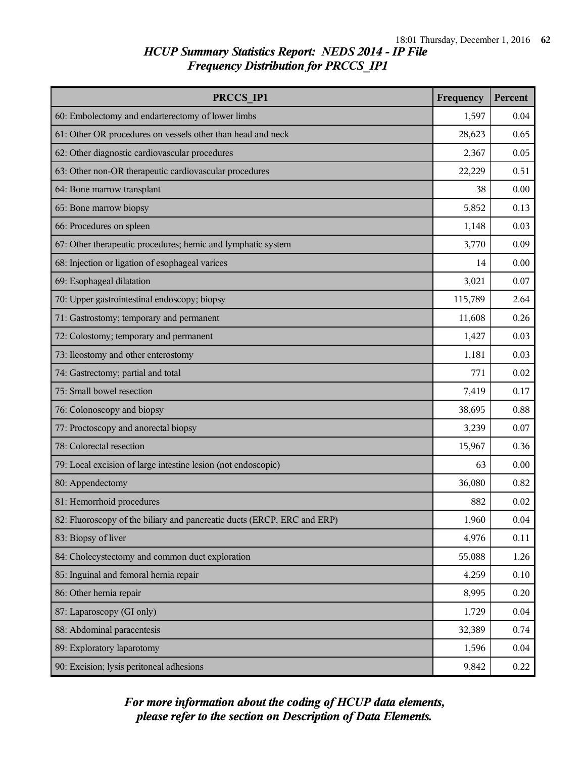| PRCCS IP1                                                               | Frequency | Percent |
|-------------------------------------------------------------------------|-----------|---------|
| 60: Embolectomy and endarterectomy of lower limbs                       | 1,597     | 0.04    |
| 61: Other OR procedures on vessels other than head and neck             | 28,623    | 0.65    |
| 62: Other diagnostic cardiovascular procedures                          | 2,367     | 0.05    |
| 63: Other non-OR therapeutic cardiovascular procedures                  | 22,229    | 0.51    |
| 64: Bone marrow transplant                                              | 38        | 0.00    |
| 65: Bone marrow biopsy                                                  | 5,852     | 0.13    |
| 66: Procedures on spleen                                                | 1,148     | 0.03    |
| 67: Other therapeutic procedures; hemic and lymphatic system            | 3,770     | 0.09    |
| 68: Injection or ligation of esophageal varices                         | 14        | 0.00    |
| 69: Esophageal dilatation                                               | 3,021     | 0.07    |
| 70: Upper gastrointestinal endoscopy; biopsy                            | 115,789   | 2.64    |
| 71: Gastrostomy; temporary and permanent                                | 11,608    | 0.26    |
| 72: Colostomy; temporary and permanent                                  | 1,427     | 0.03    |
| 73: Ileostomy and other enterostomy                                     | 1,181     | 0.03    |
| 74: Gastrectomy; partial and total                                      | 771       | 0.02    |
| 75: Small bowel resection                                               | 7,419     | 0.17    |
| 76: Colonoscopy and biopsy                                              | 38,695    | 0.88    |
| 77: Proctoscopy and anorectal biopsy                                    | 3,239     | 0.07    |
| 78: Colorectal resection                                                | 15,967    | 0.36    |
| 79: Local excision of large intestine lesion (not endoscopic)           | 63        | 0.00    |
| 80: Appendectomy                                                        | 36,080    | 0.82    |
| 81: Hemorrhoid procedures                                               | 882       | 0.02    |
| 82: Fluoroscopy of the biliary and pancreatic ducts (ERCP, ERC and ERP) | 1,960     | 0.04    |
| 83: Biopsy of liver                                                     | 4,976     | 0.11    |
| 84: Cholecystectomy and common duct exploration                         | 55,088    | 1.26    |
| 85: Inguinal and femoral hernia repair                                  | 4,259     | 0.10    |
| 86: Other hernia repair                                                 | 8,995     | 0.20    |
| 87: Laparoscopy (GI only)                                               | 1,729     | 0.04    |
| 88: Abdominal paracentesis                                              | 32,389    | 0.74    |
| 89: Exploratory laparotomy                                              | 1,596     | 0.04    |
| 90: Excision; lysis peritoneal adhesions                                | 9,842     | 0.22    |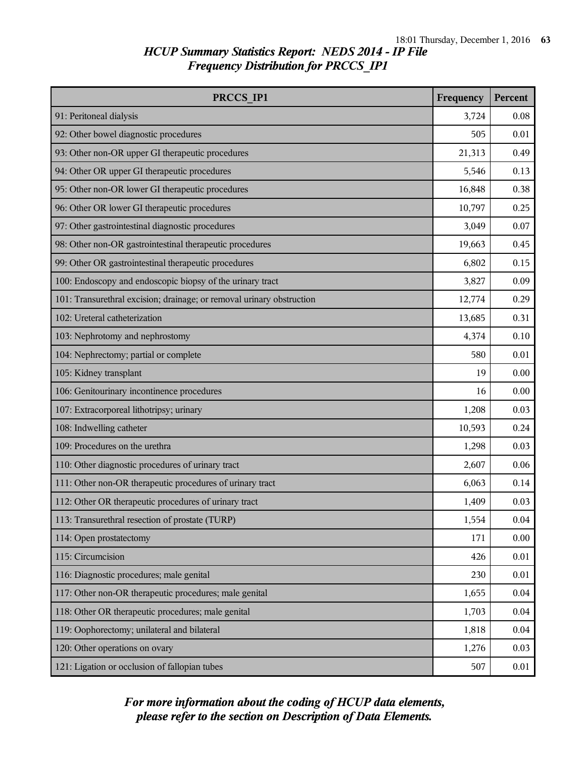| PRCCS IP1                                                             | Frequency | Percent |
|-----------------------------------------------------------------------|-----------|---------|
| 91: Peritoneal dialysis                                               | 3,724     | 0.08    |
| 92: Other bowel diagnostic procedures                                 | 505       | 0.01    |
| 93: Other non-OR upper GI therapeutic procedures                      | 21,313    | 0.49    |
| 94: Other OR upper GI therapeutic procedures                          | 5,546     | 0.13    |
| 95: Other non-OR lower GI therapeutic procedures                      | 16,848    | 0.38    |
| 96: Other OR lower GI therapeutic procedures                          | 10,797    | 0.25    |
| 97: Other gastrointestinal diagnostic procedures                      | 3,049     | 0.07    |
| 98: Other non-OR gastrointestinal therapeutic procedures              | 19,663    | 0.45    |
| 99: Other OR gastrointestinal therapeutic procedures                  | 6,802     | 0.15    |
| 100: Endoscopy and endoscopic biopsy of the urinary tract             | 3,827     | 0.09    |
| 101: Transurethral excision; drainage; or removal urinary obstruction | 12,774    | 0.29    |
| 102: Ureteral catheterization                                         | 13,685    | 0.31    |
| 103: Nephrotomy and nephrostomy                                       | 4,374     | 0.10    |
| 104: Nephrectomy; partial or complete                                 | 580       | 0.01    |
| 105: Kidney transplant                                                | 19        | 0.00    |
| 106: Genitourinary incontinence procedures                            | 16        | 0.00    |
| 107: Extracorporeal lithotripsy; urinary                              | 1,208     | 0.03    |
| 108: Indwelling catheter                                              | 10,593    | 0.24    |
| 109: Procedures on the urethra                                        | 1,298     | 0.03    |
| 110: Other diagnostic procedures of urinary tract                     | 2,607     | 0.06    |
| 111: Other non-OR therapeutic procedures of urinary tract             | 6,063     | 0.14    |
| 112: Other OR therapeutic procedures of urinary tract                 | 1,409     | 0.03    |
| 113: Transurethral resection of prostate (TURP)                       | 1,554     | 0.04    |
| 114: Open prostatectomy                                               | 171       | 0.00    |
| 115: Circumcision                                                     | 426       | 0.01    |
| 116: Diagnostic procedures; male genital                              | 230       | 0.01    |
| 117: Other non-OR therapeutic procedures; male genital                | 1,655     | 0.04    |
| 118: Other OR therapeutic procedures; male genital                    | 1,703     | 0.04    |
| 119: Oophorectomy; unilateral and bilateral                           | 1,818     | 0.04    |
| 120: Other operations on ovary                                        | 1,276     | 0.03    |
| 121: Ligation or occlusion of fallopian tubes                         | 507       | 0.01    |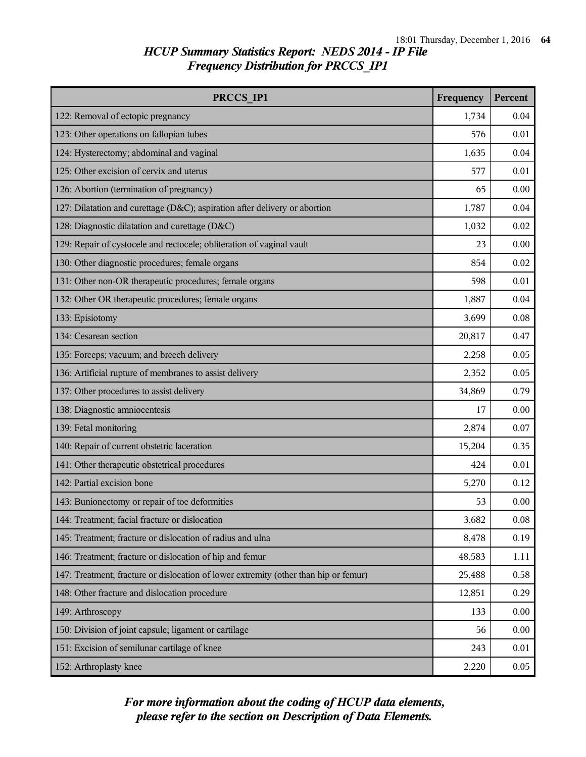| PRCCS IP1                                                                            | Frequency | Percent |
|--------------------------------------------------------------------------------------|-----------|---------|
| 122: Removal of ectopic pregnancy                                                    | 1,734     | 0.04    |
| 123: Other operations on fallopian tubes                                             | 576       | 0.01    |
| 124: Hysterectomy; abdominal and vaginal                                             | 1,635     | 0.04    |
| 125: Other excision of cervix and uterus                                             | 577       | 0.01    |
| 126: Abortion (termination of pregnancy)                                             | 65        | 0.00    |
| 127: Dilatation and curettage (D&C); aspiration after delivery or abortion           | 1,787     | 0.04    |
| 128: Diagnostic dilatation and curettage (D&C)                                       | 1,032     | 0.02    |
| 129: Repair of cystocele and rectocele; obliteration of vaginal vault                | 23        | 0.00    |
| 130: Other diagnostic procedures; female organs                                      | 854       | 0.02    |
| 131: Other non-OR therapeutic procedures; female organs                              | 598       | 0.01    |
| 132: Other OR therapeutic procedures; female organs                                  | 1,887     | 0.04    |
| 133: Episiotomy                                                                      | 3,699     | 0.08    |
| 134: Cesarean section                                                                | 20,817    | 0.47    |
| 135: Forceps; vacuum; and breech delivery                                            | 2,258     | 0.05    |
| 136: Artificial rupture of membranes to assist delivery                              | 2,352     | 0.05    |
| 137: Other procedures to assist delivery                                             | 34,869    | 0.79    |
| 138: Diagnostic amniocentesis                                                        |           | 0.00    |
| 139: Fetal monitoring                                                                |           | 0.07    |
| 140: Repair of current obstetric laceration                                          | 15,204    | 0.35    |
| 141: Other therapeutic obstetrical procedures                                        | 424       | 0.01    |
| 142: Partial excision bone                                                           | 5,270     | 0.12    |
| 143: Bunionectomy or repair of toe deformities                                       | 53        | 0.00    |
| 144: Treatment; facial fracture or dislocation                                       | 3,682     | 0.08    |
| 145: Treatment; fracture or dislocation of radius and ulna                           | 8,478     | 0.19    |
| 146: Treatment; fracture or dislocation of hip and femur                             |           | 1.11    |
| 147: Treatment; fracture or dislocation of lower extremity (other than hip or femur) |           | 0.58    |
| 148: Other fracture and dislocation procedure                                        | 12,851    | 0.29    |
| 149: Arthroscopy                                                                     | 133       | 0.00    |
| 150: Division of joint capsule; ligament or cartilage                                | 56        | 0.00    |
| 151: Excision of semilunar cartilage of knee                                         | 243       | 0.01    |
| 152: Arthroplasty knee                                                               | 2,220     | 0.05    |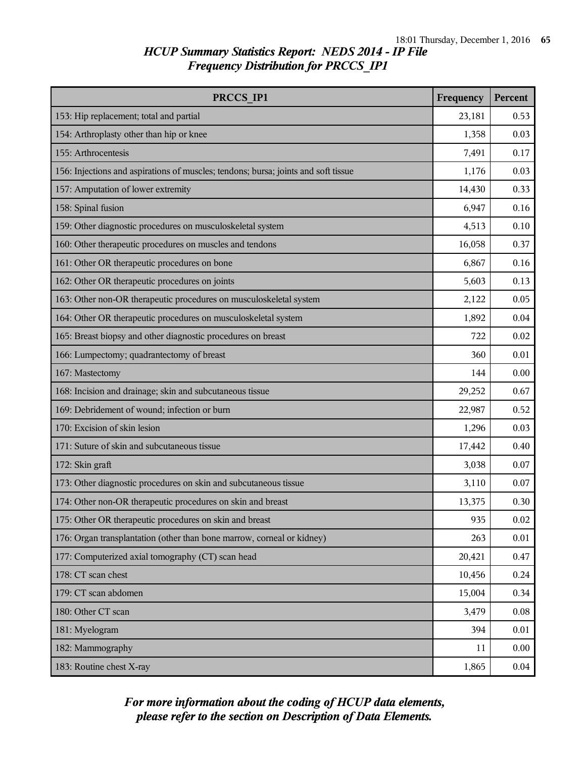| PRCCS IP1                                                                          | Frequency | Percent  |
|------------------------------------------------------------------------------------|-----------|----------|
| 153: Hip replacement; total and partial                                            | 23,181    | 0.53     |
| 154: Arthroplasty other than hip or knee                                           | 1,358     | 0.03     |
| 155: Arthrocentesis                                                                | 7,491     | 0.17     |
| 156: Injections and aspirations of muscles; tendons; bursa; joints and soft tissue | 1,176     | 0.03     |
| 157: Amputation of lower extremity                                                 | 14,430    | 0.33     |
| 158: Spinal fusion                                                                 | 6,947     | 0.16     |
| 159: Other diagnostic procedures on musculoskeletal system                         | 4,513     | 0.10     |
| 160: Other therapeutic procedures on muscles and tendons                           | 16,058    | 0.37     |
| 161: Other OR therapeutic procedures on bone                                       | 6,867     | 0.16     |
| 162: Other OR therapeutic procedures on joints                                     | 5,603     | 0.13     |
| 163: Other non-OR therapeutic procedures on musculoskeletal system                 | 2,122     | 0.05     |
| 164: Other OR therapeutic procedures on musculoskeletal system                     | 1,892     | 0.04     |
| 165: Breast biopsy and other diagnostic procedures on breast                       | 722       | 0.02     |
| 166: Lumpectomy; quadrantectomy of breast                                          | 360       | 0.01     |
| 167: Mastectomy                                                                    | 144       | 0.00     |
| 168: Incision and drainage; skin and subcutaneous tissue                           | 29,252    | 0.67     |
| 169: Debridement of wound; infection or burn                                       | 22,987    | 0.52     |
| 170: Excision of skin lesion                                                       | 1,296     | 0.03     |
| 171: Suture of skin and subcutaneous tissue                                        | 17,442    | 0.40     |
| 172: Skin graft                                                                    | 3,038     | 0.07     |
| 173: Other diagnostic procedures on skin and subcutaneous tissue                   | 3,110     | 0.07     |
| 174: Other non-OR therapeutic procedures on skin and breast                        | 13,375    | 0.30     |
| 175: Other OR therapeutic procedures on skin and breast                            | 935       | $0.02\,$ |
| 176: Organ transplantation (other than bone marrow, corneal or kidney)             | 263       | 0.01     |
| 177: Computerized axial tomography (CT) scan head                                  | 20,421    | 0.47     |
| 178: CT scan chest                                                                 | 10,456    | 0.24     |
| 179: CT scan abdomen                                                               | 15,004    | 0.34     |
| 180: Other CT scan                                                                 | 3,479     | 0.08     |
| 181: Myelogram                                                                     | 394       | 0.01     |
| 182: Mammography                                                                   | 11        | 0.00     |
| 183: Routine chest X-ray                                                           | 1,865     | 0.04     |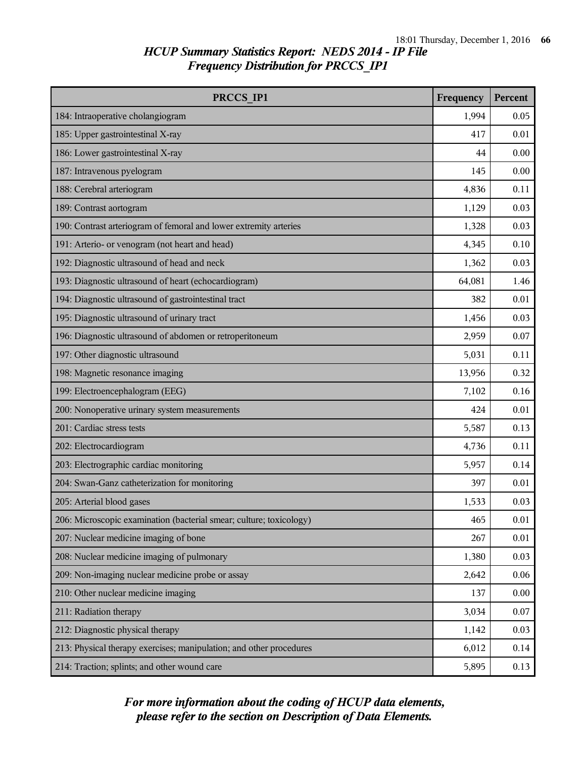| PRCCS IP1                                                           | Frequency | Percent  |
|---------------------------------------------------------------------|-----------|----------|
| 184: Intraoperative cholangiogram                                   | 1,994     | 0.05     |
| 185: Upper gastrointestinal X-ray                                   | 417       | 0.01     |
| 186: Lower gastrointestinal X-ray                                   | 44        | 0.00     |
| 187: Intravenous pyelogram                                          | 145       | 0.00     |
| 188: Cerebral arteriogram                                           | 4,836     | 0.11     |
| 189: Contrast aortogram                                             | 1,129     | 0.03     |
| 190: Contrast arteriogram of femoral and lower extremity arteries   | 1,328     | 0.03     |
| 191: Arterio- or venogram (not heart and head)                      | 4,345     | 0.10     |
| 192: Diagnostic ultrasound of head and neck                         | 1,362     | 0.03     |
| 193: Diagnostic ultrasound of heart (echocardiogram)                | 64,081    | 1.46     |
| 194: Diagnostic ultrasound of gastrointestinal tract                | 382       | 0.01     |
| 195: Diagnostic ultrasound of urinary tract                         | 1,456     | 0.03     |
| 196: Diagnostic ultrasound of abdomen or retroperitoneum            | 2,959     | 0.07     |
| 197: Other diagnostic ultrasound                                    | 5,031     | 0.11     |
| 198: Magnetic resonance imaging                                     | 13,956    | 0.32     |
| 199: Electroencephalogram (EEG)                                     | 7,102     | 0.16     |
| 200: Nonoperative urinary system measurements                       | 424       | 0.01     |
| 201: Cardiac stress tests                                           | 5,587     | 0.13     |
| 202: Electrocardiogram                                              | 4,736     | 0.11     |
| 203: Electrographic cardiac monitoring                              | 5,957     | 0.14     |
| 204: Swan-Ganz catheterization for monitoring                       | 397       | 0.01     |
| 205: Arterial blood gases                                           | 1,533     | 0.03     |
| 206: Microscopic examination (bacterial smear; culture; toxicology) | 465       | $0.01\,$ |
| 207: Nuclear medicine imaging of bone                               | 267       | 0.01     |
| 208: Nuclear medicine imaging of pulmonary                          | 1,380     | 0.03     |
| 209: Non-imaging nuclear medicine probe or assay                    | 2,642     | 0.06     |
| 210: Other nuclear medicine imaging                                 | 137       | 0.00     |
| 211: Radiation therapy                                              | 3,034     | 0.07     |
| 212: Diagnostic physical therapy                                    | 1,142     | 0.03     |
| 213: Physical therapy exercises; manipulation; and other procedures | 6,012     | 0.14     |
| 214: Traction; splints; and other wound care                        | 5,895     | 0.13     |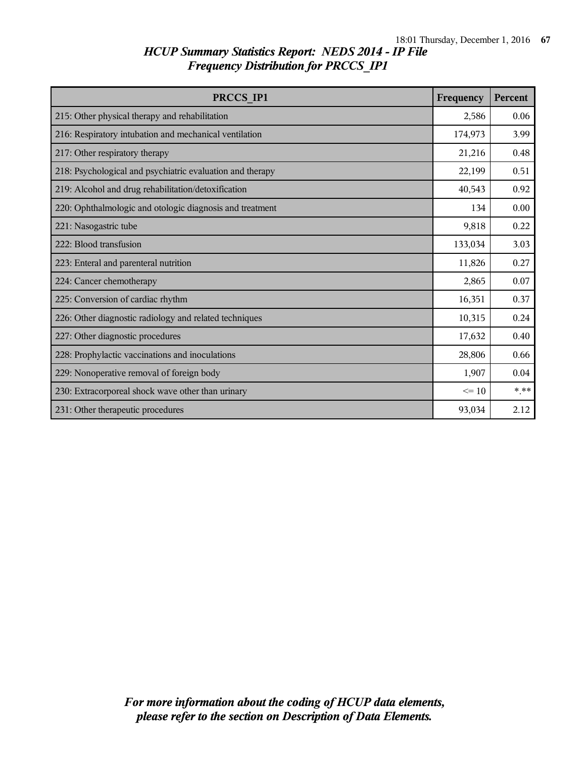| PRCCS IP1                                                 | Frequency | Percent |
|-----------------------------------------------------------|-----------|---------|
| 215: Other physical therapy and rehabilitation            | 2,586     | 0.06    |
| 216: Respiratory intubation and mechanical ventilation    | 174,973   | 3.99    |
| 217: Other respiratory therapy                            | 21,216    | 0.48    |
| 218: Psychological and psychiatric evaluation and therapy | 22,199    | 0.51    |
| 219: Alcohol and drug rehabilitation/detoxification       | 40,543    | 0.92    |
| 220: Ophthalmologic and otologic diagnosis and treatment  | 134       | 0.00    |
| 221: Nasogastric tube                                     | 9,818     | 0.22    |
| 222: Blood transfusion                                    | 133,034   | 3.03    |
| 223: Enteral and parenteral nutrition                     | 11,826    | 0.27    |
| 224: Cancer chemotherapy                                  | 2,865     | 0.07    |
| 225: Conversion of cardiac rhythm                         |           | 0.37    |
| 226: Other diagnostic radiology and related techniques    | 10,315    | 0.24    |
| 227: Other diagnostic procedures                          | 17,632    | 0.40    |
| 228: Prophylactic vaccinations and inoculations           | 28,806    | 0.66    |
| 229: Nonoperative removal of foreign body                 | 1,907     | 0.04    |
| 230: Extracorporeal shock wave other than urinary         | $\leq$ 10 | $***$   |
| 231: Other therapeutic procedures                         | 93,034    | 2.12    |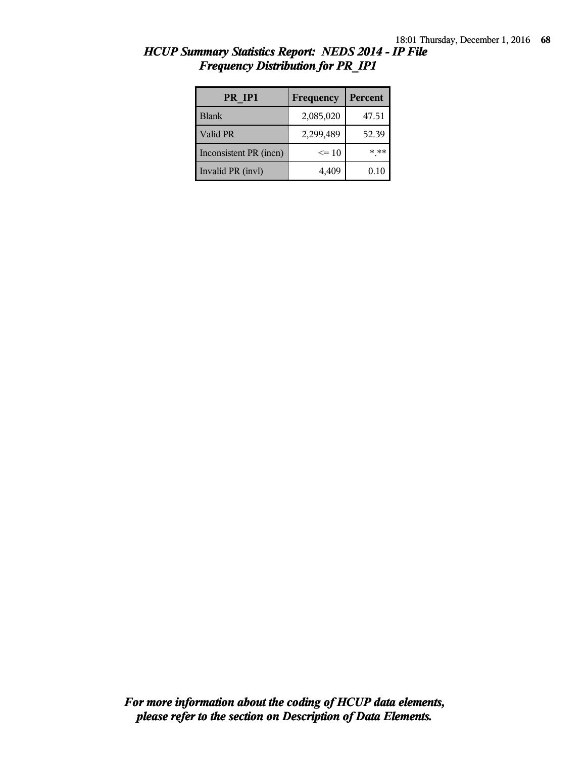| PR IP1                 | Frequency | <b>Percent</b> |
|------------------------|-----------|----------------|
| <b>Blank</b>           | 2,085,020 | 47.51          |
| Valid PR               | 2,299,489 | 52.39          |
| Inconsistent PR (incn) | $\leq 10$ | * **           |
| Invalid PR (invl)      | 4,409     | $0.10\,$       |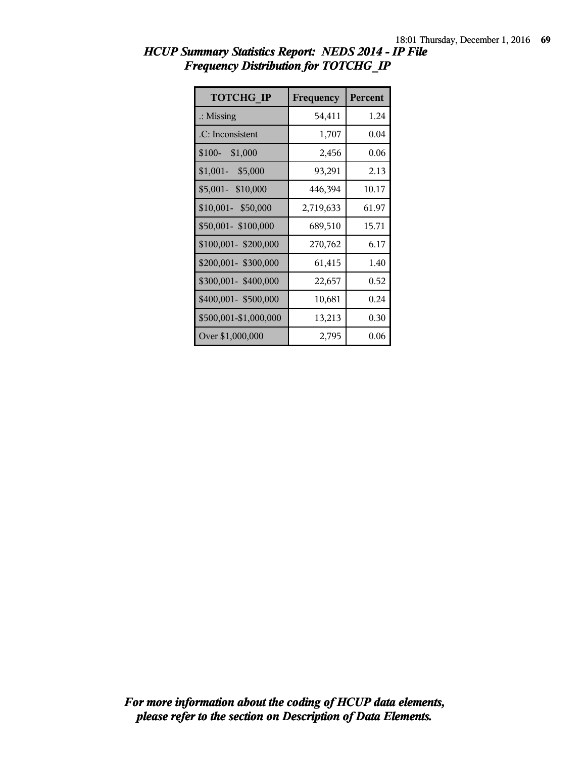| <b>TOTCHG IP</b>      | Frequency | <b>Percent</b> |
|-----------------------|-----------|----------------|
| $\therefore$ Missing  | 54,411    | 1.24           |
| .C: Inconsistent      | 1,707     | 0.04           |
| \$100-<br>\$1,000     | 2,456     | 0.06           |
| $$1,001-$<br>\$5,000  | 93,291    | 2.13           |
| \$5,001- \$10,000     | 446,394   | 10.17          |
| $$10,001 - $50,000$   | 2,719,633 | 61.97          |
| \$50,001-\$100,000    | 689,510   | 15.71          |
| \$100,001-\$200,000   | 270,762   | 6.17           |
| \$200,001- \$300,000  | 61,415    | 1.40           |
| \$300,001-\$400,000   | 22,657    | 0.52           |
| \$400,001- \$500,000  | 10,681    | 0.24           |
| \$500,001-\$1,000,000 | 13,213    | 0.30           |
| Over \$1,000,000      | 2,795     | 0.06           |

*HCUP Summary Statistics Report: NEDS 2014 - IP File Frequency Distribution for TOTCHG\_IP*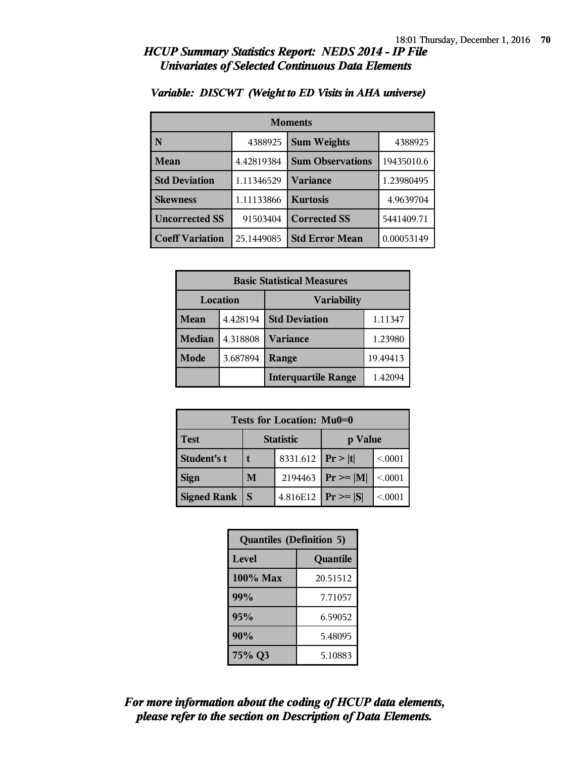#### *HCUP Summary Statistics Report: NEDS 2014 - IP File Univariates of Selected Continuous Data Elements*

| <b>Moments</b>         |            |                         |            |  |
|------------------------|------------|-------------------------|------------|--|
| N                      | 4388925    | <b>Sum Weights</b>      | 4388925    |  |
| Mean                   | 4.42819384 | <b>Sum Observations</b> | 19435010.6 |  |
| <b>Std Deviation</b>   | 1.11346529 | Variance                | 1.23980495 |  |
| <b>Skewness</b>        | 1.11133866 | <b>Kurtosis</b>         | 4.9639704  |  |
| <b>Uncorrected SS</b>  | 91503404   | <b>Corrected SS</b>     | 5441409.71 |  |
| <b>Coeff Variation</b> | 25.1449085 | <b>Std Error Mean</b>   | 0.00053149 |  |

#### *Variable: DISCWT (Weight to ED Visits in AHA universe)*

| <b>Basic Statistical Measures</b>     |          |                            |          |
|---------------------------------------|----------|----------------------------|----------|
| <b>Location</b><br><b>Variability</b> |          |                            |          |
| Mean                                  | 4.428194 | <b>Std Deviation</b>       | 1.11347  |
| <b>Median</b>                         | 4.318808 | <b>Variance</b>            | 1.23980  |
| Mode                                  | 3.687894 | Range                      | 19.49413 |
|                                       |          | <b>Interquartile Range</b> | 1.42094  |

| Tests for Location: Mu0=0 |                             |                         |               |         |  |
|---------------------------|-----------------------------|-------------------------|---------------|---------|--|
| <b>Test</b>               | <b>Statistic</b><br>p Value |                         |               |         |  |
| Student's t               |                             | 8331.612   $Pr >  t $   |               | < 0.001 |  |
| <b>Sign</b>               | M                           | 2194463                 | $Pr \geq  M $ | < 0.001 |  |
| <b>Signed Rank</b>        | S                           | 4.816E12   $Pr \ge  S $ |               | < 0001  |  |

| <b>Quantiles (Definition 5)</b> |          |
|---------------------------------|----------|
| Level                           | Quantile |
| $100\%$ Max                     | 20.51512 |
| 99%                             | 7.71057  |
| 95%                             | 6.59052  |
| 90%                             | 5.48095  |
| 75% Q3                          | 5.10883  |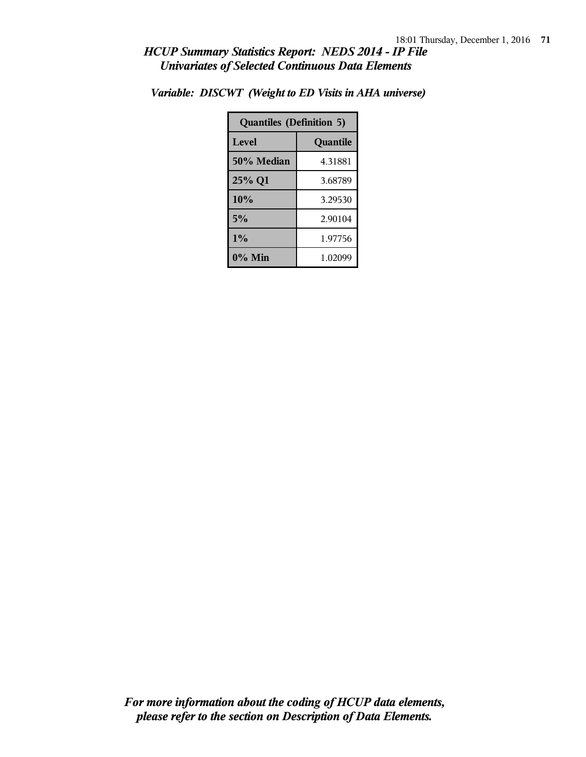#### *HCUP Summary Statistics Report: NEDS 2014 - IP File Univariates of Selected Continuous Data Elements*

| <b>Quantiles (Definition 5)</b> |          |
|---------------------------------|----------|
| Level                           | Quantile |
| 50% Median                      | 4.31881  |
| 25% Q1                          | 3.68789  |
| 10%                             | 3.29530  |
| 5%                              | 2.90104  |
| $1\%$                           | 1.97756  |
| $0\%$ Min                       | 1.02099  |

*Variable: DISCWT (Weight to ED Visits in AHA universe)*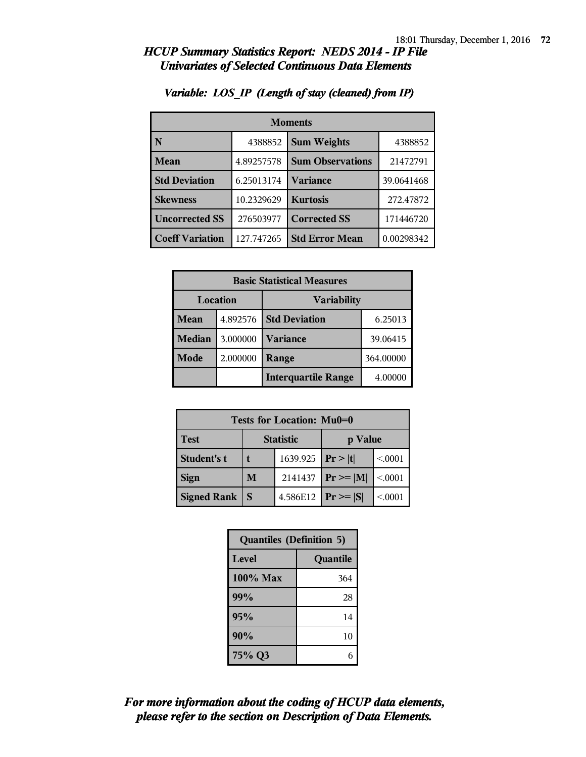#### *HCUP Summary Statistics Report: NEDS 2014 - IP File Univariates of Selected Continuous Data Elements*

| <b>Moments</b>         |            |                         |            |
|------------------------|------------|-------------------------|------------|
| N                      | 4388852    | <b>Sum Weights</b>      | 4388852    |
| <b>Mean</b>            | 4.89257578 | <b>Sum Observations</b> | 21472791   |
| <b>Std Deviation</b>   | 6.25013174 | <b>Variance</b>         | 39.0641468 |
| <b>Skewness</b>        | 10.2329629 | <b>Kurtosis</b>         | 272.47872  |
| <b>Uncorrected SS</b>  | 276503977  | <b>Corrected SS</b>     | 171446720  |
| <b>Coeff Variation</b> | 127.747265 | <b>Std Error Mean</b>   | 0.00298342 |

#### *Variable: LOS\_IP (Length of stay (cleaned) from IP)*

| <b>Basic Statistical Measures</b> |          |                            |           |  |
|-----------------------------------|----------|----------------------------|-----------|--|
| Location                          |          | <b>Variability</b>         |           |  |
| Mean                              | 4.892576 | <b>Std Deviation</b>       | 6.25013   |  |
| Median                            | 3.000000 | <b>Variance</b>            | 39.06415  |  |
| Mode                              | 2.000000 | Range                      | 364.00000 |  |
|                                   |          | <b>Interquartile Range</b> | 4.00000   |  |

| <b>Tests for Location: Mu0=0</b> |                  |                         |               |         |
|----------------------------------|------------------|-------------------------|---------------|---------|
| <b>Test</b>                      | <b>Statistic</b> |                         | p Value       |         |
| Student's t                      |                  | 1639.925   $Pr >  t $   |               | < 0.001 |
| <b>Sign</b>                      | M                | 2141437                 | $Pr \geq  M $ | < 0.001 |
| <b>Signed Rank</b>               | <sub>S</sub>     | 4.586E12   $Pr \ge  S $ |               | < 0.001 |

| <b>Quantiles (Definition 5)</b> |          |
|---------------------------------|----------|
| Level                           | Quantile |
| 100% Max                        | 364      |
| 99%                             | 28       |
| 95%                             | 14       |
| 90%                             | 10       |
| 75% Q3                          | 6        |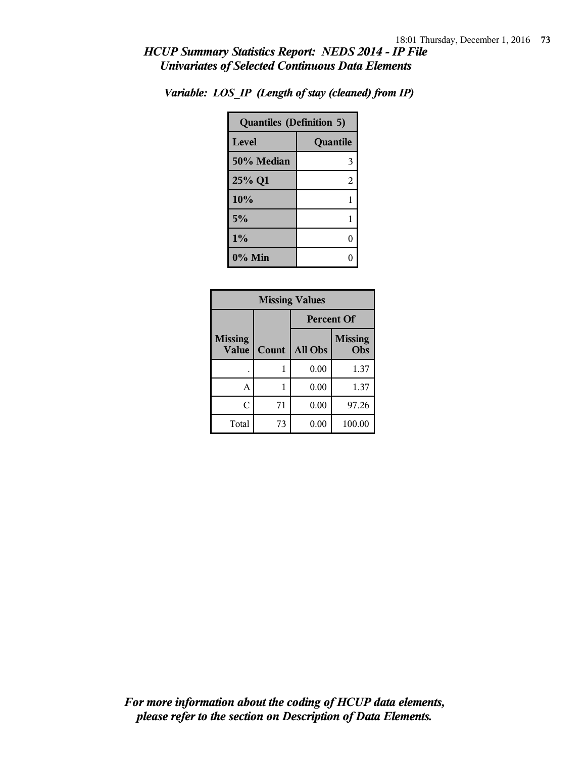## *HCUP Summary Statistics Report: NEDS 2014 - IP File Univariates of Selected Continuous Data Elements*

| <b>Quantiles (Definition 5)</b> |          |  |
|---------------------------------|----------|--|
| Level                           | Quantile |  |
| 50% Median                      | 3        |  |
| 25% Q1                          | 2        |  |
| 10%                             | 1        |  |
| 5%                              | 1        |  |
| 1%                              | 0        |  |
| $0\%$ Min                       |          |  |

*Variable: LOS\_IP (Length of stay (cleaned) from IP)*

| <b>Missing Values</b>          |       |                   |                       |
|--------------------------------|-------|-------------------|-----------------------|
|                                |       | <b>Percent Of</b> |                       |
| <b>Missing</b><br><b>Value</b> | Count | All Obs           | <b>Missing</b><br>Obs |
|                                |       | 0.00              | 1.37                  |
| A                              |       | 0.00              | 1.37                  |
| C                              | 71    | 0.00              | 97.26                 |
| Total                          | 73    | 0.00              | 100.00                |

*please refer to the section on Description of Data Elements. For more information about the coding of HCUP data elements,*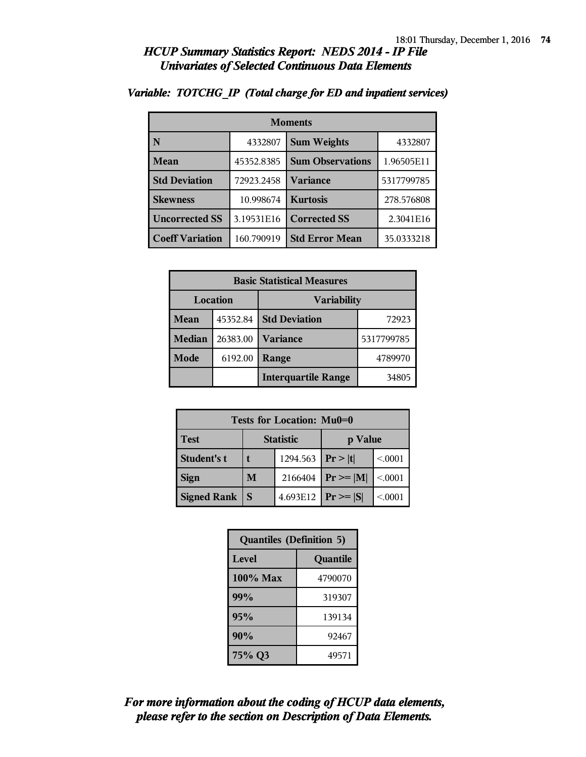### *HCUP Summary Statistics Report: NEDS 2014 - IP File Univariates of Selected Continuous Data Elements*

| <b>Moments</b>         |            |                         |            |
|------------------------|------------|-------------------------|------------|
| N                      | 4332807    | <b>Sum Weights</b>      | 4332807    |
| <b>Mean</b>            | 45352.8385 | <b>Sum Observations</b> | 1.96505E11 |
| <b>Std Deviation</b>   | 72923.2458 | <b>Variance</b>         | 5317799785 |
| <b>Skewness</b>        | 10.998674  | <b>Kurtosis</b>         | 278.576808 |
| <b>Uncorrected SS</b>  | 3.19531E16 | <b>Corrected SS</b>     | 2.3041E16  |
| <b>Coeff Variation</b> | 160.790919 | <b>Std Error Mean</b>   | 35.0333218 |

#### *Variable: TOTCHG\_IP (Total charge for ED and inpatient services)*

| <b>Basic Statistical Measures</b> |          |                            |            |
|-----------------------------------|----------|----------------------------|------------|
| Location                          |          | <b>Variability</b>         |            |
| Mean                              | 45352.84 | <b>Std Deviation</b>       | 72923      |
| <b>Median</b>                     | 26383.00 | <b>Variance</b>            | 5317799785 |
| Mode                              | 6192.00  | Range                      | 4789970    |
|                                   |          | <b>Interquartile Range</b> | 34805      |

| <b>Tests for Location: Mu0=0</b> |                  |                       |                               |         |
|----------------------------------|------------------|-----------------------|-------------------------------|---------|
| <b>Test</b>                      | <b>Statistic</b> |                       | p Value                       |         |
| Student's t                      |                  | 1294.563   $Pr >  t $ |                               | < 0.001 |
| <b>Sign</b>                      | M                | 2166404               | $\mathbf{Pr} \geq \mathbf{M}$ | < .0001 |
| <b>Signed Rank</b>               | S                | 4.693E12              | $Pr \geq  S $                 | < .0001 |

| <b>Quantiles (Definition 5)</b> |         |  |
|---------------------------------|---------|--|
| Level<br>Quantile               |         |  |
| $100\%$ Max                     | 4790070 |  |
| 99%                             | 319307  |  |
| 95%                             | 139134  |  |
| 90%                             | 92467   |  |
| 75% Q3                          | 49571   |  |

# *please refer to the section on Description of Data Elements. For more information about the coding of HCUP data elements,*